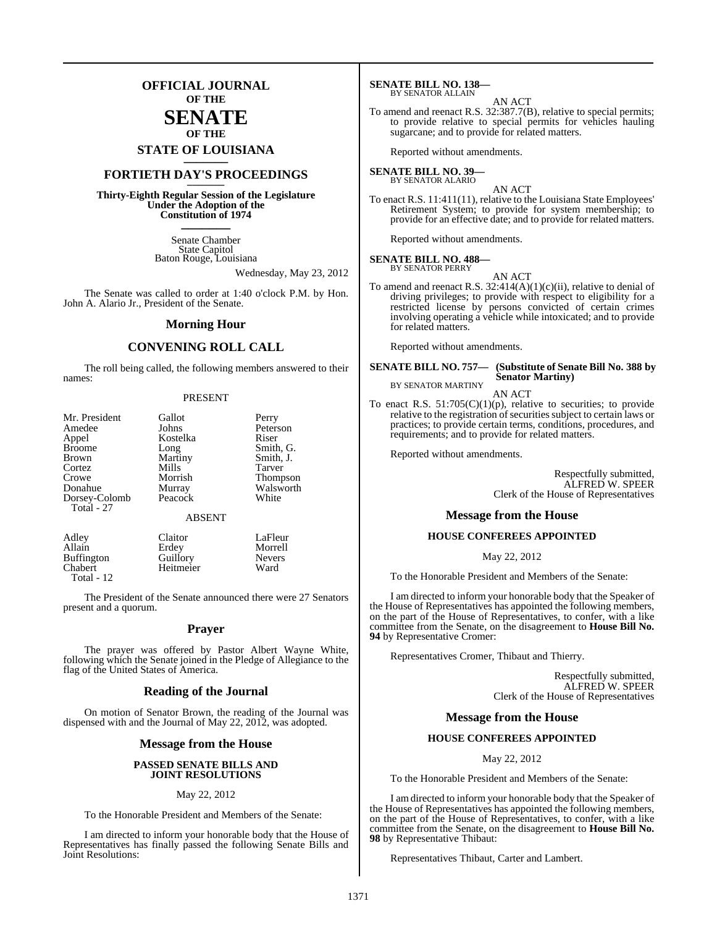### **OFFICIAL JOURNAL OF THE**

#### **SENATE OF THE**

# **STATE OF LOUISIANA \_\_\_\_\_\_\_**

### **FORTIETH DAY'S PROCEEDINGS \_\_\_\_\_\_\_**

**Thirty-Eighth Regular Session of the Legislature Under the Adoption of the Constitution of 1974 \_\_\_\_\_\_\_**

> Senate Chamber State Capitol Baton Rouge, Louisiana

> > Wednesday, May 23, 2012

The Senate was called to order at 1:40 o'clock P.M. by Hon. John A. Alario Jr., President of the Senate.

#### **Morning Hour**

### **CONVENING ROLL CALL**

The roll being called, the following members answered to their names:

#### PRESENT

| Mr. President               | Gallot        | Perry           |
|-----------------------------|---------------|-----------------|
| Amedee                      | Johns         | Peterson        |
| Appel                       | Kostelka      | Riser           |
| <b>Broome</b>               | Long          | Smith, G.       |
| <b>Brown</b>                | Martiny       | Smith, J.       |
| Cortez                      | Mills         | Tarver          |
| Crowe                       | Morrish       | <b>Thompson</b> |
| Donahue                     | Murray        | Walsworth       |
| Dorsey-Colomb<br>Total - 27 | Peacock       | White           |
|                             | <b>ABSENT</b> |                 |
|                             |               |                 |

| Adley             | Claitor   | LaFleur       |
|-------------------|-----------|---------------|
| Allain            | Erdev     | Morrell       |
| <b>Buffington</b> | Guillory  | <b>Nevers</b> |
| Chabert           | Heitmeier | Ward          |
| Total - $12$      |           |               |

The President of the Senate announced there were 27 Senators present and a quorum.

#### **Prayer**

The prayer was offered by Pastor Albert Wayne White, following which the Senate joined in the Pledge of Allegiance to the flag of the United States of America.

#### **Reading of the Journal**

On motion of Senator Brown, the reading of the Journal was dispensed with and the Journal of May 22, 2012, was adopted.

#### **Message from the House**

#### **PASSED SENATE BILLS AND JOINT RESOLUTIONS**

#### May 22, 2012

To the Honorable President and Members of the Senate:

I am directed to inform your honorable body that the House of Representatives has finally passed the following Senate Bills and Joint Resolutions:

**SENATE BILL NO. 138—** BY SENATOR ALLAIN

#### AN ACT

To amend and reenact R.S. 32:387.7(B), relative to special permits; to provide relative to special permits for vehicles hauling sugarcane; and to provide for related matters.

Reported without amendments.

#### **SENATE BILL NO. 39—** BY SENATOR ALARIO

### AN ACT

To enact R.S. 11:411(11), relative to the Louisiana State Employees' Retirement System; to provide for system membership; to provide for an effective date; and to provide for related matters.

Reported without amendments.

#### **SENATE BILL NO. 488** BY SENATOR PERRY

AN ACT

To amend and reenact R.S. 32:414(A)(1)(c)(ii), relative to denial of driving privileges; to provide with respect to eligibility for a restricted license by persons convicted of certain crimes involving operating a vehicle while intoxicated; and to provide for related matters.

Reported without amendments.

#### **SENATE BILL NO. 757— (Substitute of Senate Bill No. 388 by Senator Martiny)** BY SENATOR MARTINY

AN ACT

To enact R.S.  $51:705(C)(1)(p)$ , relative to securities; to provide relative to the registration of securities subject to certain laws or practices; to provide certain terms, conditions, procedures, and requirements; and to provide for related matters.

Reported without amendments.

Respectfully submitted, ALFRED W. SPEER Clerk of the House of Representatives

#### **Message from the House**

#### **HOUSE CONFEREES APPOINTED**

May 22, 2012

To the Honorable President and Members of the Senate:

I am directed to inform your honorable body that the Speaker of the House of Representatives has appointed the following members, on the part of the House of Representatives, to confer, with a like committee from the Senate, on the disagreement to **House Bill No. 94** by Representative Cromer:

Representatives Cromer, Thibaut and Thierry.

Respectfully submitted, ALFRED W. SPEER Clerk of the House of Representatives

#### **Message from the House**

#### **HOUSE CONFEREES APPOINTED**

May 22, 2012

To the Honorable President and Members of the Senate:

I am directed to inform your honorable body that the Speaker of the House of Representatives has appointed the following members, on the part of the House of Representatives, to confer, with a like committee from the Senate, on the disagreement to **House Bill No. 98** by Representative Thibaut:

Representatives Thibaut, Carter and Lambert.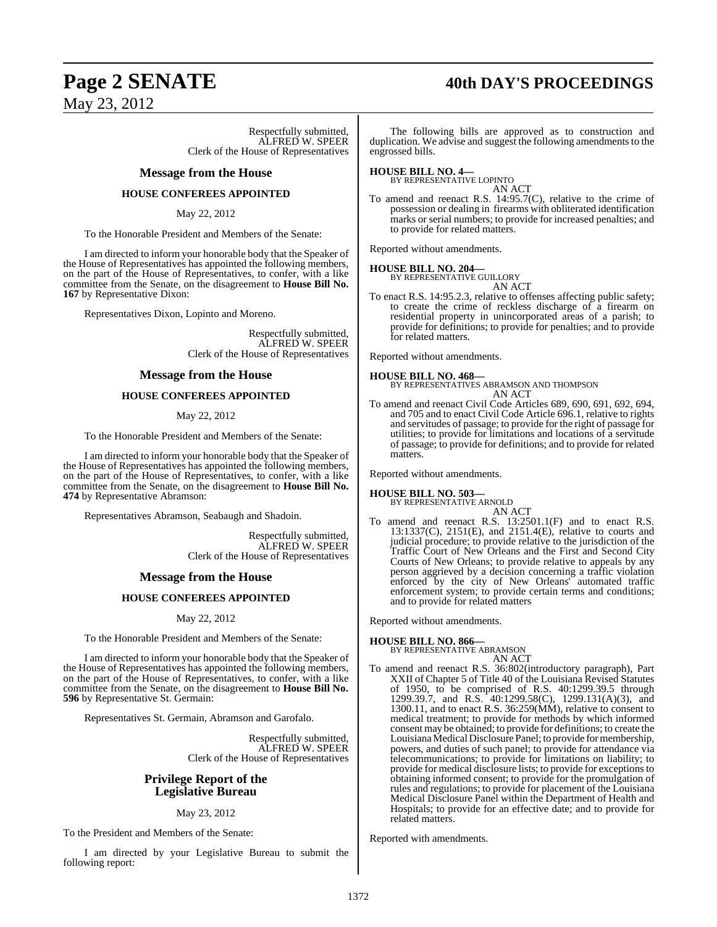## **Page 2 SENATE 40th DAY'S PROCEEDINGS**

May 23, 2012

Respectfully submitted, ALFRED W. SPEER Clerk of the House of Representatives

#### **Message from the House**

#### **HOUSE CONFEREES APPOINTED**

#### May 22, 2012

To the Honorable President and Members of the Senate:

I am directed to inform your honorable body that the Speaker of the House of Representatives has appointed the following members, on the part of the House of Representatives, to confer, with a like committee from the Senate, on the disagreement to **House Bill No. 167** by Representative Dixon:

Representatives Dixon, Lopinto and Moreno.

Respectfully submitted, ALFRED W. SPEER Clerk of the House of Representatives

#### **Message from the House**

#### **HOUSE CONFEREES APPOINTED**

#### May 22, 2012

To the Honorable President and Members of the Senate:

I am directed to inform your honorable body that the Speaker of the House of Representatives has appointed the following members, on the part of the House of Representatives, to confer, with a like committee from the Senate, on the disagreement to **House Bill No. 474** by Representative Abramson:

Representatives Abramson, Seabaugh and Shadoin.

Respectfully submitted, ALFRED W. SPEER Clerk of the House of Representatives

#### **Message from the House**

#### **HOUSE CONFEREES APPOINTED**

May 22, 2012

To the Honorable President and Members of the Senate:

I am directed to inform your honorable body that the Speaker of the House of Representatives has appointed the following members, on the part of the House of Representatives, to confer, with a like committee from the Senate, on the disagreement to **House Bill No. 596** by Representative St. Germain:

Representatives St. Germain, Abramson and Garofalo.

Respectfully submitted, ALFRED W. SPEER Clerk of the House of Representatives

#### **Privilege Report of the Legislative Bureau**

May 23, 2012

To the President and Members of the Senate:

I am directed by your Legislative Bureau to submit the following report:

The following bills are approved as to construction and duplication. We advise and suggest the following amendments to the engrossed bills.

**HOUSE BILL NO. 4—** BY REPRESENTATIVE LOPINTO

AN ACT

To amend and reenact R.S. 14:95.7(C), relative to the crime of possession or dealing in firearms with obliterated identification marks or serial numbers; to provide for increased penalties; and to provide for related matters.

Reported without amendments.

#### **HOUSE BILL NO. 204—**

BY REPRESENTATIVE GUILLORY AN ACT

To enact R.S. 14:95.2.3, relative to offenses affecting public safety; to create the crime of reckless discharge of a firearm on residential property in unincorporated areas of a parish; to provide for definitions; to provide for penalties; and to provide for related matters.

Reported without amendments.

#### **HOUSE BILL NO. 468—**

BY REPRESENTATIVES ABRAMSON AND THOMPSON AN ACT

To amend and reenact Civil Code Articles 689, 690, 691, 692, 694, and 705 and to enact Civil Code Article 696.1, relative to rights and servitudes of passage; to provide for the right of passage for utilities; to provide for limitations and locations of a servitude of passage; to provide for definitions; and to provide for related matters.

Reported without amendments.

#### **HOUSE BILL NO. 503—**

BY REPRESENTATIVE ARNOLD AN ACT

To amend and reenact R.S. 13:2501.1(F) and to enact R.S.  $13:1337(C)$ ,  $2151(E)$ , and  $2151.4(E)$ , relative to courts and judicial procedure; to provide relative to the jurisdiction of the Traffic Court of New Orleans and the First and Second City Courts of New Orleans; to provide relative to appeals by any person aggrieved by a decision concerning a traffic violation enforced by the city of New Orleans' automated traffic enforcement system; to provide certain terms and conditions; and to provide for related matters

Reported without amendments.

#### **HOUSE BILL NO. 866—**

BY REPRESENTATIVE ABRAMSON

- AN ACT
- To amend and reenact R.S. 36:802(introductory paragraph), Part XXII of Chapter 5 of Title 40 of the Louisiana Revised Statutes of 1950, to be comprised of R.S. 40:1299.39.5 through 1299.39.7, and R.S. 40:1299.58(C), 1299.131(A)(3), and 1300.11, and to enact R.S. 36:259(MM), relative to consent to medical treatment; to provide for methods by which informed consent may be obtained; to provide for definitions; to create the Louisiana Medical Disclosure Panel; to provide for membership, powers, and duties of such panel; to provide for attendance via telecommunications; to provide for limitations on liability; to provide for medical disclosure lists; to provide for exceptionsto obtaining informed consent; to provide for the promulgation of rules and regulations; to provide for placement of the Louisiana Medical Disclosure Panel within the Department of Health and Hospitals; to provide for an effective date; and to provide for related matters.

Reported with amendments.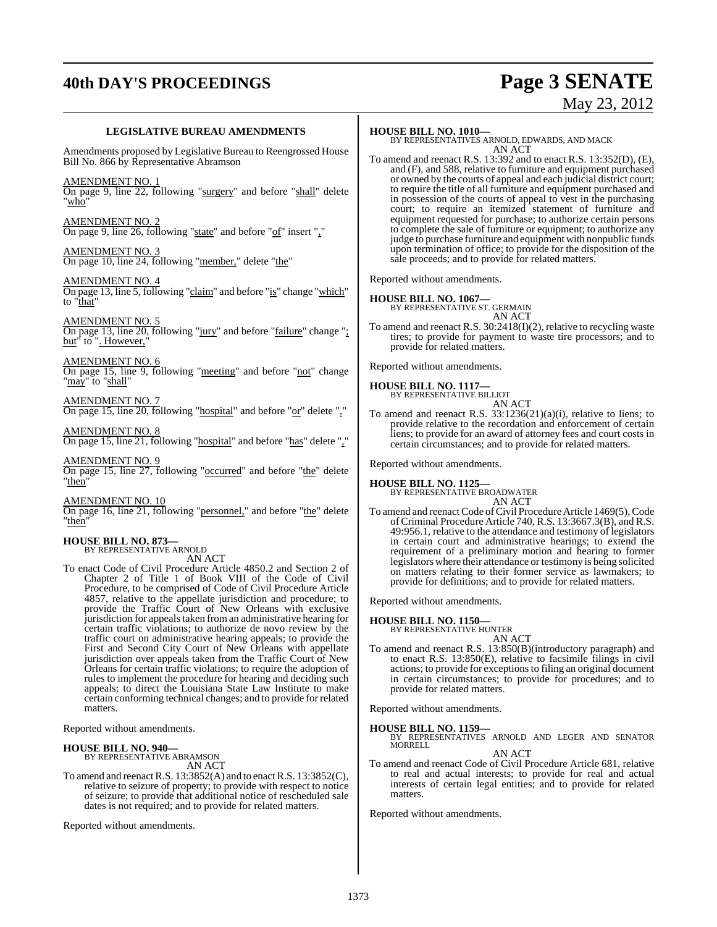# **40th DAY'S PROCEEDINGS Page 3 SENATE**

# May 23, 2012

#### **LEGISLATIVE BUREAU AMENDMENTS**

Amendments proposed by Legislative Bureau to Reengrossed House Bill No. 866 by Representative Abramson

AMENDMENT NO. 1

On page 9, line 22, following "surgery" and before "shall" delete "who"

AMENDMENT NO. 2 On page 9, line 26, following "state" and before "of" insert ","

AMENDMENT NO. 3 On page 10, line 24, following "member," delete "the"

AMENDMENT NO. 4 On page 13, line 5, following "claim" and before "is" change "which" to "that"

AMENDMENT NO. 5 On page 13, line 20, following "jury" and before "failure" change "; but" to ". However,"

AMENDMENT NO. 6 On page 15, line 9, following "meeting" and before "not" change "may" to "shall"

AMENDMENT NO. 7 On page 15, line 20, following "hospital" and before "or" delete ","

AMENDMENT NO. 8 On page 15, line 21, following "hospital" and before "has" delete ","

AMENDMENT NO. 9 On page 15, line 27, following "occurred" and before "the" delete "then"

AMENDMENT NO. 10 On page 16, line 21, following "personnel," and before "the" delete "then"

# **HOUSE BILL NO. 873—** BY REPRESENTATIVE ARNOLD

AN ACT

To enact Code of Civil Procedure Article 4850.2 and Section 2 of Chapter 2 of Title 1 of Book VIII of the Code of Civil Procedure, to be comprised of Code of Civil Procedure Article 4857, relative to the appellate jurisdiction and procedure; to provide the Traffic Court of New Orleans with exclusive jurisdiction for appealstaken froman administrative hearing for certain traffic violations; to authorize de novo review by the traffic court on administrative hearing appeals; to provide the First and Second City Court of New Orleans with appellate jurisdiction over appeals taken from the Traffic Court of New Orleans for certain traffic violations; to require the adoption of rules to implement the procedure for hearing and deciding such appeals; to direct the Louisiana State Law Institute to make certain conforming technical changes; and to provide for related matters.

Reported without amendments.

### **HOUSE BILL NO. 940—** BY REPRESENTATIVE ABRAMSON

AN ACT

To amend and reenactR.S. 13:3852(A) and to enactR.S. 13:3852(C), relative to seizure of property; to provide with respect to notice of seizure; to provide that additional notice of rescheduled sale dates is not required; and to provide for related matters.

Reported without amendments.

#### **HOUSE BILL NO. 1010—**

#### BY REPRESENTATIVES ARNOLD, EDWARDS, AND MACK AN ACT

To amend and reenact R.S. 13:392 and to enact R.S. 13:352(D), (E), and (F), and 588, relative to furniture and equipment purchased or owned by the courts of appeal and each judicial district court; to require the title of all furniture and equipment purchased and in possession of the courts of appeal to vest in the purchasing court; to require an itemized statement of furniture and equipment requested for purchase; to authorize certain persons to complete the sale of furniture or equipment; to authorize any judge to purchase furniture and equipment with nonpublic funds upon termination of office; to provide for the disposition of the sale proceeds; and to provide for related matters.

Reported without amendments.

#### **HOUSE BILL NO. 1067—**

BY REPRESENTATIVE ST. GERMAIN AN ACT

To amend and reenact R.S. 30:2418(I)(2), relative to recycling waste tires; to provide for payment to waste tire processors; and to provide for related matters.

Reported without amendments.

**HOUSE BILL NO. 1117—** BY REPRESENTATIVE BILLIOT

### AN ACT

To amend and reenact R.S. 33:1236(21)(a)(i), relative to liens; to provide relative to the recordation and enforcement of certain liens; to provide for an award of attorney fees and court costs in certain circumstances; and to provide for related matters.

Reported without amendments.

**HOUSE BILL NO. 1125—** BY REPRESENTATIVE BROADWATER AN ACT

To amend and reenact Code of Civil Procedure Article 1469(5), Code of Criminal Procedure Article 740, R.S. 13:3667.3(B), and R.S. 49:956.1, relative to the attendance and testimony of legislators in certain court and administrative hearings; to extend the requirement of a preliminary motion and hearing to former legislators where their attendance or testimony is being solicited on matters relating to their former service as lawmakers; to provide for definitions; and to provide for related matters.

Reported without amendments.

### **HOUSE BILL NO. 1150—**

BY REPRESENTATIVE HUNTER

AN ACT To amend and reenact R.S. 13:850(B)(introductory paragraph) and to enact R.S. 13:850(E), relative to facsimile filings in civil actions; to provide for exceptionsto filing an original document in certain circumstances; to provide for procedures; and to provide for related matters.

Reported without amendments.

#### **HOUSE BILL NO. 1159—**

BY REPRESENTATIVES ARNOLD AND LEGER AND SENATOR MORRELL

AN ACT

To amend and reenact Code of Civil Procedure Article 681, relative to real and actual interests; to provide for real and actual interests of certain legal entities; and to provide for related matters.

Reported without amendments.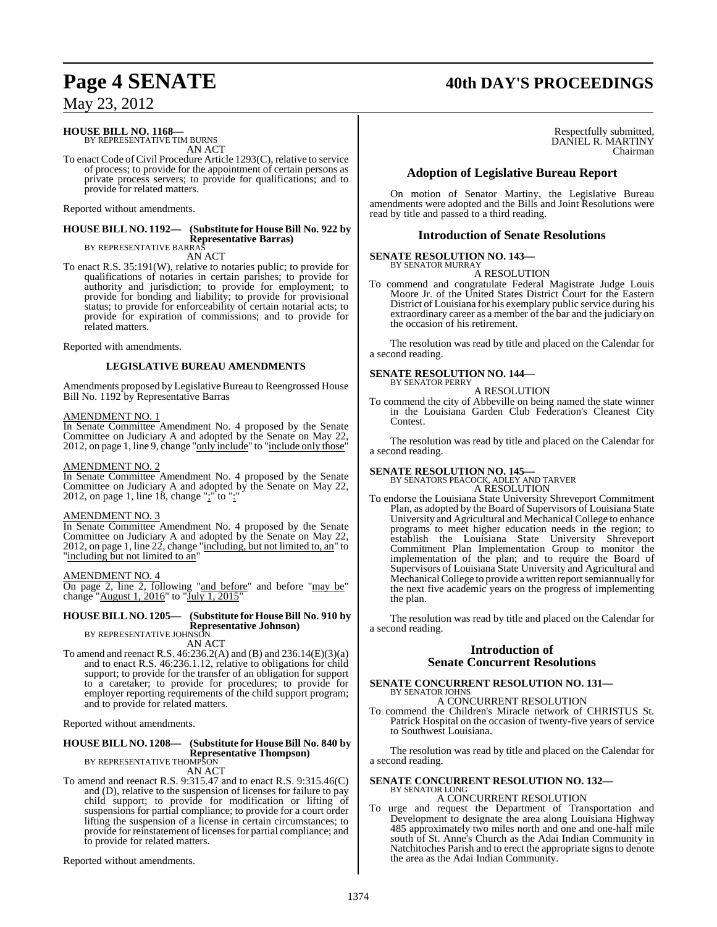## **Page 4 SENATE 40th DAY'S PROCEEDINGS**

May 23, 2012

### **HOUSE BILL NO. 1168—** BY REPRESENTATIVE TIM BURNS

AN ACT

To enact Code of Civil Procedure Article 1293(C), relative to service of process; to provide for the appointment of certain persons as private process servers; to provide for qualifications; and to provide for related matters.

Reported without amendments.

#### **HOUSE BILL NO. 1192— (Substitute for HouseBill No. 922 by Representative Barras)** BY REPRESENTATIVE BARRAS

AN ACT

To enact R.S. 35:191(W), relative to notaries public; to provide for qualifications of notaries in certain parishes; to provide for authority and jurisdiction; to provide for employment; to provide for bonding and liability; to provide for provisional status; to provide for enforceability of certain notarial acts; to provide for expiration of commissions; and to provide for related matters.

Reported with amendments.

#### **LEGISLATIVE BUREAU AMENDMENTS**

Amendments proposed by Legislative Bureau to Reengrossed House Bill No. 1192 by Representative Barras

#### AMENDMENT NO. 1

In Senate Committee Amendment No. 4 proposed by the Senate Committee on Judiciary A and adopted by the Senate on May 22, 2012, on page 1, line 9, change "only include" to "include only those"

#### AMENDMENT NO. 2

In Senate Committee Amendment No. 4 proposed by the Senate Committee on Judiciary A and adopted by the Senate on May 22, 2012, on page 1, line 18, change " $\cdot$ " to ":

#### AMENDMENT NO. 3

In Senate Committee Amendment No. 4 proposed by the Senate Committee on Judiciary A and adopted by the Senate on May 22, 2012, on page 1, line 22, change "including, but not limited to, an" to "including but not limited to an"

#### AMENDMENT NO. 4

On page 2, line 2, following "and before" and before "may be" change "August 1, 2016" to "July 1, 2015"

#### **HOUSE BILL NO. 1205— (Substitute for HouseBill No. 910 by Representative Johnson)**

BY REPRESENTATIVE JOHNSON AN ACT

To amend and reenact R.S. 46:236.2(A) and (B) and 236.14(E)(3)(a) and to enact R.S. 46:236.1.12, relative to obligations for child support; to provide for the transfer of an obligation for support to a caretaker; to provide for procedures; to provide for employer reporting requirements of the child support program; and to provide for related matters.

Reported without amendments.

#### **HOUSE BILL NO. 1208— (Substitute for HouseBill No. 840 by Representative Thompson)** BY REPRESENTATIVE THOMPSON AN ACT

To amend and reenact R.S. 9:315.47 and to enact R.S. 9:315.46(C) and (D), relative to the suspension of licenses for failure to pay child support; to provide for modification or lifting of suspensions for partial compliance; to provide for a court order lifting the suspension of a license in certain circumstances; to provide for reinstatement of licenses for partial compliance; and to provide for related matters.

Reported without amendments.

#### Respectfully submitted, DANIEL R. MARTINY Chairman

#### **Adoption of Legislative Bureau Report**

On motion of Senator Martiny, the Legislative Bureau amendments were adopted and the Bills and Joint Resolutions were read by title and passed to a third reading.

#### **Introduction of Senate Resolutions**

#### **SENATE RESOLUTION NO. 143—**

BY SENATOR MURRAY A RESOLUTION

To commend and congratulate Federal Magistrate Judge Louis Moore Jr. of the United States District Court for the Eastern District of Louisiana for his exemplary public service during his extraordinary career as a member of the bar and the judiciary on the occasion of his retirement.

The resolution was read by title and placed on the Calendar for a second reading.

#### **SENATE RESOLUTION NO. 144—** BY SENATOR PERRY

A RESOLUTION

To commend the city of Abbeville on being named the state winner in the Louisiana Garden Club Federation's Cleanest City Contest.

The resolution was read by title and placed on the Calendar for a second reading.

**SENATE RESOLUTION NO. 145—** BY SENATORS PEACOCK, ADLEY AND TARVER A RESOLUTION

To endorse the Louisiana State University Shreveport Commitment Plan, as adopted by the Board of Supervisors of Louisiana State University and Agricultural and Mechanical College to enhance programs to meet higher education needs in the region; to establish the Louisiana State University Shreveport Commitment Plan Implementation Group to monitor the implementation of the plan; and to require the Board of Supervisors of Louisiana State University and Agricultural and Mechanical College to provide a written report semiannually for the next five academic years on the progress of implementing the plan.

The resolution was read by title and placed on the Calendar for a second reading.

### **Introduction of Senate Concurrent Resolutions**

#### **SENATE CONCURRENT RESOLUTION NO. 131—** BY SENATOR JOHNS

A CONCURRENT RESOLUTION To commend the Children's Miracle network of CHRISTUS St.

Patrick Hospital on the occasion of twenty-five years of service to Southwest Louisiana.

The resolution was read by title and placed on the Calendar for a second reading.

#### **SENATE CONCURRENT RESOLUTION NO. 132—** BY SENATOR LONG

A CONCURRENT RESOLUTION

To urge and request the Department of Transportation and Development to designate the area along Louisiana Highway 485 approximately two miles north and one and one-half mile south of St. Anne's Church as the Adai Indian Community in Natchitoches Parish and to erect the appropriate signs to denote the area as the Adai Indian Community.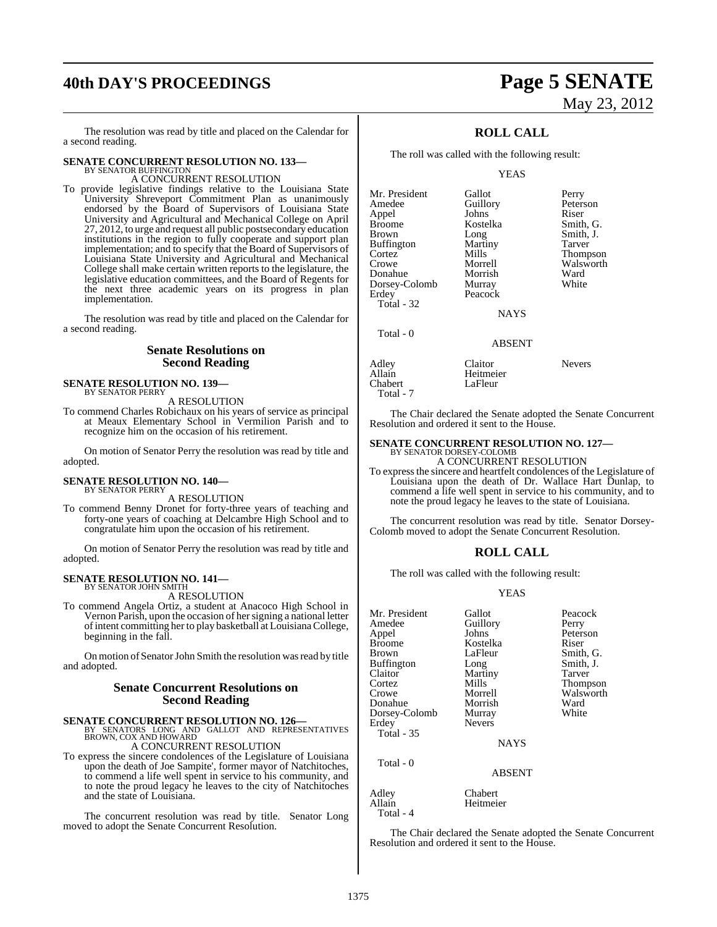# **40th DAY'S PROCEEDINGS Page 5 SENATE**

The resolution was read by title and placed on the Calendar for a second reading.

### **SENATE CONCURRENT RESOLUTION NO. 133-BY SENATOR BUFFINGTON**

A CONCURRENT RESOLUTION

To provide legislative findings relative to the Louisiana State University Shreveport Commitment Plan as unanimously endorsed by the Board of Supervisors of Louisiana State University and Agricultural and Mechanical College on April 27, 2012, to urge and request all public postsecondary education institutions in the region to fully cooperate and support plan implementation; and to specify that the Board of Supervisors of Louisiana State University and Agricultural and Mechanical College shall make certain written reports to the legislature, the legislative education committees, and the Board of Regents for the next three academic years on its progress in plan implementation.

The resolution was read by title and placed on the Calendar for a second reading.

#### **Senate Resolutions on Second Reading**

### **SENATE RESOLUTION NO. 139—** BY SENATOR PERRY

A RESOLUTION

To commend Charles Robichaux on his years of service as principal at Meaux Elementary School in Vermilion Parish and to recognize him on the occasion of his retirement.

On motion of Senator Perry the resolution was read by title and adopted.

#### **SENATE RESOLUTION NO. 140—** BY SENATOR PERRY

A RESOLUTION

To commend Benny Dronet for forty-three years of teaching and forty-one years of coaching at Delcambre High School and to congratulate him upon the occasion of his retirement.

On motion of Senator Perry the resolution was read by title and adopted.

# **SENATE RESOLUTION NO. 141—** BY SENATOR JOHN SMITH

A RESOLUTION

To commend Angela Ortiz, a student at Anacoco High School in Vernon Parish, upon the occasion of her signing a national letter ofintent committing her to play basketball at LouisianaCollege, beginning in the fall.

On motion of Senator John Smith the resolution was read by title and adopted.

### **Senate Concurrent Resolutions on Second Reading**

# **SENATE CONCURRENT RESOLUTION NO. 126—**<br>BY SENATORS LONG AND GALLOT AND REPRESENTATIVES<br>BROWN, COX AND HOWARD

A CONCURRENT RESOLUTION

To express the sincere condolences of the Legislature of Louisiana upon the death of Joe Sampite', former mayor of Natchitoches, to commend a life well spent in service to his community, and to note the proud legacy he leaves to the city of Natchitoches and the state of Louisiana.

The concurrent resolution was read by title. Senator Long moved to adopt the Senate Concurrent Resolution.

# May 23, 2012

### **ROLL CALL**

The roll was called with the following result:

YEAS

| Mr. President     | Gallot      | Perry           |
|-------------------|-------------|-----------------|
| Amedee            | Guillory    | Peterson        |
| Appel             | Johns       | Riser           |
| <b>Broome</b>     | Kostelka    | Smith, G.       |
| <b>Brown</b>      | Long        | Smith, J.       |
| <b>Buffington</b> | Martiny     | Tarver          |
| Cortez            | Mills       | <b>Thompson</b> |
| Crowe             | Morrell     | Walsworth       |
| Donahue           | Morrish     | Ward            |
| Dorsey-Colomb     | Murray      | White           |
| Erdey             | Peacock     |                 |
| Total - 32        |             |                 |
|                   | <b>NAYS</b> |                 |
| Total - 0         |             |                 |

ABSENT

| Adley     | Claitor   | <b>Nevers</b> |
|-----------|-----------|---------------|
| Allain    | Heitmeier |               |
| Chabert   | LaFleur   |               |
| Total - 7 |           |               |

The Chair declared the Senate adopted the Senate Concurrent Resolution and ordered it sent to the House.

# **SENATE CONCURRENT RESOLUTION NO. 127—**<br>BY SENATOR DORSEY-COLOMB<br>A CONCURRENT RESOLUTION

To expressthe sincere and heartfelt condolences of the Legislature of Louisiana upon the death of Dr. Wallace Hart Dunlap, to commend a life well spent in service to his community, and to note the proud legacy he leaves to the state of Louisiana.

The concurrent resolution was read by title. Senator Dorsey-Colomb moved to adopt the Senate Concurrent Resolution.

### **ROLL CALL**

The roll was called with the following result:

#### YEAS

| Mr. President<br>Amedee<br>Appel<br><b>Broome</b><br><b>Brown</b><br><b>Buffington</b><br>Claitor | Gallot<br>Guillory<br>Johns<br>Kostelka<br>LaFleur<br>Long<br>Martiny | Peacock<br>Perry<br>Peterson<br>Riser<br>Smith, G.<br>Smith, J.<br>Tarver |
|---------------------------------------------------------------------------------------------------|-----------------------------------------------------------------------|---------------------------------------------------------------------------|
|                                                                                                   |                                                                       |                                                                           |
| Cortez<br>Crowe                                                                                   | Mills<br>Morrell                                                      | Thompson<br>Walsworth                                                     |
| Donahue<br>Dorsey-Colomb                                                                          | Morrish<br>Murray                                                     | Ward<br>White                                                             |
| Erdey<br><b>Total - 35</b>                                                                        | <b>Nevers</b>                                                         |                                                                           |
|                                                                                                   | <b>NAYS</b>                                                           |                                                                           |
| Total - 0                                                                                         | ABSENT                                                                |                                                                           |

Heitmeier

Adley Chabert<br>Allain Heitmei Total - 4

The Chair declared the Senate adopted the Senate Concurrent Resolution and ordered it sent to the House.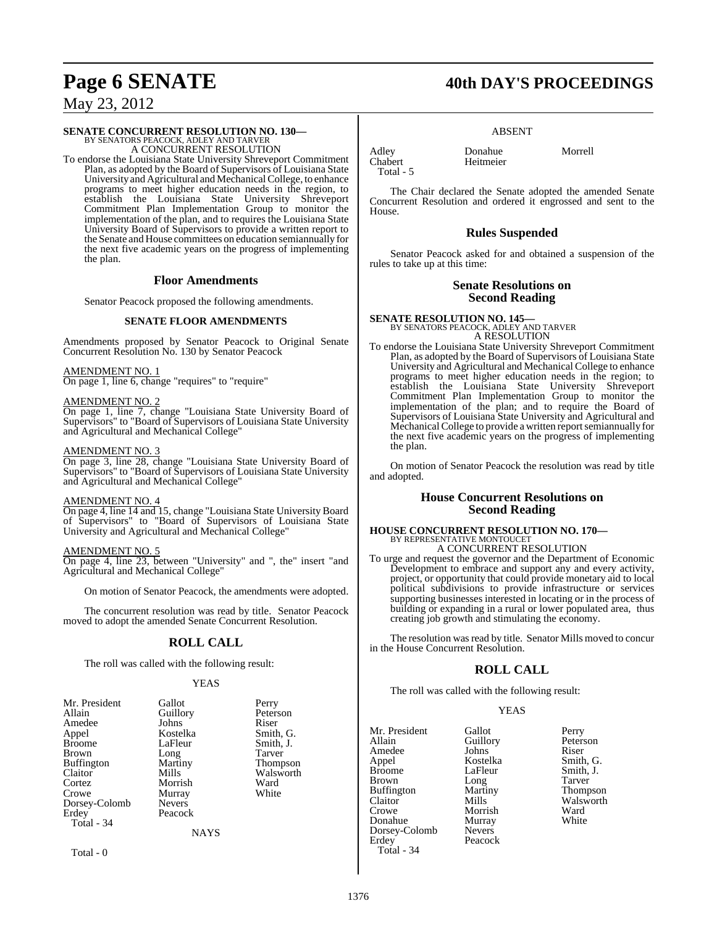# **SENATE CONCURRENT RESOLUTION NO. 130—** BY SENATORS PEACOCK, ADLEY AND TARVER A CONCURRENT RESOLUTION

To endorse the Louisiana State University Shreveport Commitment Plan, as adopted by the Board of Supervisors of Louisiana State University and Agricultural and Mechanical College, to enhance programs to meet higher education needs in the region, to establish the Louisiana State University Shreveport Commitment Plan Implementation Group to monitor the implementation of the plan, and to requires the Louisiana State University Board of Supervisors to provide a written report to the Senate and House committees on education semiannually for the next five academic years on the progress of implementing the plan.

#### **Floor Amendments**

Senator Peacock proposed the following amendments.

#### **SENATE FLOOR AMENDMENTS**

Amendments proposed by Senator Peacock to Original Senate Concurrent Resolution No. 130 by Senator Peacock

#### AMENDMENT NO. 1

On page 1, line 6, change "requires" to "require"

#### AMENDMENT NO. 2

On page 1, line 7, change "Louisiana State University Board of Supervisors" to "Board of Supervisors of Louisiana State University and Agricultural and Mechanical College"

#### AMENDMENT NO. 3

On page 3, line 28, change "Louisiana State University Board of Supervisors" to "Board of Supervisors of Louisiana State University and Agricultural and Mechanical College"

#### AMENDMENT NO. 4

On page 4, line 14 and 15, change "Louisiana State University Board of Supervisors" to "Board of Supervisors of Louisiana State University and Agricultural and Mechanical College"

### AMENDMENT NO. 5

On page 4, line 23, between "University" and ", the" insert "and Agricultural and Mechanical College"

On motion of Senator Peacock, the amendments were adopted.

The concurrent resolution was read by title. Senator Peacock moved to adopt the amended Senate Concurrent Resolution.

### **ROLL CALL**

The roll was called with the following result:

#### YEAS

| Mr. President     | Gallot        | Perry           |
|-------------------|---------------|-----------------|
| Allain            | Guillory      | Peterson        |
| Amedee            | Johns         | Riser           |
| Appel             | Kostelka      | Smith, G.       |
| <b>Broome</b>     | LaFleur       | Smith, J.       |
| <b>Brown</b>      | Long          | Tarver          |
| <b>Buffington</b> | Martiny       | <b>Thompson</b> |
| Claitor           | Mills         | Walsworth       |
| Cortez            | Morrish       | Ward            |
| Crowe             | Murray        | White           |
| Dorsey-Colomb     | <b>Nevers</b> |                 |
| Erdey             | Peacock       |                 |
| Total - 34        |               |                 |
|                   | <b>NAYS</b>   |                 |
|                   |               |                 |

Total - 0

### **Page 6 SENATE 40th DAY'S PROCEEDINGS**

#### ABSENT

Heitmeier

Adley **Donahue** Morrell<br>
Chabert Heitmeier Total - 5

The Chair declared the Senate adopted the amended Senate Concurrent Resolution and ordered it engrossed and sent to the House.

#### **Rules Suspended**

Senator Peacock asked for and obtained a suspension of the rules to take up at this time:

### **Senate Resolutions on Second Reading**

**SENATE RESOLUTION NO. 145—** BY SENATORS PEACOCK, ADLEY AND TARVER A RESOLUTION

To endorse the Louisiana State University Shreveport Commitment Plan, as adopted by the Board of Supervisors of Louisiana State University and Agricultural and Mechanical College to enhance programs to meet higher education needs in the region; to establish the Louisiana State University Shreveport Commitment Plan Implementation Group to monitor the implementation of the plan; and to require the Board of Supervisors of Louisiana State University and Agricultural and Mechanical College to provide a written report semiannually for the next five academic years on the progress of implementing the plan.

On motion of Senator Peacock the resolution was read by title and adopted.

#### **House Concurrent Resolutions on Second Reading**

# **HOUSE CONCURRENT RESOLUTION NO. 170—** BY REPRESENTATIVE MONTOUCET A CONCURRENT RESOLUTION

To urge and request the governor and the Department of Economic Development to embrace and support any and every activity, project, or opportunity that could provide monetary aid to local political subdivisions to provide infrastructure or services supporting businesses interested in locating or in the process of building or expanding in a rural or lower populated area, thus creating job growth and stimulating the economy.

The resolution was read by title. Senator Mills moved to concur in the House Concurrent Resolution.

### **ROLL CALL**

The roll was called with the following result:

#### YEAS

Mr. President Gallot Perry<br>
Allain Guillory Peterson Amedee Johns<br>
Appel Kostelka Appel Kostelka Smith, G. Brown Long Tarver<br>Buffington Martiny Thompson Buffington Martin<br>Claitor Mills Claitor Mills Walsworth Walsworth Walsworth Ward Donahue Murray<br>Dorsey-Colomb Nevers Dorsey-Colomb Erdey Peacock Total - 34

Allain Guillory<br>
Allan Guillors<br>
Biser<br>
Riser LaFleur Smith, J.<br>Long Tarver Morrish Ward<br>
Murray White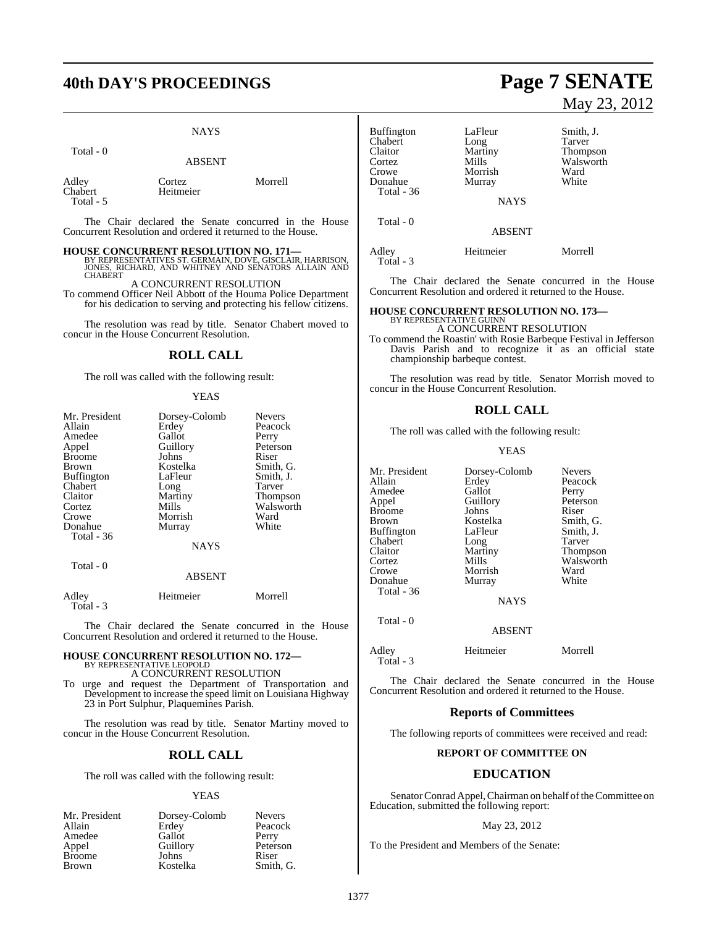## **40th DAY'S PROCEEDINGS Page 7 SENATE**

Total - 0

#### NAYS

|                               | <b>ABSENT</b>       |         |
|-------------------------------|---------------------|---------|
| Adley<br>Chabert<br>Total - 5 | Cortez<br>Heitmeier | Morrell |

The Chair declared the Senate concurred in the House Concurrent Resolution and ordered it returned to the House.

**HOUSE CONCURRENT RESOLUTION NO. 171—**<br>BY REPRESENTATIVES ST. GERMAIN, DOVE, GISCLAIR, HARRISON,<br>JONES, RICHARD, AND WHITNEY AND SENATORS ALLAIN AND<br>CHABERT

#### A CONCURRENT RESOLUTION

To commend Officer Neil Abbott of the Houma Police Department for his dedication to serving and protecting his fellow citizens.

The resolution was read by title. Senator Chabert moved to concur in the House Concurrent Resolution.

#### **ROLL CALL**

The roll was called with the following result:

#### YEAS

| Mr. President<br>Allain<br>Amedee<br>Appel<br><b>Broome</b><br><b>Brown</b><br><b>Buffington</b><br>Chabert<br>Claitor<br>Cortez | Dorsey-Colomb<br>Erdey<br>Gallot<br>Guillory<br>Johns<br>Kostelka<br>LaFleur<br>Long<br>Martiny<br>Mills | <b>Nevers</b><br>Peacock<br>Perry<br>Peterson<br>Riser<br>Smith, G.<br>Smith, J.<br>Tarver<br><b>Thompson</b><br>Walsworth |
|----------------------------------------------------------------------------------------------------------------------------------|----------------------------------------------------------------------------------------------------------|----------------------------------------------------------------------------------------------------------------------------|
| Crowe                                                                                                                            | Morrish                                                                                                  | Ward                                                                                                                       |
| Donahue<br><b>Total - 36</b>                                                                                                     | Murray                                                                                                   | White                                                                                                                      |
|                                                                                                                                  | <b>NAYS</b>                                                                                              |                                                                                                                            |
| Total - 0                                                                                                                        | ABSENT                                                                                                   |                                                                                                                            |

| Adley     | Heitmeier | Morrell |
|-----------|-----------|---------|
| Total - 3 |           |         |

The Chair declared the Senate concurred in the House Concurrent Resolution and ordered it returned to the House.

### **HOUSE CONCURRENT RESOLUTION NO. 172—** BY REPRESENTATIVE LEOPOLD

A CONCURRENT RESOLUTION To urge and request the Department of Transportation and Development to increase the speed limit on Louisiana Highway 23 in Port Sulphur, Plaquemines Parish.

The resolution was read by title. Senator Martiny moved to concur in the House Concurrent Resolution.

#### **ROLL CALL**

The roll was called with the following result:

#### YEAS

| Mr. President | Dorsey-Colomb | <b>Nevers</b> |
|---------------|---------------|---------------|
| Allain        | Erdey         | Peacock       |
| Amedee        | Gallot        | Perry         |
| Appel         | Guillory      | Peterson      |
| <b>Broome</b> | Johns         | Riser         |
| <b>Brown</b>  | Kostelka      | Smith, G.     |

# May 23, 2012

| Buffington<br>Chabert<br>Claitor<br>Cortez<br>Crowe<br>Donahue | LaFleur<br>Long<br>Martiny<br>Mills<br>Morrish<br>Murray | Smith, J.<br>Tarver<br><b>Thompson</b><br>Walsworth<br>Ward<br>White |
|----------------------------------------------------------------|----------------------------------------------------------|----------------------------------------------------------------------|
| Total - 36                                                     | <b>NAYS</b>                                              |                                                                      |
| Total - 0                                                      | <b>ABSENT</b>                                            |                                                                      |
| Adley<br>Total - 3                                             | Heitmeier                                                | Morrell                                                              |

The Chair declared the Senate concurred in the House Concurrent Resolution and ordered it returned to the House.

### **HOUSE CONCURRENT RESOLUTION NO. 173—** BY REPRESENTATIVE GUINN

A CONCURRENT RESOLUTION

To commend the Roastin' with Rosie Barbeque Festival in Jefferson Davis Parish and to recognize it as an official state championship barbeque contest.

The resolution was read by title. Senator Morrish moved to concur in the House Concurrent Resolution.

#### **ROLL CALL**

The roll was called with the following result:

#### YEAS

| Mr. President | Dorsey-Colomb | <b>Nevers</b> |
|---------------|---------------|---------------|
| Allain        | Erdey         | Peacock       |
| Amedee        | Gallot        | Perry         |
| Appel         | Guillory      | Peterson      |
| Broome        | Johns         | Riser         |
| Brown         | Kostelka      | Smith, G.     |
| Buffington    | LaFleur       | Smith, J.     |
| Chabert       | Long          | Tarver        |
| Claitor       | Martiny       | Thompson      |
| Cortez        | Mills         | Walsworth     |
| Crowe         | Morrish       | Ward          |
| Donahue       | Murray        | White         |
| Total - 36    |               |               |
|               | <b>NAYS</b>   |               |
| Total - 0     |               |               |
|               | <b>ABSENT</b> |               |
| Adley         | Heitmeier     | Morrell       |

The Chair declared the Senate concurred in the House Concurrent Resolution and ordered it returned to the House.

#### **Reports of Committees**

The following reports of committees were received and read:

#### **REPORT OF COMMITTEE ON**

#### **EDUCATION**

Senator Conrad Appel, Chairman on behalf of the Committee on Education, submitted the following report:

#### May 23, 2012

To the President and Members of the Senate:

Total - 3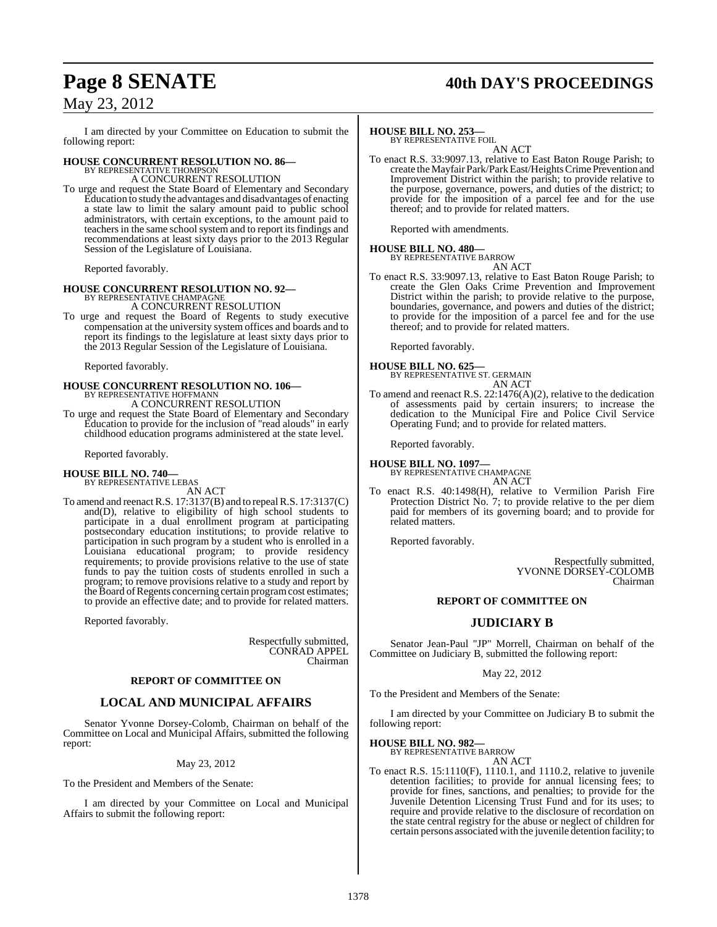## **Page 8 SENATE 40th DAY'S PROCEEDINGS**

### May 23, 2012

I am directed by your Committee on Education to submit the following report:

### **HOUSE CONCURRENT RESOLUTION NO. 86—** BY REPRESENTATIVE THOMPSON

A CONCURRENT RESOLUTION

To urge and request the State Board of Elementary and Secondary Education to study the advantages and disadvantages of enacting a state law to limit the salary amount paid to public school administrators, with certain exceptions, to the amount paid to teachers in the same school system and to report its findings and recommendations at least sixty days prior to the 2013 Regular Session of the Legislature of Louisiana.

Reported favorably.

# **HOUSE CONCURRENT RESOLUTION NO. 92—** BY REPRESENTATIVE CHAMPAGNE

A CONCURRENT RESOLUTION

To urge and request the Board of Regents to study executive compensation at the university system offices and boards and to report its findings to the legislature at least sixty days prior to the 2013 Regular Session of the Legislature of Louisiana.

Reported favorably.

# **HOUSE CONCURRENT RESOLUTION NO. 106—** BY REPRESENTATIVE HOFFMANN

A CONCURRENT RESOLUTION

To urge and request the State Board of Elementary and Secondary Education to provide for the inclusion of "read alouds" in early childhood education programs administered at the state level.

Reported favorably.

#### **HOUSE BILL NO. 740—** BY REPRESENTATIVE LEBAS

AN ACT

To amend and reenactR.S. 17:3137(B) and to repealR.S. 17:3137(C) and(D), relative to eligibility of high school students to participate in a dual enrollment program at participating postsecondary education institutions; to provide relative to participation in such program by a student who is enrolled in a Louisiana educational program; to provide residency requirements; to provide provisions relative to the use of state funds to pay the tuition costs of students enrolled in such a program; to remove provisions relative to a study and report by the Board of Regents concerning certain program cost estimates; to provide an effective date; and to provide for related matters.

Reported favorably.

Respectfully submitted, CONRAD APPEL Chairman

#### **REPORT OF COMMITTEE ON**

### **LOCAL AND MUNICIPAL AFFAIRS**

Senator Yvonne Dorsey-Colomb, Chairman on behalf of the Committee on Local and Municipal Affairs, submitted the following report:

#### May 23, 2012

To the President and Members of the Senate:

I am directed by your Committee on Local and Municipal Affairs to submit the following report:

#### **HOUSE BILL NO. 253—**

BY REPRESENTATIVE FOIL

AN ACT To enact R.S. 33:9097.13, relative to East Baton Rouge Parish; to create theMayfair Park/ParkEast/Heights Crime Prevention and Improvement District within the parish; to provide relative to the purpose, governance, powers, and duties of the district; to provide for the imposition of a parcel fee and for the use thereof; and to provide for related matters.

Reported with amendments.

#### **HOUSE BILL NO. 480—**

BY REPRESENTATIVE BARROW AN ACT

To enact R.S. 33:9097.13, relative to East Baton Rouge Parish; to create the Glen Oaks Crime Prevention and Improvement District within the parish; to provide relative to the purpose, boundaries, governance, and powers and duties of the district; to provide for the imposition of a parcel fee and for the use thereof; and to provide for related matters.

Reported favorably.

**HOUSE BILL NO. 625—** BY REPRESENTATIVE ST. GERMAIN AN ACT

To amend and reenact R.S. 22:1476(A)(2), relative to the dedication of assessments paid by certain insurers; to increase the dedication to the Municipal Fire and Police Civil Service Operating Fund; and to provide for related matters.

Reported favorably.

**HOUSE BILL NO. 1097—** BY REPRESENTATIVE CHAMPAGNE

AN ACT

To enact R.S. 40:1498(H), relative to Vermilion Parish Fire Protection District No. 7; to provide relative to the per diem paid for members of its governing board; and to provide for related matters.

Reported favorably.

Respectfully submitted, YVONNE DORSEY-COLOMB Chairman

#### **REPORT OF COMMITTEE ON**

### **JUDICIARY B**

Senator Jean-Paul "JP" Morrell, Chairman on behalf of the Committee on Judiciary B, submitted the following report:

#### May 22, 2012

To the President and Members of the Senate:

I am directed by your Committee on Judiciary B to submit the following report:

#### **HOUSE BILL NO. 982—**

BY REPRESENTATIVE BARROW AN ACT

To enact R.S. 15:1110(F), 1110.1, and 1110.2, relative to juvenile detention facilities; to provide for annual licensing fees; to provide for fines, sanctions, and penalties; to provide for the Juvenile Detention Licensing Trust Fund and for its uses; to require and provide relative to the disclosure of recordation on the state central registry for the abuse or neglect of children for certain persons associated with the juvenile detention facility; to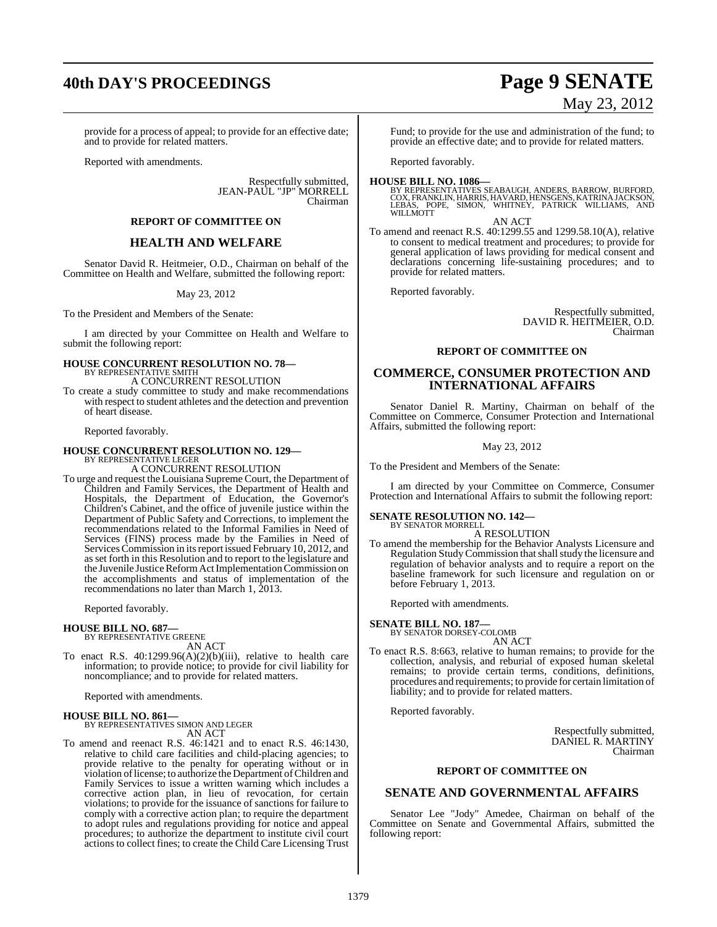# **40th DAY'S PROCEEDINGS Page 9 SENATE**

provide for a process of appeal; to provide for an effective date; and to provide for related matters.

Reported with amendments.

Respectfully submitted, JEAN-PAUL "JP" MORRELL Chairman

#### **REPORT OF COMMITTEE ON**

#### **HEALTH AND WELFARE**

Senator David R. Heitmeier, O.D., Chairman on behalf of the Committee on Health and Welfare, submitted the following report:

May 23, 2012

To the President and Members of the Senate:

I am directed by your Committee on Health and Welfare to submit the following report:

### **HOUSE CONCURRENT RESOLUTION NO. 78—** BY REPRESENTATIVE SMITH A CONCURRENT RESOLUTION

To create a study committee to study and make recommendations with respect to student athletes and the detection and prevention of heart disease.

Reported favorably.

## **HOUSE CONCURRENT RESOLUTION NO. 129—** BY REPRESENTATIVE LEGER

A CONCURRENT RESOLUTION

To urge and request the Louisiana Supreme Court, the Department of Children and Family Services, the Department of Health and Hospitals, the Department of Education, the Governor's Children's Cabinet, and the office of juvenile justice within the Department of Public Safety and Corrections, to implement the recommendations related to the Informal Families in Need of Services (FINS) process made by the Families in Need of Services Commission in its report issued February 10, 2012, and as set forth in this Resolution and to report to the legislature and the Juvenile Justice Reform Act Implementation Commission on the accomplishments and status of implementation of the recommendations no later than March 1, 2013.

Reported favorably.

#### **HOUSE BILL NO. 687—** BY REPRESENTATIVE GREENE

AN ACT

To enact R.S. 40:1299.96(A)(2)(b)(iii), relative to health care information; to provide notice; to provide for civil liability for noncompliance; and to provide for related matters.

Reported with amendments.

#### **HOUSE BILL NO. 861—**

BY REPRESENTATIVES SIMON AND LEGER AN ACT

To amend and reenact R.S. 46:1421 and to enact R.S. 46:1430, relative to child care facilities and child-placing agencies; to provide relative to the penalty for operating without or in violation of license; to authorize the Department of Children and Family Services to issue a written warning which includes a corrective action plan, in lieu of revocation, for certain violations; to provide for the issuance of sanctions for failure to comply with a corrective action plan; to require the department to adopt rules and regulations providing for notice and appeal procedures; to authorize the department to institute civil court actions to collect fines; to create the Child Care Licensing Trust

#### Fund; to provide for the use and administration of the fund; to provide an effective date; and to provide for related matters.

Reported favorably.

**HOUSE BILL NO. 1086—** BY REPRESENTATIVES SEABAUGH, ANDERS, BARROW, BURFORD, COX, FRANKLIN, HARRIS, HAVARD, HENSGENS, KATRINAJACKSON, LEBAS, POPE, SIMON, WHITNEY, PATRICK WILLIAMS, AND WILLMOTT AN ACT

To amend and reenact R.S. 40:1299.55 and 1299.58.10(A), relative to consent to medical treatment and procedures; to provide for general application of laws providing for medical consent and declarations concerning life-sustaining procedures; and to provide for related matters.

Reported favorably.

Respectfully submitted, DAVID R. HEITMEIER, O.D. Chairman

#### **REPORT OF COMMITTEE ON**

#### **COMMERCE, CONSUMER PROTECTION AND INTERNATIONAL AFFAIRS**

Senator Daniel R. Martiny, Chairman on behalf of the Committee on Commerce, Consumer Protection and International Affairs, submitted the following report:

#### May 23, 2012

To the President and Members of the Senate:

I am directed by your Committee on Commerce, Consumer Protection and International Affairs to submit the following report:

#### **SENATE RESOLUTION NO. 142—** BY SENATOR MORRELL

A RESOLUTION

To amend the membership for the Behavior Analysts Licensure and Regulation Study Commission that shall study the licensure and regulation of behavior analysts and to require a report on the baseline framework for such licensure and regulation on or before February 1, 2013.

Reported with amendments.

**SENATE BILL NO. 187—** BY SENATOR DORSEY-COLOMB

- AN ACT
- To enact R.S. 8:663, relative to human remains; to provide for the collection, analysis, and reburial of exposed human skeletal remains; to provide certain terms, conditions, definitions, procedures and requirements; to provide for certain limitation of liability; and to provide for related matters.

Reported favorably.

Respectfully submitted, DANIEL R. MARTINY Chairman

#### **REPORT OF COMMITTEE ON**

#### **SENATE AND GOVERNMENTAL AFFAIRS**

Senator Lee "Jody" Amedee, Chairman on behalf of the Committee on Senate and Governmental Affairs, submitted the following report:

# May 23, 2012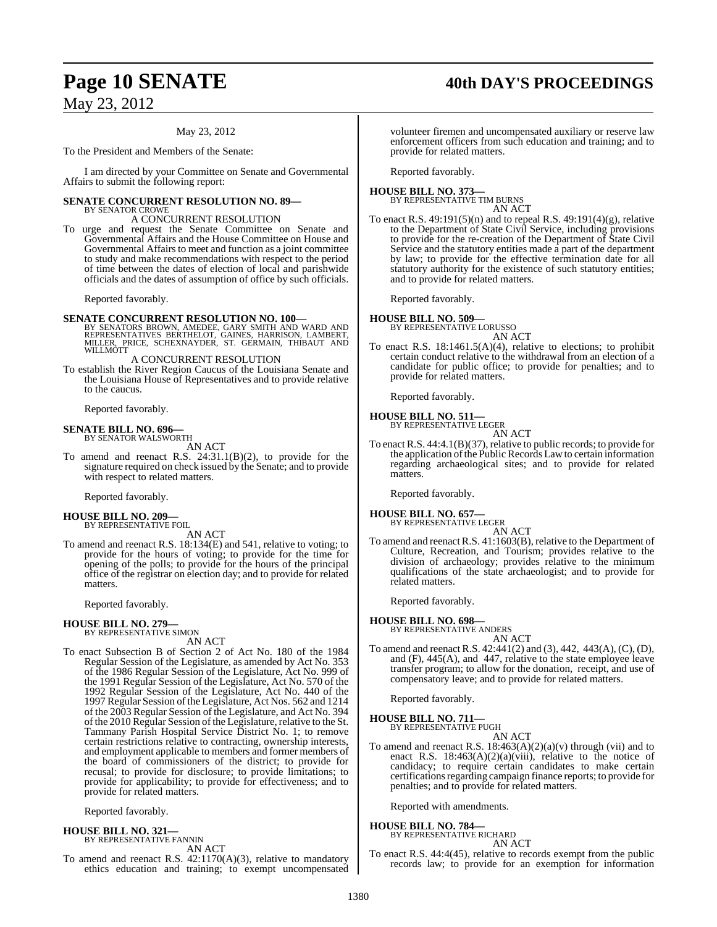# Page 10 **SENATE** 40th DAY'S PROCEEDINGS

May 23, 2012

#### May 23, 2012

To the President and Members of the Senate:

I am directed by your Committee on Senate and Governmental Affairs to submit the following report:

#### **SENATE CONCURRENT RESOLUTION NO. 89—** BY SENATOR CROWE

A CONCURRENT RESOLUTION

To urge and request the Senate Committee on Senate and Governmental Affairs and the House Committee on House and Governmental Affairs to meet and function as a joint committee to study and make recommendations with respect to the period of time between the dates of election of local and parishwide officials and the dates of assumption of office by such officials.

Reported favorably.

# **SENATE CONCURRENT RESOLUTION NO. 100—**<br>BY SENATORS BROWN, AMEDEE, GARY SMITH AND WARD AND<br>REPRESENTATIVES BERTHELOT, GAINES, HARRISON, LAMBERT,<br>MILLER, PRICE, SCHEXNAYDER, ST. GERMAIN, THIBAUT AND WILLMOTT

A CONCURRENT RESOLUTION

To establish the River Region Caucus of the Louisiana Senate and the Louisiana House of Representatives and to provide relative to the caucus.

Reported favorably.

#### **SENATE BILL NO. 696—** BY SENATOR WALSWORTH

AN ACT

To amend and reenact R.S. 24:31.1(B)(2), to provide for the signature required on check issued by the Senate; and to provide with respect to related matters.

Reported favorably.

#### **HOUSE BILL NO. 209—** BY REPRESENTATIVE FOIL

AN ACT

To amend and reenact R.S. 18:134(E) and 541, relative to voting; to provide for the hours of voting; to provide for the time for opening of the polls; to provide for the hours of the principal office of the registrar on election day; and to provide for related matters.

Reported favorably.

### **HOUSE BILL NO. 279—**

BY REPRESENTATIVE SIMON AN ACT

To enact Subsection B of Section 2 of Act No. 180 of the 1984 Regular Session of the Legislature, as amended by Act No. 353 of the 1986 Regular Session of the Legislature, Act No. 999 of the 1991 Regular Session of the Legislature, Act No. 570 of the 1992 Regular Session of the Legislature, Act No. 440 of the 1997 Regular Session ofthe Legislature, Act Nos. 562 and 1214 of the 2003 Regular Session of the Legislature, and Act No. 394 of the 2010 Regular Session of the Legislature, relative to the St. Tammany Parish Hospital Service District No. 1; to remove certain restrictions relative to contracting, ownership interests, and employment applicable to members and former members of the board of commissioners of the district; to provide for recusal; to provide for disclosure; to provide limitations; to provide for applicability; to provide for effectiveness; and to provide for related matters.

Reported favorably.

#### **HOUSE BILL NO. 321—** BY REPRESENTATIVE FANNIN

AN ACT

To amend and reenact R.S. 42:1170(A)(3), relative to mandatory ethics education and training; to exempt uncompensated

volunteer firemen and uncompensated auxiliary or reserve law enforcement officers from such education and training; and to provide for related matters.

Reported favorably.

#### **HOUSE BILL NO. 373—** BY REPRESENTATIVE TIM BURNS AN ACT

To enact R.S.  $49:191(5)(n)$  and to repeal R.S.  $49:191(4)(g)$ , relative to the Department of State Civil Service, including provisions to provide for the re-creation of the Department of State Civil Service and the statutory entities made a part of the department by law; to provide for the effective termination date for all statutory authority for the existence of such statutory entities; and to provide for related matters.

Reported favorably.

#### **HOUSE BILL NO. 509—**

BY REPRESENTATIVE LORUSSO AN ACT

To enact R.S. 18:1461.5(A)(4), relative to elections; to prohibit certain conduct relative to the withdrawal from an election of a candidate for public office; to provide for penalties; and to provide for related matters.

Reported favorably.

#### **HOUSE BILL NO. 511—** BY REPRESENTATIVE LEGER

AN ACT

To enact R.S. 44:4.1(B)(37), relative to public records; to provide for the application ofthe Public Records Lawto certain information regarding archaeological sites; and to provide for related matters.

Reported favorably.

### **HOUSE BILL NO. 657—** BY REPRESENTATIVE LEGER

AN ACT

To amend and reenact R.S. 41:1603(B), relative to the Department of Culture, Recreation, and Tourism; provides relative to the division of archaeology; provides relative to the minimum qualifications of the state archaeologist; and to provide for related matters.

Reported favorably.

#### **HOUSE BILL NO. 698—**

BY REPRESENTATIVE ANDERS

AN ACT To amend and reenact R.S. 42:441(2) and (3), 442, 443(A), (C), (D), and (F), 445(A), and 447, relative to the state employee leave transfer program; to allow for the donation, receipt, and use of compensatory leave; and to provide for related matters.

Reported favorably.

**HOUSE BILL NO. 711** BY REPRESENTATIVE PUGH

AN ACT

To amend and reenact R.S.  $18:463(A)(2)(a)(v)$  through (vii) and to enact R.S.  $18:463(A)(2)(a)(viii)$ , relative to the notice of candidacy; to require certain candidates to make certain certifications regarding campaign finance reports; to provide for penalties; and to provide for related matters.

Reported with amendments.

#### **HOUSE BILL NO. 784—**

BY REPRESENTATIVE RICHARD AN ACT

To enact R.S. 44:4(45), relative to records exempt from the public records law; to provide for an exemption for information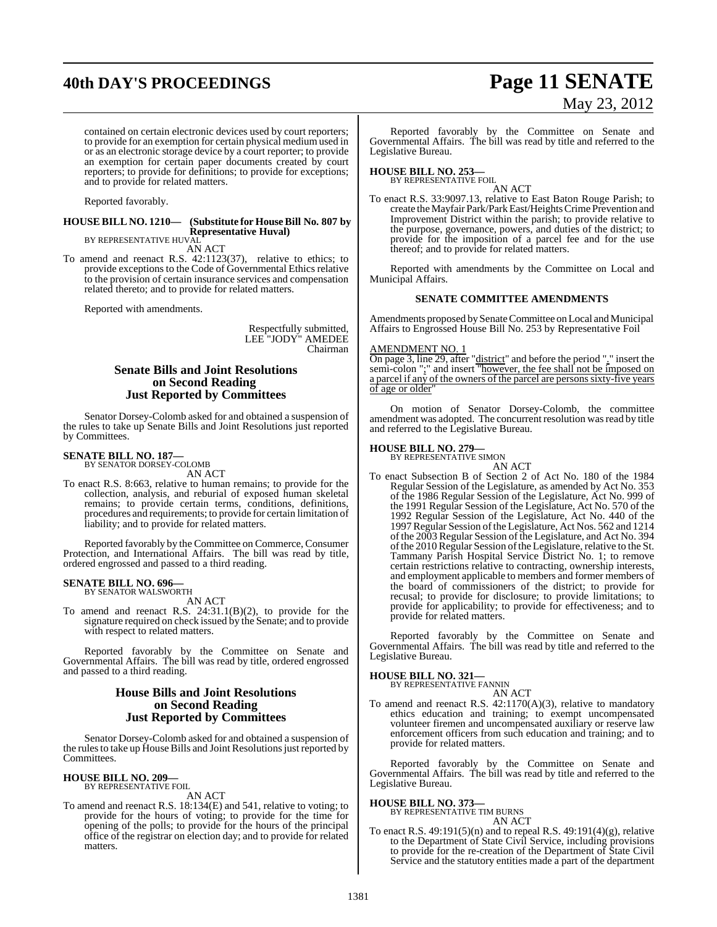# **40th DAY'S PROCEEDINGS Page 11 SENATE**

contained on certain electronic devices used by court reporters; to provide for an exemption for certain physical medium used in or as an electronic storage device by a court reporter; to provide an exemption for certain paper documents created by court reporters; to provide for definitions; to provide for exceptions; and to provide for related matters.

Reported favorably.

#### **HOUSE BILL NO. 1210— (Substitute for HouseBill No. 807 by Representative Huval)** BY REPRESENTATIVE HUVAL

AN ACT

To amend and reenact R.S. 42:1123(37), relative to ethics; to provide exceptions to the Code of Governmental Ethics relative to the provision of certain insurance services and compensation related thereto; and to provide for related matters.

Reported with amendments.

Respectfully submitted, LEE "JODY" AMEDEE Chairman

#### **Senate Bills and Joint Resolutions on Second Reading Just Reported by Committees**

Senator Dorsey-Colomb asked for and obtained a suspension of the rules to take up Senate Bills and Joint Resolutions just reported by Committees.

### **SENATE BILL NO. 187—** BY SENATOR DORSEY-COLOMB

AN ACT

To enact R.S. 8:663, relative to human remains; to provide for the collection, analysis, and reburial of exposed human skeletal remains; to provide certain terms, conditions, definitions, procedures and requirements; to provide for certain limitation of liability; and to provide for related matters.

Reported favorably by the Committee on Commerce, Consumer Protection, and International Affairs. The bill was read by title, ordered engrossed and passed to a third reading.

#### **SENATE BILL NO. 696—** BY SENATOR WALSWORTH

AN ACT

To amend and reenact R.S. 24:31.1(B)(2), to provide for the signature required on check issued by the Senate; and to provide with respect to related matters.

Reported favorably by the Committee on Senate and Governmental Affairs. The bill was read by title, ordered engrossed and passed to a third reading.

#### **House Bills and Joint Resolutions on Second Reading Just Reported by Committees**

Senator Dorsey-Colomb asked for and obtained a suspension of the rules to take up House Bills and Joint Resolutions just reported by Committees.

#### **HOUSE BILL NO. 209—** BY REPRESENTATIVE FOIL

AN ACT

To amend and reenact R.S. 18:134(E) and 541, relative to voting; to provide for the hours of voting; to provide for the time for opening of the polls; to provide for the hours of the principal office of the registrar on election day; and to provide for related matters.

# May 23, 2012

Reported favorably by the Committee on Senate and Governmental Affairs. The bill was read by title and referred to the Legislative Bureau.

### **HOUSE BILL NO. 253—** BY REPRESENTATIVE FOIL

AN ACT To enact R.S. 33:9097.13, relative to East Baton Rouge Parish; to create theMayfair Park/Park East/Heights Crime Prevention and Improvement District within the parish; to provide relative to the purpose, governance, powers, and duties of the district; to provide for the imposition of a parcel fee and for the use thereof; and to provide for related matters.

Reported with amendments by the Committee on Local and Municipal Affairs.

#### **SENATE COMMITTEE AMENDMENTS**

Amendments proposed bySenate Committee on Local and Municipal Affairs to Engrossed House Bill No. 253 by Representative Foil

AMENDMENT NO. 1

On page 3, line 29, after "district" and before the period "." insert the semi-colon ";" and insert "however, the fee shall not be imposed on a parcel if any of the owners of the parcel are persons sixty-five years of age or older"

On motion of Senator Dorsey-Colomb, the committee amendment was adopted. The concurrent resolution was read by title and referred to the Legislative Bureau.

### **HOUSE BILL NO. 279—** BY REPRESENTATIVE SIMON

AN ACT To enact Subsection B of Section 2 of Act No. 180 of the 1984 Regular Session of the Legislature, as amended by Act No. 353 of the 1986 Regular Session of the Legislature, Act No. 999 of the 1991 Regular Session of the Legislature, Act No. 570 of the 1992 Regular Session of the Legislature, Act No. 440 of the 1997Regular Session ofthe Legislature, Act Nos. 562 and 1214 of the 2003 Regular Session of the Legislature, and Act No. 394 of the 2010 Regular Session of the Legislature, relative to the St. Tammany Parish Hospital Service District No. 1; to remove certain restrictions relative to contracting, ownership interests, and employment applicable to members and former members of the board of commissioners of the district; to provide for recusal; to provide for disclosure; to provide limitations; to provide for applicability; to provide for effectiveness; and to provide for related matters.

Reported favorably by the Committee on Senate and Governmental Affairs. The bill was read by title and referred to the Legislative Bureau.

**HOUSE BILL NO. 321—** BY REPRESENTATIVE FANNIN AN ACT

To amend and reenact R.S. 42:1170(A)(3), relative to mandatory ethics education and training; to exempt uncompensated volunteer firemen and uncompensated auxiliary or reserve law enforcement officers from such education and training; and to provide for related matters.

Reported favorably by the Committee on Senate and Governmental Affairs. The bill was read by title and referred to the Legislative Bureau.

#### **HOUSE BILL NO. 373—** BY REPRESENTATIVE TIM BURNS

AN ACT

To enact R.S. 49:191(5)(n) and to repeal R.S. 49:191(4)(g), relative to the Department of State Civil Service, including provisions to provide for the re-creation of the Department of State Civil Service and the statutory entities made a part of the department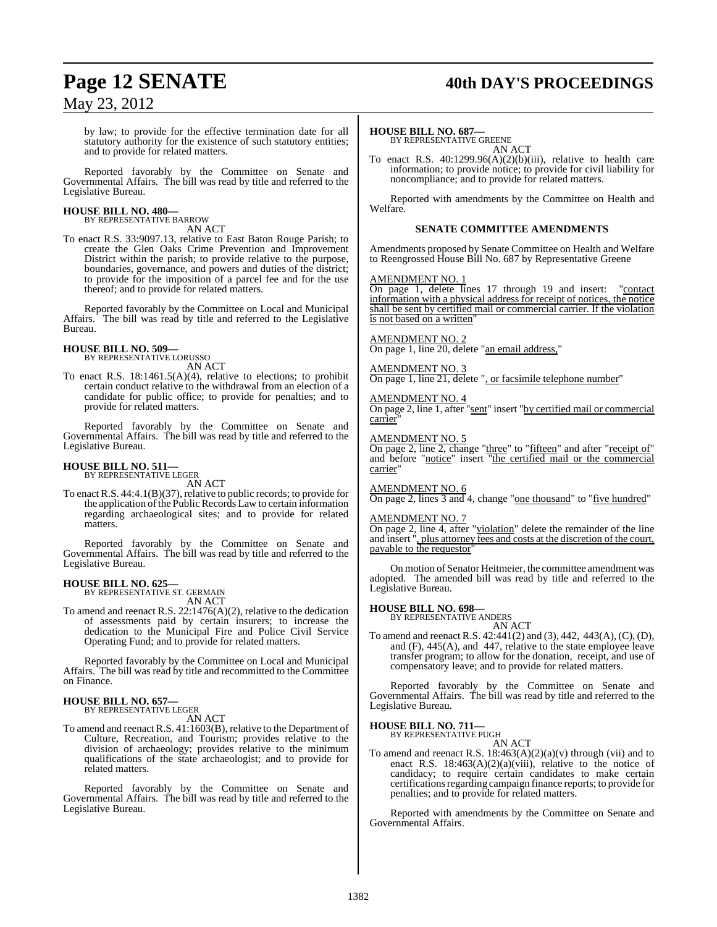### **Page 12 SENATE 40th DAY'S PROCEEDINGS**

### May 23, 2012

by law; to provide for the effective termination date for all statutory authority for the existence of such statutory entities; and to provide for related matters.

Reported favorably by the Committee on Senate and Governmental Affairs. The bill was read by title and referred to the Legislative Bureau.

## **HOUSE BILL NO. 480—** BY REPRESENTATIVE BARROW

AN ACT

To enact R.S. 33:9097.13, relative to East Baton Rouge Parish; to create the Glen Oaks Crime Prevention and Improvement District within the parish; to provide relative to the purpose, boundaries, governance, and powers and duties of the district; to provide for the imposition of a parcel fee and for the use thereof; and to provide for related matters.

Reported favorably by the Committee on Local and Municipal Affairs. The bill was read by title and referred to the Legislative Bureau.

#### **HOUSE BILL NO. 509—** BY REPRESENTATIVE LORUSSO

AN ACT

To enact R.S. 18:1461.5(A)(4), relative to elections; to prohibit certain conduct relative to the withdrawal from an election of a candidate for public office; to provide for penalties; and to provide for related matters.

Reported favorably by the Committee on Senate and Governmental Affairs. The bill was read by title and referred to the Legislative Bureau.

#### **HOUSE BILL NO. 511—** BY REPRESENTATIVE LEGER

AN ACT

To enact R.S. 44:4.1(B)(37), relative to public records; to provide for the application of the Public Records Law to certain information regarding archaeological sites; and to provide for related matters.

Reported favorably by the Committee on Senate and Governmental Affairs. The bill was read by title and referred to the Legislative Bureau.

#### **HOUSE BILL NO. 625—**

BY REPRESENTATIVE ST. GERMAIN AN ACT

To amend and reenact R.S. 22:1476(A)(2), relative to the dedication of assessments paid by certain insurers; to increase the dedication to the Municipal Fire and Police Civil Service Operating Fund; and to provide for related matters.

Reported favorably by the Committee on Local and Municipal Affairs. The bill was read by title and recommitted to the Committee on Finance.

#### **HOUSE BILL NO. 657—** BY REPRESENTATIVE LEGER

AN ACT

To amend and reenact R.S. 41:1603(B), relative to the Department of Culture, Recreation, and Tourism; provides relative to the division of archaeology; provides relative to the minimum qualifications of the state archaeologist; and to provide for related matters.

Reported favorably by the Committee on Senate and Governmental Affairs. The bill was read by title and referred to the Legislative Bureau.

#### **HOUSE BILL NO. 687—**

BY REPRESENTATIVE GREENE AN ACT

To enact R.S. 40:1299.96(A)(2)(b)(iii), relative to health care information; to provide notice; to provide for civil liability for noncompliance; and to provide for related matters.

Reported with amendments by the Committee on Health and Welfare.

#### **SENATE COMMITTEE AMENDMENTS**

Amendments proposed by Senate Committee on Health and Welfare to Reengrossed House Bill No. 687 by Representative Greene

#### AMENDMENT NO. 1

On page 1, delete lines 17 through 19 and insert: "contact information with a physical address for receipt of notices, the notice shall be sent by certified mail or commercial carrier. If the violation is not based on a written'

#### AMENDMENT NO. 2

On page 1, line 20, delete "an email address,"

#### AMENDMENT NO. 3

On page 1, line 21, delete ", or facsimile telephone number"

#### AMENDMENT NO. 4

On page 2, line 1, after "sent" insert "by certified mail or commercial carrier"

#### AMENDMENT NO. 5

On page 2, line 2, change "three" to "fifteen" and after "receipt of" and before "notice" insert "the certified mail or the commercial carrier"

#### AMENDMENT NO. 6

On page 2, lines 3 and 4, change "one thousand" to "five hundred"

#### AMENDMENT NO. 7

On page 2, line 4, after "violation" delete the remainder of the line and insert ", plus attorney fees and costs at the discretion of the court, payable to the requestor

On motion of Senator Heitmeier, the committee amendment was adopted. The amended bill was read by title and referred to the Legislative Bureau.

#### **HOUSE BILL NO. 698—**

BY REPRESENTATIVE ANDERS

AN ACT To amend and reenact R.S. 42:441(2) and (3), 442, 443(A), (C), (D), and  $(F)$ , 445(A), and 447, relative to the state employee leave transfer program; to allow for the donation, receipt, and use of compensatory leave; and to provide for related matters.

Reported favorably by the Committee on Senate and Governmental Affairs. The bill was read by title and referred to the Legislative Bureau.

#### **HOUSE BILL NO. 711—** BY REPRESENTATIVE PUGH

AN ACT

To amend and reenact R.S.  $18:463(A)(2)(a)(v)$  through (vii) and to enact R.S.  $18:463(A)(2)(a)(viii)$ , relative to the notice of candidacy; to require certain candidates to make certain certifications regarding campaign finance reports; to provide for penalties; and to provide for related matters.

Reported with amendments by the Committee on Senate and Governmental Affairs.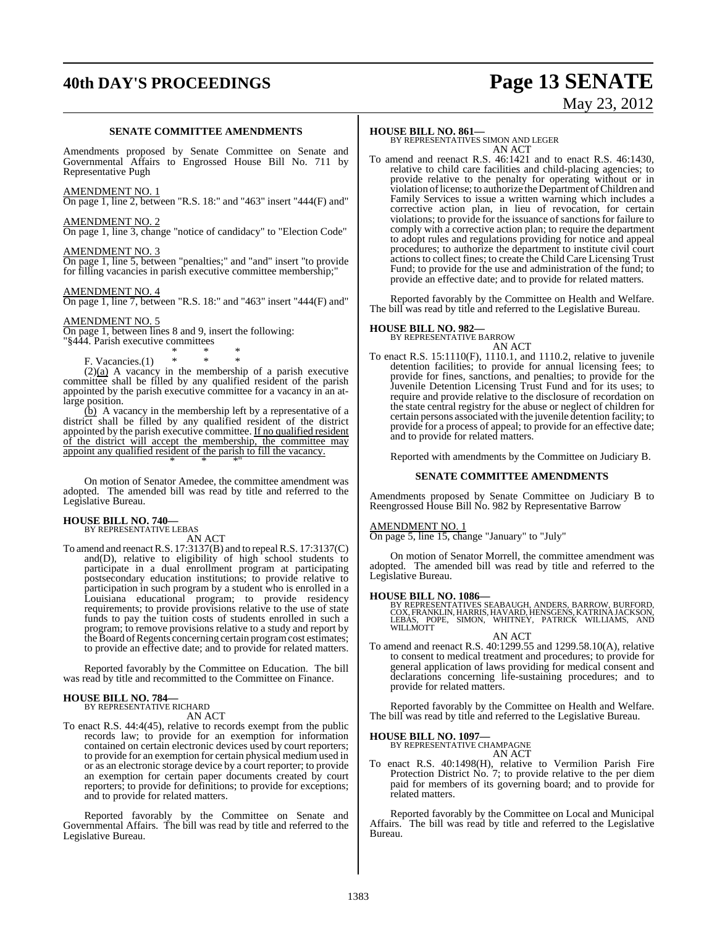# **40th DAY'S PROCEEDINGS Page 13 SENATE**

#### **SENATE COMMITTEE AMENDMENTS**

Amendments proposed by Senate Committee on Senate and Governmental Affairs to Engrossed House Bill No. 711 by Representative Pugh

#### AMENDMENT NO. 1

On page 1, line 2, between "R.S. 18:" and "463" insert "444(F) and"

#### AMENDMENT NO. 2

On page 1, line 3, change "notice of candidacy" to "Election Code"

#### AMENDMENT NO. 3

On page 1, line 5, between "penalties;" and "and" insert "to provide for filling vacancies in parish executive committee membership;"

#### AMENDMENT NO. 4

On page 1, line 7, between "R.S. 18:" and "463" insert "444(F) and"

#### AMENDMENT NO. 5

On page 1, between lines 8 and 9, insert the following: "§444. Parish executive committees

\* \* \* F. Vacancies. $(1)$  \* \* \*

 $(2)(a)$  A vacancy in the membership of a parish executive committee shall be filled by any qualified resident of the parish appointed by the parish executive committee for a vacancy in an atlarge position.

 $(b)$  A vacancy in the membership left by a representative of a district shall be filled by any qualified resident of the district appointed by the parish executive committee. If no qualified resident of the district will accept the membership, the committee may appoint any qualified resident of the parish to fill the vacancy. \* \* \*"

On motion of Senator Amedee, the committee amendment was adopted. The amended bill was read by title and referred to the Legislative Bureau.

### **HOUSE BILL NO. 740—** BY REPRESENTATIVE LEBAS

AN ACT

To amend and reenactR.S. 17:3137(B) and to repealR.S. 17:3137(C) and(D), relative to eligibility of high school students to participate in a dual enrollment program at participating postsecondary education institutions; to provide relative to participation in such program by a student who is enrolled in a Louisiana educational program; to provide residency requirements; to provide provisions relative to the use of state funds to pay the tuition costs of students enrolled in such a program; to remove provisions relative to a study and report by the Board of Regents concerning certain program cost estimates; to provide an effective date; and to provide for related matters.

Reported favorably by the Committee on Education. The bill was read by title and recommitted to the Committee on Finance.

### **HOUSE BILL NO. 784—** BY REPRESENTATIVE RICHARD

AN ACT

To enact R.S. 44:4(45), relative to records exempt from the public records law; to provide for an exemption for information contained on certain electronic devices used by court reporters; to provide for an exemption for certain physical medium used in or as an electronic storage device by a court reporter; to provide an exemption for certain paper documents created by court reporters; to provide for definitions; to provide for exceptions; and to provide for related matters.

Reported favorably by the Committee on Senate and Governmental Affairs. The bill was read by title and referred to the Legislative Bureau.

#### **HOUSE BILL NO. 861—**

BY REPRESENTATIVES SIMON AND LEGER AN ACT

To amend and reenact R.S. 46:1421 and to enact R.S. 46:1430, relative to child care facilities and child-placing agencies; to provide relative to the penalty for operating without or in violation oflicense; to authorize theDepartment ofChildren and Family Services to issue a written warning which includes a corrective action plan, in lieu of revocation, for certain violations; to provide for the issuance of sanctions for failure to comply with a corrective action plan; to require the department to adopt rules and regulations providing for notice and appeal procedures; to authorize the department to institute civil court actions to collect fines; to create the Child Care Licensing Trust Fund; to provide for the use and administration of the fund; to provide an effective date; and to provide for related matters.

Reported favorably by the Committee on Health and Welfare. The bill was read by title and referred to the Legislative Bureau.

# **HOUSE BILL NO. 982—** BY REPRESENTATIVE BARROW

AN ACT To enact R.S. 15:1110(F), 1110.1, and 1110.2, relative to juvenile detention facilities; to provide for annual licensing fees; to provide for fines, sanctions, and penalties; to provide for the Juvenile Detention Licensing Trust Fund and for its uses; to require and provide relative to the disclosure of recordation on the state central registry for the abuse or neglect of children for certain persons associated with the juvenile detention facility; to provide for a process of appeal; to provide for an effective date; and to provide for related matters.

Reported with amendments by the Committee on Judiciary B.

#### **SENATE COMMITTEE AMENDMENTS**

Amendments proposed by Senate Committee on Judiciary B to Reengrossed House Bill No. 982 by Representative Barrow

#### AMENDMENT NO. 1

On page 5, line 15, change "January" to "July"

On motion of Senator Morrell, the committee amendment was adopted. The amended bill was read by title and referred to the Legislative Bureau.

#### **HOUSE BILL NO. 1086—**

BY REPRESENTATIVES SEABAUGH, ANDERS, BARROW, BURFORD,<br>COX, FRANKLIN, HARRIS, HAVARD, HENSGENS, KATRINA JACKSON,<br>LEBAS, POPE, SIMON, WHITNEY, PATRICK WILLIAMS, AND<br>WILLMOTT

AN ACT

To amend and reenact R.S. 40:1299.55 and 1299.58.10(A), relative to consent to medical treatment and procedures; to provide for general application of laws providing for medical consent and declarations concerning life-sustaining procedures; and to provide for related matters.

Reported favorably by the Committee on Health and Welfare. The bill was read by title and referred to the Legislative Bureau.

**HOUSE BILL NO. 1097—** BY REPRESENTATIVE CHAMPAGNE

AN ACT

To enact R.S. 40:1498(H), relative to Vermilion Parish Fire Protection District No. 7; to provide relative to the per diem paid for members of its governing board; and to provide for related matters.

Reported favorably by the Committee on Local and Municipal Affairs. The bill was read by title and referred to the Legislative Bureau.

# May 23, 2012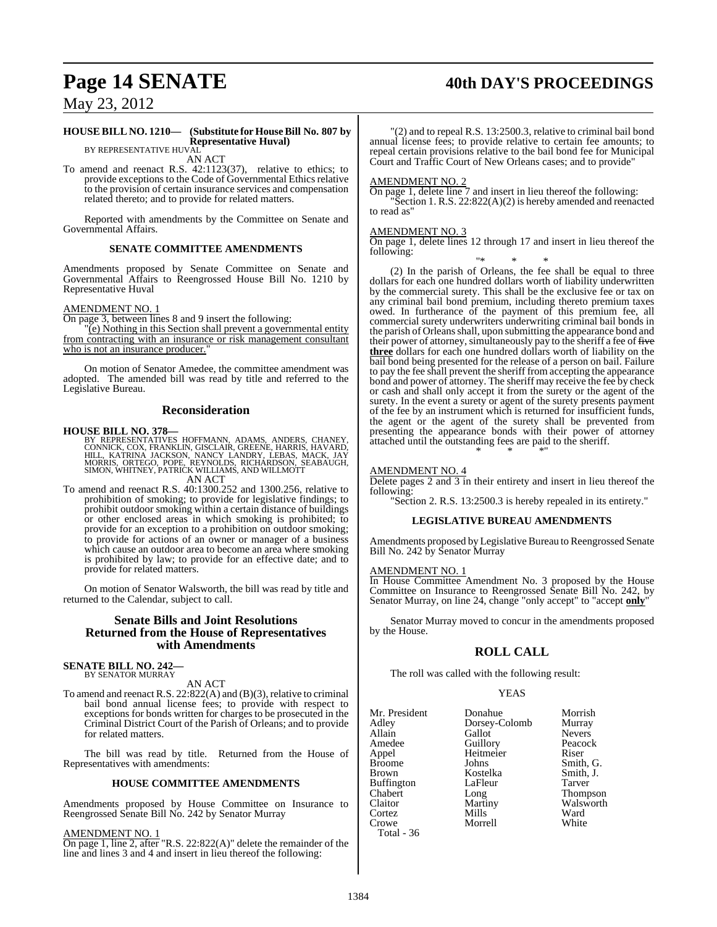## **Page 14 SENATE 40th DAY'S PROCEEDINGS**

May 23, 2012

#### **HOUSE BILL NO. 1210— (Substitute for HouseBill No. 807 by Representative Huval)** BY REPRESENTATIVE HUVAL

AN ACT

To amend and reenact R.S. 42:1123(37), relative to ethics; to provide exceptions to the Code of Governmental Ethics relative to the provision of certain insurance services and compensation related thereto; and to provide for related matters.

Reported with amendments by the Committee on Senate and Governmental Affairs.

#### **SENATE COMMITTEE AMENDMENTS**

Amendments proposed by Senate Committee on Senate and Governmental Affairs to Reengrossed House Bill No. 1210 by Representative Huval

#### AMENDMENT NO. 1

On page 3, between lines 8 and 9 insert the following:

"(e) Nothing in this Section shall prevent a governmental entity from contracting with an insurance or risk management consultant who is not an insurance producer.

On motion of Senator Amedee, the committee amendment was adopted. The amended bill was read by title and referred to the Legislative Bureau.

#### **Reconsideration**

#### **HOUSE BILL NO. 378—**

- BY REPRESENTATIVES HOFFMANN, ADAMS, ANDERS, CHANEY,<br>CONNICK, COX, FRANKLIN, GISCLAIR, GREENE, HARRIS, HAVARD,<br>HILL, KATRINA JACKSON, NANCY LANDRY, LEBAS, MACK, JAY<br>MORRIS, ORTEGO, POPE, REYNOLDS, RICHARDSON, SEABAUGH,<br>SIMO
- To amend and reenact R.S. 40:1300.252 and 1300.256, relative to prohibition of smoking; to provide for legislative findings; to prohibit outdoor smoking within a certain distance of buildings or other enclosed areas in which smoking is prohibited; to provide for an exception to a prohibition on outdoor smoking; to provide for actions of an owner or manager of a business which cause an outdoor area to become an area where smoking is prohibited by law; to provide for an effective date; and to provide for related matters.

On motion of Senator Walsworth, the bill was read by title and returned to the Calendar, subject to call.

#### **Senate Bills and Joint Resolutions Returned from the House of Representatives with Amendments**

#### **SENATE BILL NO. 242—** BY SENATOR MURRAY

AN ACT

To amend and reenact R.S. 22:822(A) and (B)(3), relative to criminal bail bond annual license fees; to provide with respect to exceptions for bonds written for charges to be prosecuted in the Criminal District Court of the Parish of Orleans; and to provide for related matters.

The bill was read by title. Returned from the House of Representatives with amendments:

#### **HOUSE COMMITTEE AMENDMENTS**

Amendments proposed by House Committee on Insurance to Reengrossed Senate Bill No. 242 by Senator Murray

AMENDMENT NO. 1

On page 1, line 2, after "R.S. 22:822(A)" delete the remainder of the line and lines 3 and 4 and insert in lieu thereof the following:

"(2) and to repeal R.S. 13:2500.3, relative to criminal bail bond annual license fees; to provide relative to certain fee amounts; to repeal certain provisions relative to the bail bond fee for Municipal Court and Traffic Court of New Orleans cases; and to provide"

#### AMENDMENT NO. 2

On page 1, delete line 7 and insert in lieu thereof the following: "Section 1. R.S. 22:822(A)(2) is hereby amended and reenacted to read as"

#### AMENDMENT NO. 3

On page 1, delete lines 12 through 17 and insert in lieu thereof the following:

"\* \* \* (2) In the parish of Orleans, the fee shall be equal to three dollars for each one hundred dollars worth of liability underwritten by the commercial surety. This shall be the exclusive fee or tax on any criminal bail bond premium, including thereto premium taxes owed. In furtherance of the payment of this premium fee, all commercial surety underwriters underwriting criminal bail bonds in the parish of Orleansshall, upon submitting the appearance bond and their power of attorney, simultaneously pay to the sheriff a fee of five **three** dollars for each one hundred dollars worth of liability on the bail bond being presented for the release of a person on bail. Failure to pay the fee shall prevent the sheriff from accepting the appearance bond and power of attorney. The sheriff may receive the fee by check or cash and shall only accept it from the surety or the agent of the surety. In the event a surety or agent of the surety presents payment of the fee by an instrument which is returned for insufficient funds, the agent or the agent of the surety shall be prevented from presenting the appearance bonds with their power of attorney attached until the outstanding fees are paid to the sheriff. \* \* \*"

#### AMENDMENT NO. 4

Delete pages 2 and 3 in their entirety and insert in lieu thereof the following:

"Section 2. R.S. 13:2500.3 is hereby repealed in its entirety."

#### **LEGISLATIVE BUREAU AMENDMENTS**

Amendments proposed by Legislative Bureau to Reengrossed Senate Bill No. 242 by Senator Murray

#### AMENDMENT NO. 1

In House Committee Amendment No. 3 proposed by the House Committee on Insurance to Reengrossed Senate Bill No. 242, by Senator Murray, on line 24, change "only accept" to "accept **only**"

Senator Murray moved to concur in the amendments proposed by the House.

### **ROLL CALL**

The roll was called with the following result:

#### YEAS

| Mr. President     | Donahue       | Morrish         |
|-------------------|---------------|-----------------|
| Adley             | Dorsey-Colomb | Murray          |
| Allain            | Gallot        | <b>Nevers</b>   |
| Amedee            | Guillory      | Peacock         |
| Appel             | Heitmeier     | Riser           |
| <b>Broome</b>     | Johns         | Smith, G.       |
| <b>Brown</b>      | Kostelka      | Smith, J.       |
| <b>Buffington</b> | LaFleur       | Tarver          |
| Chabert           | Long          | <b>Thompson</b> |
| Claitor           | Martiny       | Walsworth       |
| Cortez            | Mills         | Ward            |
| Crowe             | Morrell       | White           |
| Total - 36        |               |                 |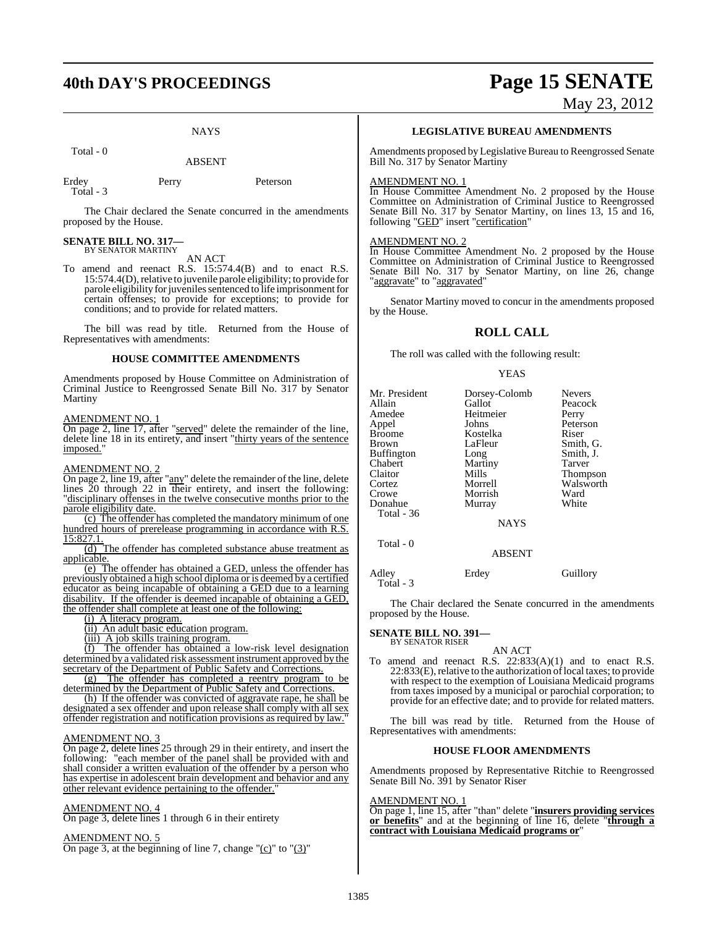### **40th DAY'S PROCEEDINGS Page 15 SENATE**

**NAYS** 

Total - 0

ABSENT

Erdey Perry Peterson Total - 3

The Chair declared the Senate concurred in the amendments

# **SENATE BILL NO. 317—** BY SENATOR MARTINY

proposed by the House.

AN ACT

To amend and reenact R.S. 15:574.4(B) and to enact R.S. 15:574.4(D), relative to juvenile parole eligibility; to provide for parole eligibility for juveniles sentenced to life imprisonment for certain offenses; to provide for exceptions; to provide for conditions; and to provide for related matters.

The bill was read by title. Returned from the House of Representatives with amendments:

#### **HOUSE COMMITTEE AMENDMENTS**

Amendments proposed by House Committee on Administration of Criminal Justice to Reengrossed Senate Bill No. 317 by Senator Martiny

#### AMENDMENT NO. 1

On page 2, line 17, after "served" delete the remainder of the line, delete line 18 in its entirety, and insert "thirty years of the sentence" imposed."

#### AMENDMENT NO. 2

On page 2, line 19, after "any" delete the remainder of the line, delete lines 20 through 22 in their entirety, and insert the following: "disciplinary offenses in the twelve consecutive months prior to the parole eligibility date.

(c) The offender has completed the mandatory minimum of one hundred hours of prerelease programming in accordance with R.S. 15:827.1.

(d) The offender has completed substance abuse treatment as applicable.

(e) The offender has obtained a GED, unless the offender has previously obtained a high school diploma or is deemed by a certified educator as being incapable of obtaining a GED due to a learning disability. If the offender is deemed incapable of obtaining a GED, the offender shall complete at least one of the following:

(i) A literacy program.

(ii) An adult basic education program.

(iii) A job skills training program.

(f) The offender has obtained a low-risk level designation determined by a validated risk assessment instrument approved by the secretary of the Department of Public Safety and Corrections.

(g) The offender has completed a reentry program to be determined by the Department of Public Safety and Corrections.

(h) If the offender was convicted of aggravate rape, he shall be designated a sex offender and upon release shall comply with all sex offender registration and notification provisions as required by law."

#### AMENDMENT NO. 3

On page 2, delete lines 25 through 29 in their entirety, and insert the following: "each member of the panel shall be provided with and shall consider a written evaluation of the offender by a person who has expertise in adolescent brain development and behavior and any other relevant evidence pertaining to the offender."

#### AMENDMENT NO. 4

On page 3, delete lines 1 through 6 in their entirety

#### AMENDMENT NO. 5

On page 3, at the beginning of line 7, change " $(c)$ " to " $(3)$ "

# May 23, 2012

**LEGISLATIVE BUREAU AMENDMENTS**

Amendments proposed by Legislative Bureau to Reengrossed Senate Bill No. 317 by Senator Martiny

#### AMENDMENT NO. 1

In House Committee Amendment No. 2 proposed by the House Committee on Administration of Criminal Justice to Reengrossed Senate Bill No. 317 by Senator Martiny, on lines 13, 15 and 16, following "GED" insert "certification"

#### AMENDMENT NO. 2

In House Committee Amendment No. 2 proposed by the House Committee on Administration of Criminal Justice to Reengrossed Senate Bill No. 317 by Senator Martiny, on line 26, change 'aggravate" to "aggravated"

Senator Martiny moved to concur in the amendments proposed by the House.

### **ROLL CALL**

The roll was called with the following result:

#### YEAS

| Mr. President | Dorsey-Colomb | <b>Nevers</b>   |
|---------------|---------------|-----------------|
| Allain        | Gallot        | Peacock         |
| Amedee        | Heitmeier     | Perry           |
| Appel         | Johns         | Peterson        |
| Broome        | Kostelka      | Riser           |
|               |               |                 |
| Brown         | LaFleur       | Smith, G.       |
| Buffington    | Long          | Smith, J.       |
| Chabert       | Martiny       | Tarver          |
| Claitor       | Mills         | <b>Thompson</b> |
| Cortez        | Morrell       | Walsworth       |
| Crowe         | Morrish       | Ward            |
| Donahue       | Murray        | White           |
| Total - 36    |               |                 |
|               | <b>NAYS</b>   |                 |
|               |               |                 |
| Total - 0     |               |                 |
|               | <b>ABSENT</b> |                 |
|               |               |                 |

Adley Erdey Guillory Total - 3

The Chair declared the Senate concurred in the amendments proposed by the House.

#### **SENATE BILL NO. 391—** BY SENATOR RISER

AN ACT

To amend and reenact R.S. 22:833(A)(1) and to enact R.S.  $22:833(E)$ , relative to the authorization of local taxes; to provide with respect to the exemption of Louisiana Medicaid programs from taxes imposed by a municipal or parochial corporation; to provide for an effective date; and to provide for related matters.

The bill was read by title. Returned from the House of Representatives with amendments:

#### **HOUSE FLOOR AMENDMENTS**

Amendments proposed by Representative Ritchie to Reengrossed Senate Bill No. 391 by Senator Riser

#### AMENDMENT NO. 1

On page 1, line 15, after "than" delete "**insurers providing services or benefits**" and at the beginning of line 16, delete "**through a contract with Louisiana Medicaid programs or**"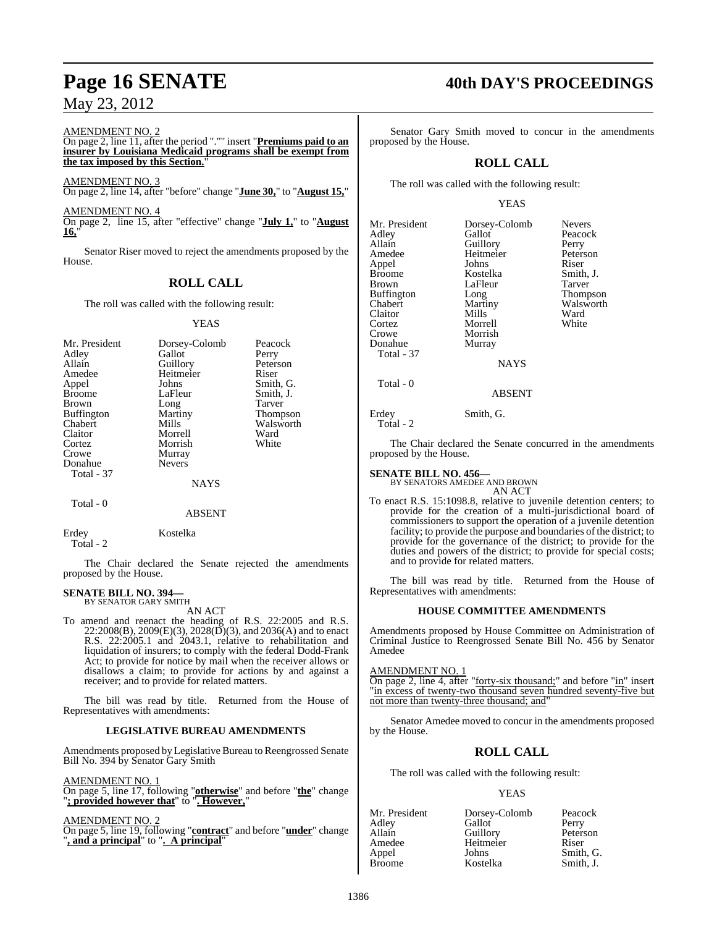#### AMENDMENT NO. 2

On page 2, line 11, after the period "."" insert "**Premiums paid to an insurer by Louisiana Medicaid programs shall be exempt from the tax imposed by this Section.**"

AMENDMENT NO. 3 On page 2, line 14, after "before" change "**June 30,**" to "**August 15,**"

AMENDMENT NO. 4 On page 2, line 15, after "effective" change "**July 1,**" to "**August 16,**"

Senator Riser moved to reject the amendments proposed by the House.

### **ROLL CALL**

The roll was called with the following result:

YEAS

| Mr. President | Dorsey-Colomb | Peacock   |
|---------------|---------------|-----------|
| Adley         | Gallot        | Perry     |
| Allain        | Guillory      | Peterson  |
| Amedee        | Heitmeier     | Riser     |
| Appel         | Johns         | Smith, G. |
| <b>Broome</b> | LaFleur       | Smith, J. |
| <b>Brown</b>  | Long          | Tarver    |
| Buffington    | Martiny       | Thompson  |
| Chabert       | Mills         | Walsworth |
| Claitor       | Morrell       | Ward      |
| Cortez        | Morrish       | White     |
| Crowe         | Murray        |           |
| Donahue       | <b>Nevers</b> |           |
| Total - 37    |               |           |
|               | <b>NAYS</b>   |           |

#### ABSENT

Erdey Kostelka

Total - 0

Total - 2

The Chair declared the Senate rejected the amendments proposed by the House.

#### **SENATE BILL NO. 394—** BY SENATOR GARY SMITH

AN ACT

To amend and reenact the heading of R.S. 22:2005 and R.S.  $22:2008(B), 2009(E)(3), 2028(D)(3),$  and  $2036(A)$  and to enact R.S. 22:2005.1 and 2043.1, relative to rehabilitation and liquidation of insurers; to comply with the federal Dodd-Frank Act; to provide for notice by mail when the receiver allows or disallows a claim; to provide for actions by and against a receiver; and to provide for related matters.

The bill was read by title. Returned from the House of Representatives with amendments:

#### **LEGISLATIVE BUREAU AMENDMENTS**

Amendments proposed by Legislative Bureau to Reengrossed Senate Bill No. 394 by Senator Gary Smith

AMENDMENT NO. 1

On page 5, line 17, following "**otherwise**" and before "**the**" change "**; provided however that**" to "**. However,**"

AMENDMENT NO. 2

On page 5, line 19, following "**contract**" and before "**under**" change "**, and a principal**" to "**. A principal**"

## **Page 16 SENATE 40th DAY'S PROCEEDINGS**

Senator Gary Smith moved to concur in the amendments proposed by the House.

### **ROLL CALL**

The roll was called with the following result:

#### YEAS

| Mr. President<br>Adley<br>Allain<br>Amedee<br>Appel<br><b>Broome</b><br><b>Brown</b> | Dorsey-Colomb<br>Gallot<br>Guillory<br>Heitmeier<br>Johns<br>Kostelka<br>LaFleur | <b>Nevers</b><br>Peacock<br>Perry<br>Peterson<br>Riser<br>Smith, J.<br>Tarver |
|--------------------------------------------------------------------------------------|----------------------------------------------------------------------------------|-------------------------------------------------------------------------------|
|                                                                                      |                                                                                  |                                                                               |
|                                                                                      |                                                                                  |                                                                               |
|                                                                                      |                                                                                  |                                                                               |
|                                                                                      |                                                                                  |                                                                               |
|                                                                                      |                                                                                  |                                                                               |
| Buffington                                                                           | Long                                                                             | <b>Thompso</b>                                                                |
| Chabert                                                                              | Martiny                                                                          | Walswor                                                                       |
| Claitor                                                                              | Mills                                                                            | Ward                                                                          |
| Cortez                                                                               | Morrell                                                                          | White                                                                         |
| Crowe                                                                                | Morrish                                                                          |                                                                               |
| Donahue                                                                              | Murray                                                                           |                                                                               |
| Total - 37                                                                           |                                                                                  |                                                                               |
|                                                                                      | <b>NAYS</b>                                                                      |                                                                               |
|                                                                                      |                                                                                  |                                                                               |

In Tarver Thompson y Walsworth<br>Ward I White

ABSENT

Erdey Smith, G. Total - 2

Total - 0

The Chair declared the Senate concurred in the amendments proposed by the House.

#### **SENATE BILL NO. 456—**

BY SENATORS AMEDEE AND BROWN AN ACT

To enact R.S. 15:1098.8, relative to juvenile detention centers; to provide for the creation of a multi-jurisdictional board of commissioners to support the operation of a juvenile detention facility; to provide the purpose and boundaries of the district; to provide for the governance of the district; to provide for the duties and powers of the district; to provide for special costs; and to provide for related matters.

The bill was read by title. Returned from the House of Representatives with amendments:

#### **HOUSE COMMITTEE AMENDMENTS**

Amendments proposed by House Committee on Administration of Criminal Justice to Reengrossed Senate Bill No. 456 by Senator Amedee

#### AMENDMENT NO. 1

On page 2, line 4, after "forty-six thousand;" and before "in" insert "in excess of twenty-two thousand seven hundred seventy-five but not more than twenty-three thousand; and

Senator Amedee moved to concur in the amendments proposed by the House.

### **ROLL CALL**

The roll was called with the following result:

#### YEAS

| Mr. President | Dorsey-Colomb | Peacock   |
|---------------|---------------|-----------|
| Adley         | Gallot        | Perry     |
| Allain        | Guillory      | Peterson  |
| Amedee        | Heitmeier     | Riser     |
| Appel         | Johns         | Smith, G. |
| <b>Broome</b> | Kostelka      | Smith, J. |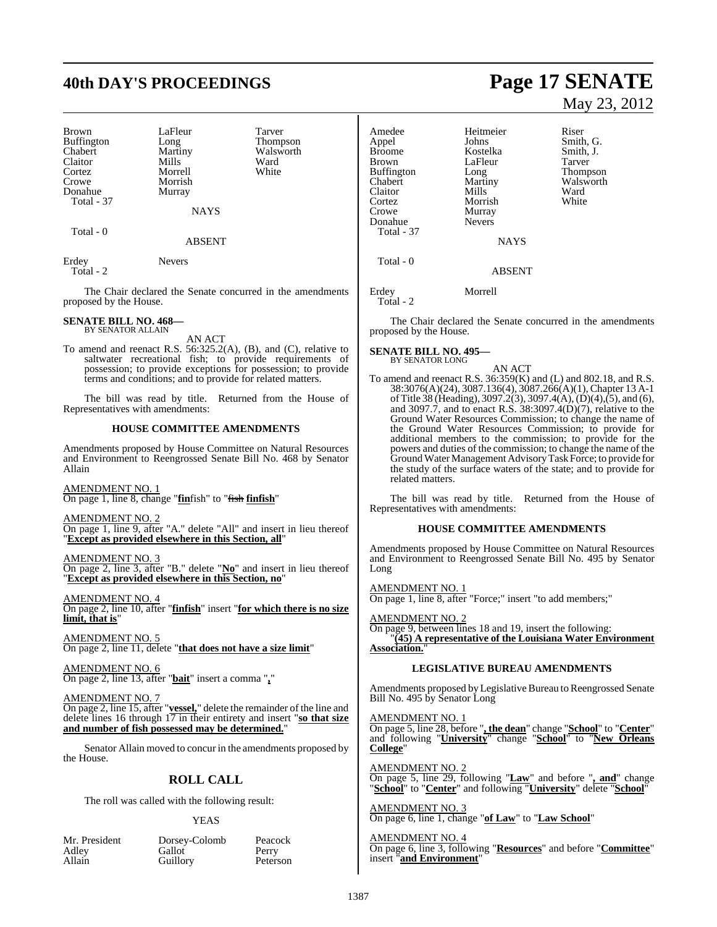# **40th DAY'S PROCEEDINGS Page 17 SENATE**

| Brown             |
|-------------------|
|                   |
| Buffington        |
| Chabert           |
| Claitor           |
| Cortez            |
| Crowe             |
| Donahue           |
| <b>Total - 37</b> |

LaFleur Tarver<br>Long Thomp Long Thompson<br>Martiny Walsworth Mills Ward<br>
Morrell White Morrell Morrish Murray

Walsworth<br>Ward

NAYS

Total - 0

#### ABSENT

Erdey Nevers Total - 2

The Chair declared the Senate concurred in the amendments proposed by the House.

#### **SENATE BILL NO. 468—** BY SENATOR ALLAIN

AN ACT

To amend and reenact R.S. 56:325.2(A), (B), and (C), relative to saltwater recreational fish; to provide requirements of possession; to provide exceptions for possession; to provide terms and conditions; and to provide for related matters.

The bill was read by title. Returned from the House of Representatives with amendments:

#### **HOUSE COMMITTEE AMENDMENTS**

Amendments proposed by House Committee on Natural Resources and Environment to Reengrossed Senate Bill No. 468 by Senator Allain

AMENDMENT NO. 1 On page 1, line 8, change "**fin**fish" to "fish **finfish**"

AMENDMENT NO. 2

On page 1, line 9, after "A." delete "All" and insert in lieu thereof "**Except as provided elsewhere in this Section, all**"

AMENDMENT NO. 3

On page 2, line 3, after "B." delete "**No**" and insert in lieu thereof "**Except as provided elsewhere in this Section, no**"

AMENDMENT NO. 4 On page 2, line 10, after "**finfish**" insert "**for which there is no size limit, that is**"

AMENDMENT NO. 5 On page 2, line 11, delete "**that does not have a size limit**"

AMENDMENT NO. 6 On page 2, line 13, after "**bait**" insert a comma "**,**"

AMENDMENT NO. 7

On page 2, line 15, after "**vessel,**" delete the remainder of the line and delete lines 16 through 17 in their entirety and insert "**so that size and number of fish possessed may be determined.**"

Senator Allain moved to concur in the amendments proposed by the House.

### **ROLL CALL**

The roll was called with the following result:

#### YEAS

| Mr. President | Dorsey-Colomb | Peacock  |
|---------------|---------------|----------|
| Adley         | Gallot        | Perry    |
| Allain        | Guillory      | Peterson |

# May 23, 2012

Amedee Heitmeier Riser<br>
Appel Johns Smith Appel Johns Smith, G.<br>Broome Kostelka Smith, J. Broome Kostelka Smith,<br>Brown LaFleur Tarver LaFleur Tarver<br>
Long Thompson Buffington Long<br>
Chabert Martiny Martiny Walsworth<br>
Mills Ward Claitor Mills Ward<br>Cortez Morrish White Morrish Crowe Murray<br>Donahue Nevers Donahue Total - 37 **NAYS**  Total - 0 ABSENT

Erdey Morrell Total - 2

The Chair declared the Senate concurred in the amendments proposed by the House.

**SENATE BILL NO. 495—** BY SENATOR LONG

AN ACT

To amend and reenact R.S. 36:359(K) and (L) and 802.18, and R.S. 38:3076(A)(24), 3087.136(4), 3087.266(A)(1),Chapter 13 A-1 ofTitle 38 (Heading), 3097.2(3), 3097.4(A),(D)(4),(5), and (6), and 3097.7, and to enact R.S. 38:3097.4(D)(7), relative to the Ground Water Resources Commission; to change the name of the Ground Water Resources Commission; to provide for additional members to the commission; to provide for the powers and duties of the commission; to change the name of the GroundWaterManagement AdvisoryTask Force; to provide for the study of the surface waters of the state; and to provide for related matters.

The bill was read by title. Returned from the House of Representatives with amendments:

#### **HOUSE COMMITTEE AMENDMENTS**

Amendments proposed by House Committee on Natural Resources and Environment to Reengrossed Senate Bill No. 495 by Senator Long

<u>AMENDMENT NO. 1</u> On page 1, line 8, after "Force;" insert "to add members;"

AMENDMENT NO. 2

On page 9, between lines 18 and 19, insert the following: "**(45) A representative of the Louisiana Water Environment Association.**"

### **LEGISLATIVE BUREAU AMENDMENTS**

Amendments proposed by Legislative Bureau to Reengrossed Senate Bill No. 495 by Senator Long

AMENDMENT NO. 1

On page 5, line 28, before "**, the dean**" change "**School**" to "**Center**" and following "**University**" change "**School**" to "**New Orleans College**"

AMENDMENT NO. 2 On page 5, line 29, following "**Law**" and before "**, and**" change "**School**" to "**Center**" and following "**University**" delete "**School**"

AMENDMENT NO. 3 On page 6, line 1, change "**of Law**" to "**Law School**"

AMENDMENT NO. 4

On page 6, line 3, following "**Resources**" and before "**Committee**" insert "**and Environment**"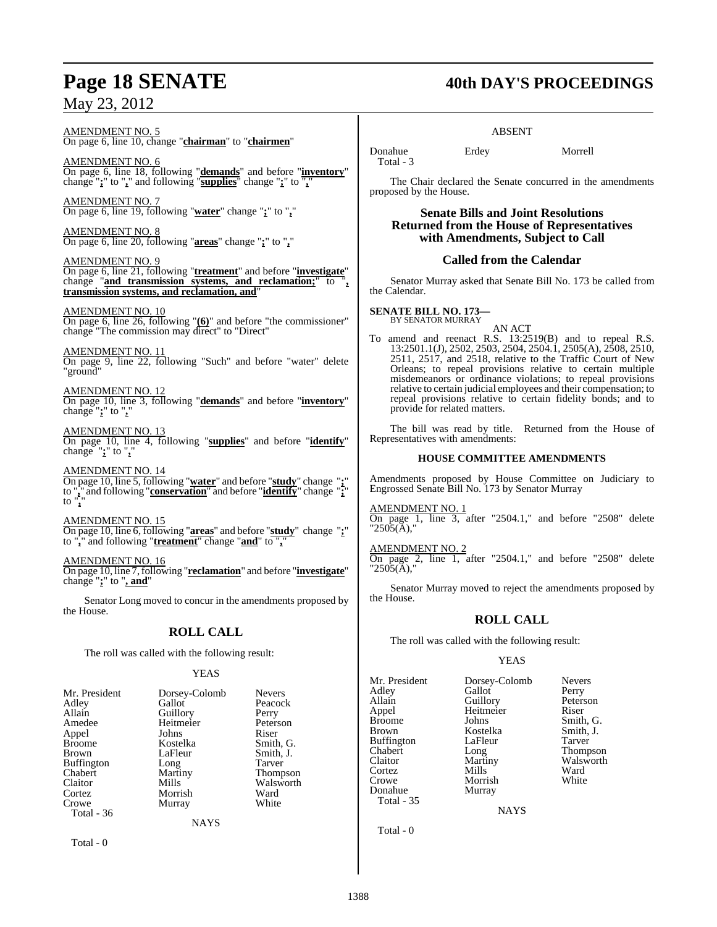#### AMENDMENT NO. 5 On page 6, line 10, change "**chairman**" to "**chairmen**"

AMENDMENT NO. 6 On page 6, line 18, following "**demands**" and before "**inventory**" change "**;**" to "**,**" and following "**supplies**" change "**;**" to "**,**"

AMENDMENT NO. 7 On page 6, line 19, following "**water**" change "**;**" to "**,**"

AMENDMENT NO. 8 On page 6, line 20, following "**areas**" change "**;**" to "**,**"

AMENDMENT NO. 9 On page 6, line 21, following "**treatment**" and before "**investigate**" change "**and transmission systems, and reclamation;**" to "**, transmission systems, and reclamation, and**"

#### AMENDMENT NO. 10

On page 6, line 26, following "**(6)**" and before "the commissioner" change "The commission may direct" to "Direct"

AMENDMENT NO. 11 On page 9, line 22, following "Such" and before "water" delete "ground"

AMENDMENT NO. 12 On page 10, line 3, following "**demands**" and before "**inventory**" change "**;**" to "**,**"

AMENDMENT NO. 13 On page 10, line 4, following "**supplies**" and before "**identify**" change "**;**" to "**,**"

#### AMENDMENT NO. 14

On page 10, line 5, following "**water**" and before "**study**" change "**;**" to "**,**" and following "**conservation**" and before "**identify**" change "**;**" to "**,**"

#### AMENDMENT NO. 15

On page 10, line 6, following "**areas**" and before "**study**" change "**;**" to "**,**" and following "**treatment**" change "**and**" to "**,**"

#### AMENDMENT NO. 16

On page 10, line 7,following "**reclamation**" and before "**investigate**" change "**;**" to "**, and**"

Senator Long moved to concur in the amendments proposed by the House.

#### **ROLL CALL**

The roll was called with the following result:

#### YEAS

|             | <b>Nevers</b>                       |
|-------------|-------------------------------------|
|             |                                     |
|             | Peacock                             |
|             | Perry                               |
| Heitmeier   | Peterson                            |
| Johns       | Riser                               |
| Kostelka    | Smith, G.                           |
| LaFleur     | Smith, J.                           |
| Long        | Tarver                              |
| Martiny     | <b>Thompson</b>                     |
| Mills       | Walsworth                           |
| Morrish     | Ward                                |
| Murray      | White                               |
|             |                                     |
| <b>NAYS</b> |                                     |
|             | Dorsey-Colomb<br>Gallot<br>Guillory |

Total - 0

## **Page 18 SENATE 40th DAY'S PROCEEDINGS**

#### ABSENT

Donahue Erdey Morrell Total - 3

The Chair declared the Senate concurred in the amendments proposed by the House.

**Senate Bills and Joint Resolutions Returned from the House of Representatives with Amendments, Subject to Call**

#### **Called from the Calendar**

Senator Murray asked that Senate Bill No. 173 be called from the Calendar.

**SENATE BILL NO. 173—** BY SENATOR MURRAY

AN ACT

To amend and reenact R.S. 13:2519(B) and to repeal R.S. 13:2501.1(J), 2502, 2503, 2504, 2504.1, 2505(A), 2508, 2510, 2511, 2517, and 2518, relative to the Traffic Court of New Orleans; to repeal provisions relative to certain multiple misdemeanors or ordinance violations; to repeal provisions relative to certain judicial employees and their compensation; to repeal provisions relative to certain fidelity bonds; and to provide for related matters.

The bill was read by title. Returned from the House of Representatives with amendments:

#### **HOUSE COMMITTEE AMENDMENTS**

Amendments proposed by House Committee on Judiciary to Engrossed Senate Bill No. 173 by Senator Murray

#### AMENDMENT NO. 1

On page 1, line 3, after "2504.1," and before "2508" delete  $"2505(A),"$ 

#### AMENDMENT NO. 2

On page 2, line 1, after "2504.1," and before "2508" delete  $"2505(A),"$ 

Senator Murray moved to reject the amendments proposed by the House.

#### **ROLL CALL**

The roll was called with the following result:

#### YEAS

Mr. President Dorsey-Colomb Nevers<br>Adley Gallot Perry Adley Gallot Perry Allain Guillory Peters<br>
Appel Heitmeier Riser Appel Heitmeier<br>Broome Johns Brown Kostelka Smith, J. Buffington LaFle<br>Chabert Long Chabert Long Thompson<br>Claitor Martiny Walsworth Claitor Martiny Walsworth<br>
Cortez Mills Ward Cortez Mills Ward Crowe Morrish White<br>
Donahue Murray Donahue Total - 35

Smith, G.

**NAYS** 

Total - 0

1388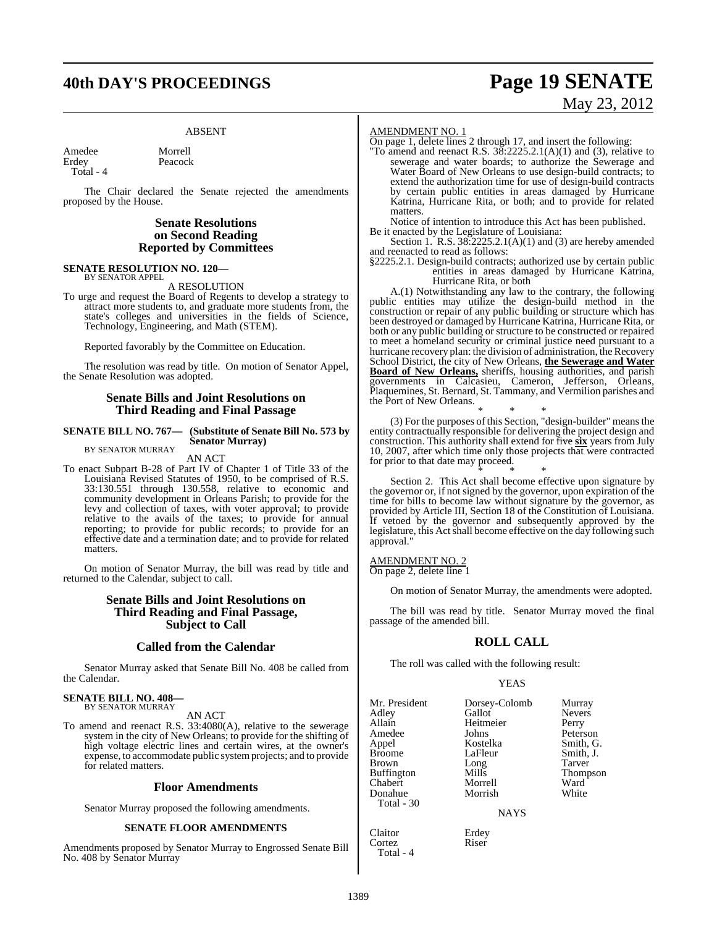# **40th DAY'S PROCEEDINGS Page 19 SENATE**

Peacock

#### ABSENT

Amedee Morrell<br>Erdey Peacocl Total - 4

The Chair declared the Senate rejected the amendments proposed by the House.

#### **Senate Resolutions on Second Reading Reported by Committees**

#### **SENATE RESOLUTION NO. 120—** BY SENATOR APPEL

A RESOLUTION

To urge and request the Board of Regents to develop a strategy to attract more students to, and graduate more students from, the state's colleges and universities in the fields of Science, Technology, Engineering, and Math (STEM).

Reported favorably by the Committee on Education.

The resolution was read by title. On motion of Senator Appel, the Senate Resolution was adopted.

#### **Senate Bills and Joint Resolutions on Third Reading and Final Passage**

#### **SENATE BILL NO. 767— (Substitute of Senate Bill No. 573 by Senator Murray)** BY SENATOR MURRAY

AN ACT

To enact Subpart B-28 of Part IV of Chapter 1 of Title 33 of the Louisiana Revised Statutes of 1950, to be comprised of R.S. 33:130.551 through 130.558, relative to economic and community development in Orleans Parish; to provide for the levy and collection of taxes, with voter approval; to provide relative to the avails of the taxes; to provide for annual reporting; to provide for public records; to provide for an effective date and a termination date; and to provide for related matters.

On motion of Senator Murray, the bill was read by title and returned to the Calendar, subject to call.

#### **Senate Bills and Joint Resolutions on Third Reading and Final Passage, Subject to Call**

#### **Called from the Calendar**

Senator Murray asked that Senate Bill No. 408 be called from the Calendar.

#### **SENATE BILL NO. 408—** BY SENATOR MURRAY

AN ACT

To amend and reenact R.S. 33:4080(A), relative to the sewerage system in the city of New Orleans; to provide for the shifting of high voltage electric lines and certain wires, at the owner's expense, to accommodate public systemprojects; and to provide for related matters.

#### **Floor Amendments**

Senator Murray proposed the following amendments.

#### **SENATE FLOOR AMENDMENTS**

Amendments proposed by Senator Murray to Engrossed Senate Bill No. 408 by Senator Murray

#### AMENDMENT NO. 1

On page 1, delete lines 2 through 17, and insert the following:

"To amend and reenact R.S.  $3\overline{8}$ :2225.2.1(A)(1) and (3), relative to sewerage and water boards; to authorize the Sewerage and Water Board of New Orleans to use design-build contracts; to extend the authorization time for use of design-build contracts by certain public entities in areas damaged by Hurricane Katrina, Hurricane Rita, or both; and to provide for related matters.

Notice of intention to introduce this Act has been published. Be it enacted by the Legislature of Louisiana:

Section 1. R.S. 38:2225.2.1(A)(1) and (3) are hereby amended and reenacted to read as follows:

§2225.2.1. Design-build contracts; authorized use by certain public entities in areas damaged by Hurricane Katrina, Hurricane Rita, or both

A.(1) Notwithstanding any law to the contrary, the following public entities may utilize the design-build method in the construction or repair of any public building or structure which has been destroyed or damaged by Hurricane Katrina, Hurricane Rita, or both or any public building or structure to be constructed or repaired to meet a homeland security or criminal justice need pursuant to a hurricane recovery plan: the division of administration, the Recovery School District, the city of New Orleans, **the Sewerage and Water Board of New Orleans,** sheriffs, housing authorities, and parish governments in Calcasieu, Cameron, Jefferson, Orleans, Plaquemines, St. Bernard, St. Tammany, and Vermilion parishes and the Port of New Orleans.

\* \* \* (3) For the purposes of this Section, "design-builder" means the entity contractually responsible for delivering the project design and construction. This authority shall extend for five **six** years from July 10, 2007, after which time only those projects that were contracted for prior to that date may proceed.

\* \* \* Section 2. This Act shall become effective upon signature by the governor or, if not signed by the governor, upon expiration of the time for bills to become law without signature by the governor, as provided by Article III, Section 18 of the Constitution of Louisiana. If vetoed by the governor and subsequently approved by the legislature, this Act shall become effective on the day following such approval."

AMENDMENT NO. 2

On page 2, delete line 1

On motion of Senator Murray, the amendments were adopted.

The bill was read by title. Senator Murray moved the final passage of the amended bill.

#### **ROLL CALL**

The roll was called with the following result:

#### YEAS

| Mr. President<br>Adley<br>Allain<br>Amedee<br>Appel<br><b>Broome</b><br><b>Brown</b> | Dorsey-Colomb<br>Gallot<br>Heitmeier<br>Johns<br>Kostelka<br>LaFleur<br>Long | Murray<br><b>Nevers</b><br>Perry<br>Peterson<br>Smith, G.<br>Smith, J.<br>Tarver |
|--------------------------------------------------------------------------------------|------------------------------------------------------------------------------|----------------------------------------------------------------------------------|
| <b>Buffington</b><br>Chabert<br>Donahue<br>Total $-30$                               | Mills<br>Morrell<br>Morrish<br><b>NAYS</b>                                   | <b>Thompson</b><br>Ward<br>White                                                 |
| Claitor<br>Cortez                                                                    | Erdey<br>Riser                                                               |                                                                                  |

Cortez Total - 4

# May 23, 2012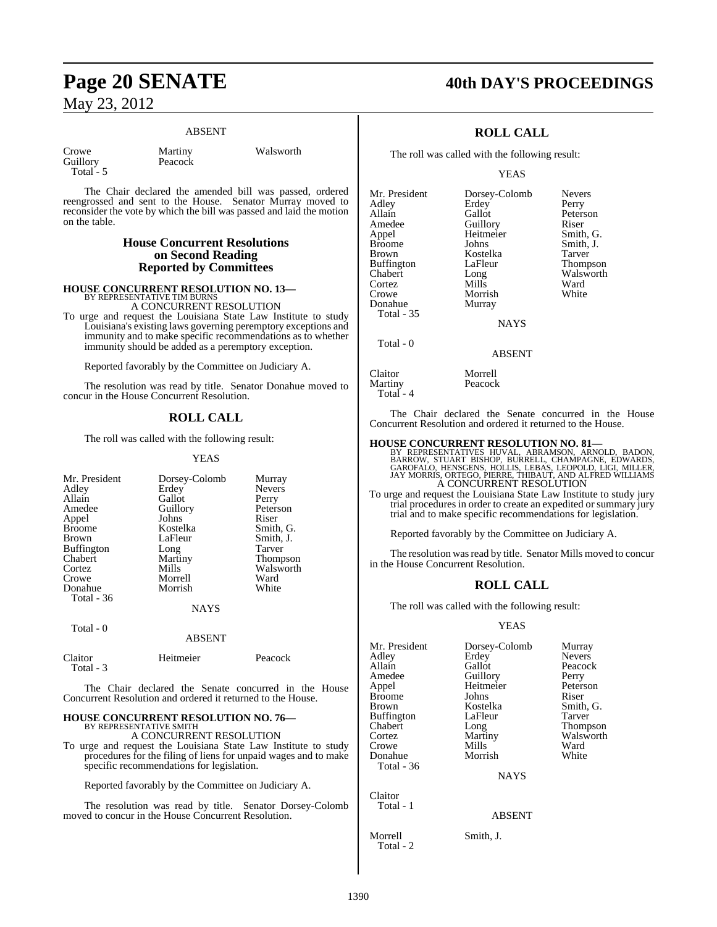#### ABSENT

| Crowe    |  |
|----------|--|
| Guillorv |  |
| Total -  |  |

Martiny Walsworth Peacock

The Chair declared the amended bill was passed, ordered reengrossed and sent to the House. Senator Murray moved to reconsider the vote by which the bill was passed and laid the motion on the table.

#### **House Concurrent Resolutions on Second Reading Reported by Committees**

## **HOUSE CONCURRENT RESOLUTION NO. 13—** BY REPRESENTATIVE TIM BURNS

A CONCURRENT RESOLUTION

To urge and request the Louisiana State Law Institute to study Louisiana's existing laws governing peremptory exceptions and immunity and to make specific recommendations as to whether immunity should be added as a peremptory exception.

Reported favorably by the Committee on Judiciary A.

The resolution was read by title. Senator Donahue moved to concur in the House Concurrent Resolution.

### **ROLL CALL**

The roll was called with the following result:

#### YEAS

| Mr. President     | Dorsey-Colomb | Murray          |
|-------------------|---------------|-----------------|
| Adley             | Erdey         | <b>Nevers</b>   |
| Allain            | Gallot        | Perry           |
| Amedee            | Guillory      | Peterson        |
| Appel             | Johns         | Riser           |
| <b>Broome</b>     | Kostelka      | Smith, G.       |
| Brown             | LaFleur       | Smith, J.       |
| <b>Buffington</b> | Long          | Tarver          |
| Chabert           | Martiny       | <b>Thompson</b> |
| Cortez            | Mills         | Walsworth       |
| Crowe             | Morrell       | Ward            |
| Donahue           | Morrish       | White           |
| Total - 36        |               |                 |
|                   | <b>NAYS</b>   |                 |
| Total - 0         |               |                 |
|                   | ABSENT        |                 |

Claitor Heitmeier Peacock Total - 3

The Chair declared the Senate concurred in the House Concurrent Resolution and ordered it returned to the House.

### **HOUSE CONCURRENT RESOLUTION NO. 76—** BY REPRESENTATIVE SMITH

A CONCURRENT RESOLUTION

To urge and request the Louisiana State Law Institute to study procedures for the filing of liens for unpaid wages and to make specific recommendations for legislation.

Reported favorably by the Committee on Judiciary A.

The resolution was read by title. Senator Dorsey-Colomb moved to concur in the House Concurrent Resolution.

### **Page 20 SENATE 40th DAY'S PROCEEDINGS**

### **ROLL CALL**

The roll was called with the following result:

Erdey<br>Gallot

YEAS

Mr. President Dorsey-Colomb Nevers<br>Adley Erdey Perry Allain Gallot Peterson<br>
Amedee Guillory Riser Amedee Guillory Riser<br>
Appel Heitmeier Smith, G. Appel Heitmeier<br>Broome Johns Broome Johns Smith, J.<br>Brown Kostelka Tarver Buffington<br>Chabert Cortez Mills Ward Donahue Total - 35 Total - 0

Kostelka Tarver<br>LaFleur Thompson Long Walsworth<br>
Mills Ward

NAYS

Morrish<br>Murray

#### ABSENT

| Claitor   | Morrell |
|-----------|---------|
| Martinv   | Peacock |
| Total - 4 |         |

The Chair declared the Senate concurred in the House Concurrent Resolution and ordered it returned to the House.

**HOUSE CONCURRENT RESOLUTION NO. 81—**<br>BY REPRESENTATIVES HUVAL, ABRAMSON, ARNOLD, BADON, STUART BISHOP, BORROW, STUART BISHOP AGRAMSONE, COMPAGNE, GAROFALO, GAROFALO, GAROFALO, SANG BAROFALO, SANG BAY MORRIS, ORTEGO, PIERR A CONCURRENT RESOLUTION

To urge and request the Louisiana State Law Institute to study jury trial procedures in order to create an expedited or summary jury trial and to make specific recommendations for legislation.

Reported favorably by the Committee on Judiciary A.

The resolution was read by title. Senator Mills moved to concur in the House Concurrent Resolution.

### **ROLL CALL**

The roll was called with the following result:

#### YEAS

| Mr. President | Dorsey-Colomb | Murray          |
|---------------|---------------|-----------------|
| Adley         | Erdey         | <b>Nevers</b>   |
| Allain        | Gallot        | Peacock         |
| Amedee        | Guillory      | Perry           |
| Appel         | Heitmeier     | Peterson        |
| Broome        | Johns         | Riser           |
| Brown         | Kostelka      | Smith, G.       |
| Buffington    | LaFleur       | Tarver          |
| Chabert       | Long          | <b>Thompson</b> |
| Cortez        | Martiny       | Walsworth       |
| Crowe         | Mills         | Ward            |
| Donahue       | Morrish       | White           |
| Total - 36    |               |                 |
|               | <b>NAYS</b>   |                 |
| Claitor       |               |                 |
| Total - 1     |               |                 |

ABSENT

Morrell Smith, J. Total - 2

 $\epsilon$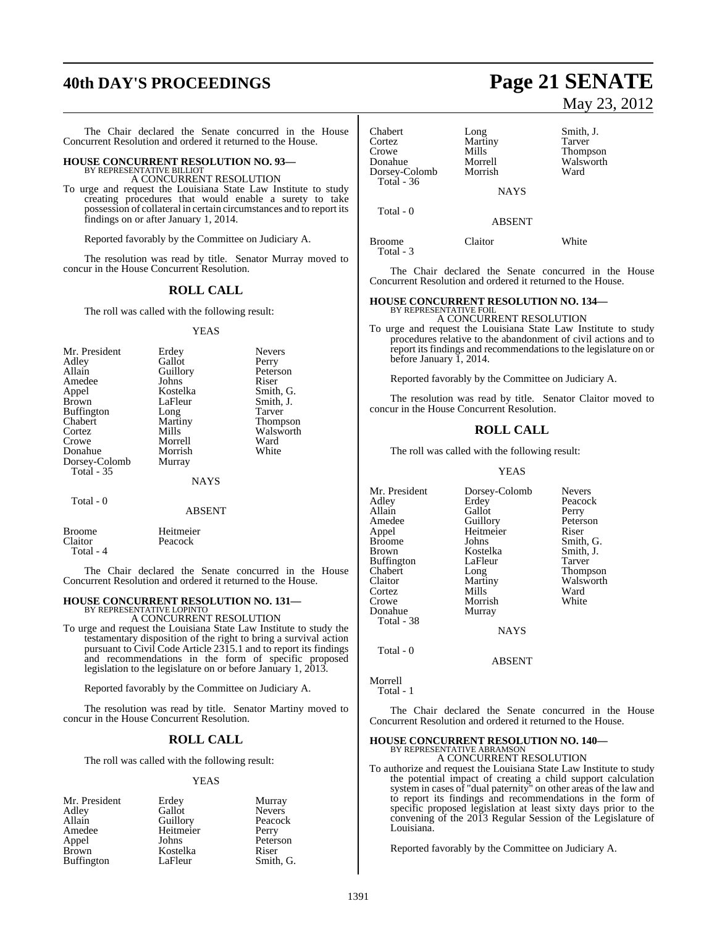# **40th DAY'S PROCEEDINGS Page 21 SENATE**

The Chair declared the Senate concurred in the House Concurrent Resolution and ordered it returned to the House.

#### **HOUSE CONCURRENT RESOLUTION NO. 93—** BY REPRESENTATIVE BILLIOT

A CONCURRENT RESOLUTION

To urge and request the Louisiana State Law Institute to study creating procedures that would enable a surety to take possession of collateral in certain circumstances and to report its findings on or after January 1, 2014.

Reported favorably by the Committee on Judiciary A.

The resolution was read by title. Senator Murray moved to concur in the House Concurrent Resolution.

#### **ROLL CALL**

The roll was called with the following result:

#### YEAS

| Mr. President     | Erdey       | <b>Nevers</b>   |
|-------------------|-------------|-----------------|
| Adley             | Gallot      | Perry           |
| Allain            | Guillory    | Peterson        |
| Amedee            | Johns       | Riser           |
| Appel             | Kostelka    | Smith, G.       |
| <b>Brown</b>      | LaFleur     | Smith, J.       |
| <b>Buffington</b> | Long        | Tarver          |
| Chabert           | Martiny     | <b>Thompson</b> |
| Cortez            | Mills       | Walsworth       |
| Crowe             | Morrell     | Ward            |
| Donahue           | Morrish     | White           |
| Dorsey-Colomb     | Murray      |                 |
| Total $-35$       |             |                 |
|                   | <b>NAYS</b> |                 |
|                   |             |                 |

### Total - 0

|                   | ADƏLIN I             |  |
|-------------------|----------------------|--|
| Broome<br>Claitor | Heitmeier<br>Peacock |  |
| Total - 4         |                      |  |

The Chair declared the Senate concurred in the House Concurrent Resolution and ordered it returned to the House.

ABSENT

### **HOUSE CONCURRENT RESOLUTION NO. 131—** BY REPRESENTATIVE LOPINTO

A CONCURRENT RESOLUTION

To urge and request the Louisiana State Law Institute to study the testamentary disposition of the right to bring a survival action pursuant to Civil Code Article 2315.1 and to report its findings and recommendations in the form of specific proposed legislation to the legislature on or before January 1, 2013.

Reported favorably by the Committee on Judiciary A.

The resolution was read by title. Senator Martiny moved to concur in the House Concurrent Resolution.

#### **ROLL CALL**

The roll was called with the following result:

#### YEAS

| Mr. President | Erdey     | Murray        |
|---------------|-----------|---------------|
| Adley         | Gallot    | <b>Nevers</b> |
| Allain        | Guillory  | Peacock       |
| Amedee        | Heitmeier | Perry         |
| Appel         | Johns     | Peterson      |
| Brown         | Kostelka  | Riser         |
| Buffington    | LaFleur   | Smith, G.     |
|               |           |               |

May 23, 2012

| Chabert<br>Cortez<br>Crowe<br>Donahue<br>Dorsey-Colomb<br>Total - $36$ | Long<br>Martiny<br>Mills<br>Morrell<br>Morrish | Smith, J.<br>Tarver<br>Thompson<br>Walsworth<br>Ward |
|------------------------------------------------------------------------|------------------------------------------------|------------------------------------------------------|
|                                                                        | <b>NAYS</b>                                    |                                                      |
| Total - 0                                                              | <b>ABSENT</b>                                  |                                                      |
| Broome                                                                 | Claitor                                        | White                                                |

The Chair declared the Senate concurred in the House Concurrent Resolution and ordered it returned to the House.

#### **HOUSE CONCURRENT RESOLUTION NO. 134—** BY REPRESENTATIVE FOIL

A CONCURRENT RESOLUTION

To urge and request the Louisiana State Law Institute to study procedures relative to the abandonment of civil actions and to report its findings and recommendations to the legislature on or before January 1, 2014.

Reported favorably by the Committee on Judiciary A.

The resolution was read by title. Senator Claitor moved to concur in the House Concurrent Resolution.

#### **ROLL CALL**

The roll was called with the following result:

#### YEAS

| Mr. President<br>Adley<br>Allain<br>Amedee<br>Appel<br>Broome<br>Brown<br>Buffington<br>Chabert<br>Claitor | Dorsey-Colomb<br>Erdey<br>Gallot<br>Guillory<br>Heitmeier<br>Johns<br>Kostelka<br>LaFleur<br>Long<br>Martiny | <b>Nevers</b><br>Peacock<br>Perry<br>Peterson<br>Riser<br>Smith, G.<br>Smith, J.<br>Tarver<br><b>Thompson</b><br>Walsworth |
|------------------------------------------------------------------------------------------------------------|--------------------------------------------------------------------------------------------------------------|----------------------------------------------------------------------------------------------------------------------------|
|                                                                                                            |                                                                                                              |                                                                                                                            |
| Cortez                                                                                                     | Mills                                                                                                        | Ward                                                                                                                       |
| Crowe<br>Donahue                                                                                           | Morrish<br>Murray                                                                                            | White                                                                                                                      |
| Total - 38                                                                                                 | <b>NAYS</b>                                                                                                  |                                                                                                                            |

Total - 0

Total - 3

ABSENT

Morrell Total - 1

The Chair declared the Senate concurred in the House Concurrent Resolution and ordered it returned to the House.

### **HOUSE CONCURRENT RESOLUTION NO. 140—**

BY REPRESENTATIVE ABRAMSON A CONCURRENT RESOLUTION

To authorize and request the Louisiana State Law Institute to study the potential impact of creating a child support calculation system in cases of "dual paternity" on other areas of the law and to report its findings and recommendations in the form of specific proposed legislation at least sixty days prior to the convening of the 2013 Regular Session of the Legislature of Louisiana.

Reported favorably by the Committee on Judiciary A.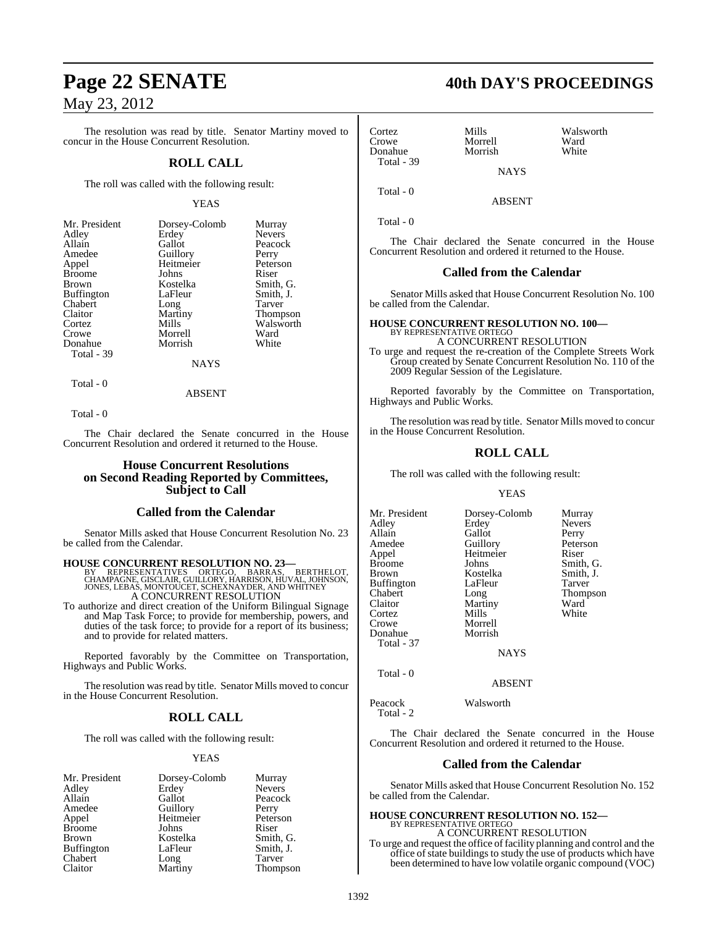The resolution was read by title. Senator Martiny moved to concur in the House Concurrent Resolution.

#### **ROLL CALL**

The roll was called with the following result:

#### YEAS

| Mr. President     | Dorsey-Colomb | Murray        |
|-------------------|---------------|---------------|
| Adley             | Erdey         | <b>Nevers</b> |
| Allain            | Gallot        | Peacock       |
| Amedee            | Guillory      | Perry         |
| Appel             | Heitmeier     | Peterson      |
| <b>Broome</b>     | Johns         | Riser         |
| <b>Brown</b>      | Kostelka      | Smith, G.     |
| <b>Buffington</b> | LaFleur       | Smith, J.     |
| Chabert           | Long          | Tarver        |
| Claitor           | Martiny       | Thompson      |
| Cortez            | Mills         | Walsworth     |
| Crowe             | Morrell       | Ward          |
| Donahue           | Morrish       | White         |
| Total - 39        |               |               |
|                   | <b>NAYS</b>   |               |

Total - 0

ABSENT

Total - 0

The Chair declared the Senate concurred in the House Concurrent Resolution and ordered it returned to the House.

#### **House Concurrent Resolutions on Second Reading Reported by Committees, Subject to Call**

#### **Called from the Calendar**

Senator Mills asked that House Concurrent Resolution No. 23 be called from the Calendar.

#### **HOUSE CONCURRENT RESOLUTION NO. 23—**

BY REPRESENTATIVES ORTEGO, BARRAS, BERTHELOT,<br>CHAMPAGNE, GISCLAIR,GUILLORY,HARRISON,HUVAL,JOHNSON,<br>JONES,LEBAS,MONTOUCET,SCHEXNAYDER,ANDWHITNEY A CONCURRENT RESOLUTION

To authorize and direct creation of the Uniform Bilingual Signage and Map Task Force; to provide for membership, powers, and duties of the task force; to provide for a report of its business; and to provide for related matters.

Reported favorably by the Committee on Transportation, Highways and Public Works.

The resolution was read by title. Senator Mills moved to concur in the House Concurrent Resolution.

### **ROLL CALL**

The roll was called with the following result:

#### YEAS

| Mr. President     | Dorsey-Colomb | Murray        |
|-------------------|---------------|---------------|
| Adley             | Erdey         | <b>Nevers</b> |
| Allain            | Gallot        | Peacock       |
| Amedee            | Guillory      | Perry         |
| Appel             | Heitmeier     | Peterson      |
| <b>Broome</b>     | Johns         | Riser         |
| <b>Brown</b>      | Kostelka      | Smith, G.     |
| <b>Buffington</b> | LaFleur       | Smith, J.     |
| Chabert           | Long          | Tarver        |
| Claitor           | Martiny       | Thompson      |

### **Page 22 SENATE 40th DAY'S PROCEEDINGS**

Cortez Mills Walsworth Morrell Ward<br>
Morrish White Donahue Total - 39 **NAYS** 

ABSENT

Total - 0

Total - 0

The Chair declared the Senate concurred in the House Concurrent Resolution and ordered it returned to the House.

#### **Called from the Calendar**

Senator Mills asked that House Concurrent Resolution No. 100 be called from the Calendar.

### **HOUSE CONCURRENT RESOLUTION NO. 100—** BY REPRESENTATIVE ORTEGO A CONCURRENT RESOLUTION

To urge and request the re-creation of the Complete Streets Work Group created by Senate Concurrent Resolution No. 110 of the 2009 Regular Session of the Legislature.

Reported favorably by the Committee on Transportation, Highways and Public Works.

The resolution was read by title. Senator Mills moved to concur in the House Concurrent Resolution.

### **ROLL CALL**

The roll was called with the following result:

#### YEAS

Mr. President Dorsey-Colomb Murray<br>Adley Erdey Nevers Adley Erdey Never<br>Allain Gallot Perry Allain Gallot<br>Amedee Guillory Amedee Guillory Peterson<br>Appel Heitmeier Riser Appel Heitmeier<br>Broome Johns Broome Johns Smith, G.<br>Brown Kostelka Smith, J. Kostelka Smith,<br>LaFleur Tarver Buffington LaFle<br>Chabert Long Thompson Claitor Martiny Ward Cortez Mills White Crowe Morrell<br>
Donahue Morrish Donahue Total - 37

NAYS

#### ABSENT

Peacock Walsworth

Total - 2

Total - 0

The Chair declared the Senate concurred in the House Concurrent Resolution and ordered it returned to the House.

#### **Called from the Calendar**

Senator Mills asked that House Concurrent Resolution No. 152 be called from the Calendar.

#### **HOUSE CONCURRENT RESOLUTION NO. 152—** BY REPRESENTATIVE ORTEGO

A CONCURRENT RESOLUTION

To urge and request the office of facility planning and control and the office of state buildings to study the use of products which have been determined to have low volatile organic compound (VOC)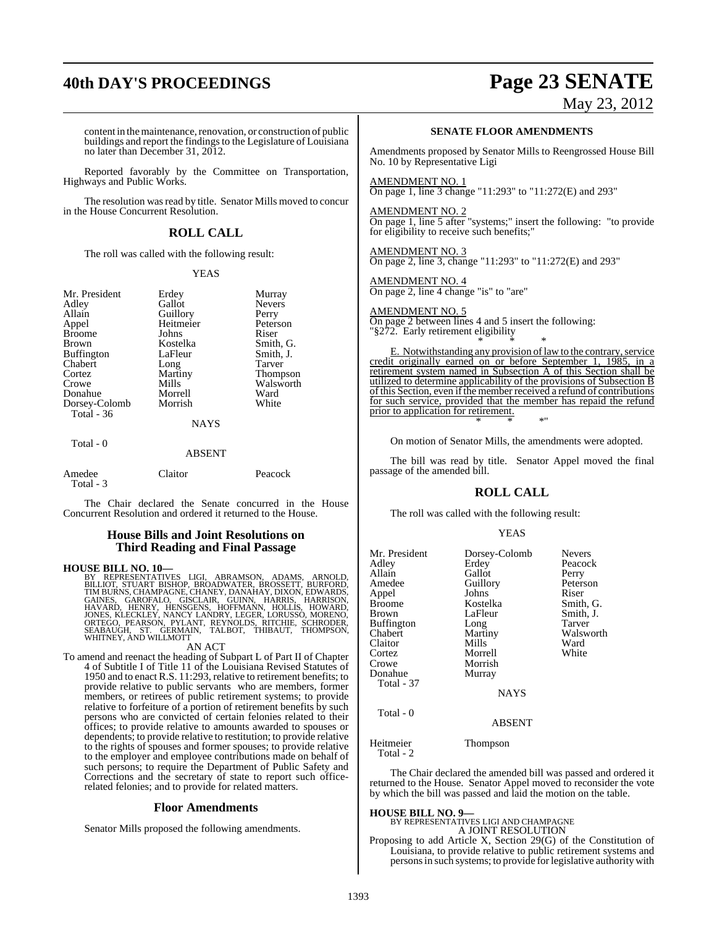# **40th DAY'S PROCEEDINGS Page 23 SENATE**

May 23, 2012

content in the maintenance, renovation, or construction of public buildings and report the findings to the Legislature of Louisiana no later than December 31, 2012.

Reported favorably by the Committee on Transportation, Highways and Public Works.

The resolution was read by title. Senator Mills moved to concur in the House Concurrent Resolution.

### **ROLL CALL**

The roll was called with the following result:

#### YEAS

| Mr. President     | Erdey     | Murray        |
|-------------------|-----------|---------------|
| Adley             | Gallot    | <b>Nevers</b> |
| Allain            | Guillory  | Perry         |
| Appel             | Heitmeier | Peterso       |
| <b>Broome</b>     | Johns     | Riser         |
| <b>Brown</b>      | Kostelka  | Smith,        |
| <b>Buffington</b> | LaFleur   | Smith,.       |
| Chabert           | Long      | Tarver        |
| Cortez            | Martiny   | Thomp:        |
| Crowe             | Mills     | Walswo        |
| Donahue           | Morrell   | Ward          |
| Dorsey-Colomb     | Morrish   | White         |
| Total - 36        |           |               |
|                   | NAVS      |               |

### Heitmeier Peters<br>Johns Riser Johns<br>Kostelka LaFleur Smith, J.<br>Long Tarver Long Tarver<br>
Martiny Thome Martiny Thompson<br>Mills Walsworth

 $Smith, G.$ 

Walsworth<br>Ward

**NAYS** 

#### Total - 0

| <b>ABSENT</b> |
|---------------|
|               |

| Amedee    | Claitor | Peacock |
|-----------|---------|---------|
| Total - 3 |         |         |

The Chair declared the Senate concurred in the House Concurrent Resolution and ordered it returned to the House.

#### **House Bills and Joint Resolutions on Third Reading and Final Passage**

**HOUSE BILL NO. 10—**<br>BY REPRESENTATIVES LIGI, ABRAMSON, ADAMS, ARNOLD,<br>BILLIOT, STUART BISHOP, BROADWATER, BROSSETT, BURFORD,<br>TIM BURNS, CHAMPAGNE, CHANEY, DANAHAY, DIXON, EDWARDS,<br>GAINES, GAROFALO, GISCLAIR, GUINN, HARRIS

#### AN ACT

To amend and reenact the heading of Subpart L of Part II of Chapter 4 of Subtitle I of Title 11 of the Louisiana Revised Statutes of 1950 and to enact R.S. 11:293, relative to retirement benefits; to provide relative to public servants who are members, former members, or retirees of public retirement systems; to provide relative to forfeiture of a portion of retirement benefits by such persons who are convicted of certain felonies related to their offices; to provide relative to amounts awarded to spouses or dependents; to provide relative to restitution; to provide relative to the rights of spouses and former spouses; to provide relative to the employer and employee contributions made on behalf of such persons; to require the Department of Public Safety and Corrections and the secretary of state to report such officerelated felonies; and to provide for related matters.

#### **Floor Amendments**

Senator Mills proposed the following amendments.

#### **SENATE FLOOR AMENDMENTS**

Amendments proposed by Senator Mills to Reengrossed House Bill No. 10 by Representative Ligi

#### AMENDMENT NO. 1

On page 1, line 3 change "11:293" to "11:272(E) and 293"

#### AMENDMENT NO. 2

On page 1, line 5 after "systems;" insert the following: "to provide for eligibility to receive such benefits;

AMENDMENT NO. 3 On page 2, line 3, change "11:293" to "11:272(E) and 293"

AMENDMENT NO. 4 On page 2, line 4 change "is" to "are"

### AMENDMENT NO. 5

On page 2 between lines 4 and 5 insert the following: "§272. Early retirement eligibility \* \* \*

E. Notwithstanding any provision of law to the contrary, service credit originally earned on or before September 1, 1985, in a retirement system named in Subsection A of this Section shall be utilized to determine applicability of the provisions of Subsection B ofthis Section, even ifthe member received a refund of contributions for such service, provided that the member has repaid the refund prior to application for retirement. \* \* \*"

On motion of Senator Mills, the amendments were adopted.

The bill was read by title. Senator Appel moved the final passage of the amended bill.

### **ROLL CALL**

The roll was called with the following result:

#### YEAS

| Mr. President<br>Adley<br>Allain<br>Amedee<br>Appel<br><b>Broome</b><br>Brown<br><b>Buffington</b><br>Chabert<br>Claitor<br>Cortez<br>Crowe<br>Donahue<br>Total - 37 | Dorsey-Colomb<br>Erdey<br>Gallot<br>Guillory<br>Johns<br>Kostelka<br>LaFleur<br>Long<br>Martiny<br>Mills<br>Morrell<br>Morrish<br>Murray<br><b>NAYS</b> | <b>Nevers</b><br>Peacock<br>Perry<br>Peterson<br>Riser<br>Smith, G.<br>Smith, J.<br>Tarver<br>Walsworth<br>Ward<br>White |
|----------------------------------------------------------------------------------------------------------------------------------------------------------------------|---------------------------------------------------------------------------------------------------------------------------------------------------------|--------------------------------------------------------------------------------------------------------------------------|
| Total - 0                                                                                                                                                            | <b>ABSENT</b>                                                                                                                                           |                                                                                                                          |
| $\mathbf{r}$ $\mathbf{r}$ $\mathbf{r}$ $\mathbf{r}$ $\mathbf{r}$                                                                                                     | m                                                                                                                                                       |                                                                                                                          |

Heitmeier Thompson Total - 2

The Chair declared the amended bill was passed and ordered it returned to the House. Senator Appel moved to reconsider the vote by which the bill was passed and laid the motion on the table.

#### **HOUSE BILL NO. 9—**

BY REPRESENTATIVES LIGI AND CHAMPAGNE

A JOINT RESOLUTION Proposing to add Article X, Section 29(G) of the Constitution of Louisiana, to provide relative to public retirement systems and persons in such systems; to provide for legislative authority with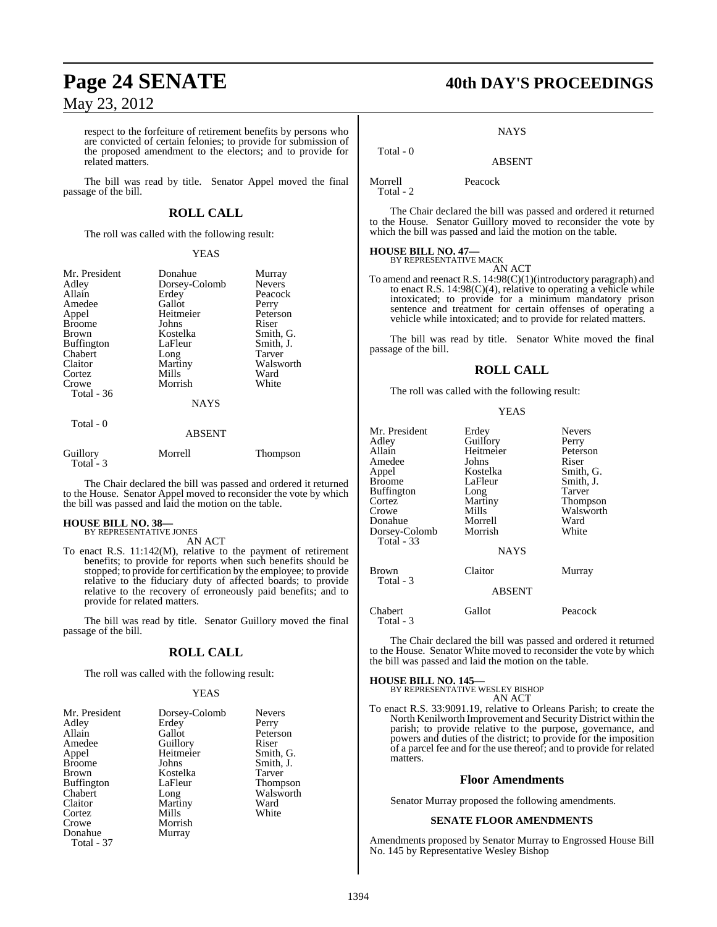respect to the forfeiture of retirement benefits by persons who are convicted of certain felonies; to provide for submission of the proposed amendment to the electors; and to provide for related matters.

The bill was read by title. Senator Appel moved the final passage of the bill.

### **ROLL CALL**

The roll was called with the following result:

#### YEAS

| Mr. President<br>Adley<br>Allain<br>Amedee<br>Appel<br><b>Broome</b><br><b>Brown</b><br><b>Buffington</b><br>Chabert<br>Claitor | Donahue<br>Dorsey-Colomb<br>Erdey<br>Gallot<br>Heitmeier<br>Johns<br>Kostelka<br>LaFleur<br>Long<br>Martiny | Murray<br><b>Nevers</b><br>Peacock<br>Perry<br>Peterson<br>Riser<br>Smith, G.<br>Smith, J.<br>Tarver<br>Walsworth |
|---------------------------------------------------------------------------------------------------------------------------------|-------------------------------------------------------------------------------------------------------------|-------------------------------------------------------------------------------------------------------------------|
| Cortez                                                                                                                          | Mills                                                                                                       | Ward                                                                                                              |
| Crowe<br><b>Total - 36</b>                                                                                                      | Morrish<br><b>NAYS</b>                                                                                      | White                                                                                                             |
|                                                                                                                                 |                                                                                                             |                                                                                                                   |
| Total - 0                                                                                                                       | ABSENT                                                                                                      |                                                                                                                   |

| Guillory  | Morrell | <b>Thompson</b> |
|-----------|---------|-----------------|
| Total - 3 |         |                 |
|           |         |                 |

The Chair declared the bill was passed and ordered it returned to the House. Senator Appel moved to reconsider the vote by which the bill was passed and laid the motion on the table.

## **HOUSE BILL NO. 38—** BY REPRESENTATIVE JONES

AN ACT

To enact R.S. 11:142(M), relative to the payment of retirement benefits; to provide for reports when such benefits should be stopped; to provide for certification by the employee; to provide relative to the fiduciary duty of affected boards; to provide relative to the recovery of erroneously paid benefits; and to provide for related matters.

The bill was read by title. Senator Guillory moved the final passage of the bill.

### **ROLL CALL**

The roll was called with the following result:

#### YEAS

| Mr. President     | Dorsey-Colomb | <b>Nevers</b>   |
|-------------------|---------------|-----------------|
|                   |               |                 |
| Adley             | Erdey         | Perry           |
| Allain            | Gallot        | Peterson        |
| Amedee            | Guillory      | Riser           |
| Appel             | Heitmeier     | Smith, G.       |
| <b>Broome</b>     | Johns         | Smith, J.       |
| <b>Brown</b>      | Kostelka      | <b>Tarver</b>   |
| <b>Buffington</b> | LaFleur       | <b>Thompson</b> |
| Chabert           | Long          | Walsworth       |
| Claitor           | Martiny       | Ward            |
| Cortez            | Mills         | White           |
| Crowe             | Morrish       |                 |
| Donahue           | Murray        |                 |
| Total - 37        |               |                 |

# **Page 24 SENATE 40th DAY'S PROCEEDINGS**

#### **NAYS**

ABSENT

Morrell Peacock

Total - 2

Total - 0

The Chair declared the bill was passed and ordered it returned to the House. Senator Guillory moved to reconsider the vote by which the bill was passed and laid the motion on the table.

# **HOUSE BILL NO. 47—** BY REPRESENTATIVE MACK

AN ACT To amend and reenact R.S. 14:98(C)(1)(introductory paragraph) and to enact R.S. 14:98(C)(4), relative to operating a vehicle while intoxicated; to provide for a minimum mandatory prison sentence and treatment for certain offenses of operating a vehicle while intoxicated; and to provide for related matters.

The bill was read by title. Senator White moved the final passage of the bill.

### **ROLL CALL**

The roll was called with the following result:

#### YEAS

| Mr. President<br>Adley<br>Allain<br>Amedee<br>Appel<br><b>Broome</b><br>Buffington<br>Cortez<br>Crowe<br>Donahue<br>Dorsey-Colomb<br><b>Total - 33</b> | Erdey<br>Guillory<br>Heitmeier<br>Johns<br>Kostelka<br>LaFleur<br>Long<br>Martiny<br>Mills<br>Morrell<br>Morrish<br><b>NAYS</b> | <b>Nevers</b><br>Perry<br>Peterson<br>Riser<br>Smith, G.<br>Smith, J.<br>Tarver<br>Thompson<br>Walsworth<br>Ward<br>White |
|--------------------------------------------------------------------------------------------------------------------------------------------------------|---------------------------------------------------------------------------------------------------------------------------------|---------------------------------------------------------------------------------------------------------------------------|
| <b>Brown</b><br>Total - 3                                                                                                                              | Claitor<br><b>ABSENT</b>                                                                                                        | Murray                                                                                                                    |
| Chabert<br>Total - 3                                                                                                                                   | Gallot                                                                                                                          | Peacock                                                                                                                   |

The Chair declared the bill was passed and ordered it returned to the House. Senator White moved to reconsider the vote by which the bill was passed and laid the motion on the table.

**HOUSE BILL NO. 145—** BY REPRESENTATIVE WESLEY BISHOP AN ACT

To enact R.S. 33:9091.19, relative to Orleans Parish; to create the North Kenilworth Improvement and Security District within the parish; to provide relative to the purpose, governance, and powers and duties of the district; to provide for the imposition of a parcel fee and for the use thereof; and to provide for related matters.

#### **Floor Amendments**

Senator Murray proposed the following amendments.

#### **SENATE FLOOR AMENDMENTS**

Amendments proposed by Senator Murray to Engrossed House Bill No. 145 by Representative Wesley Bishop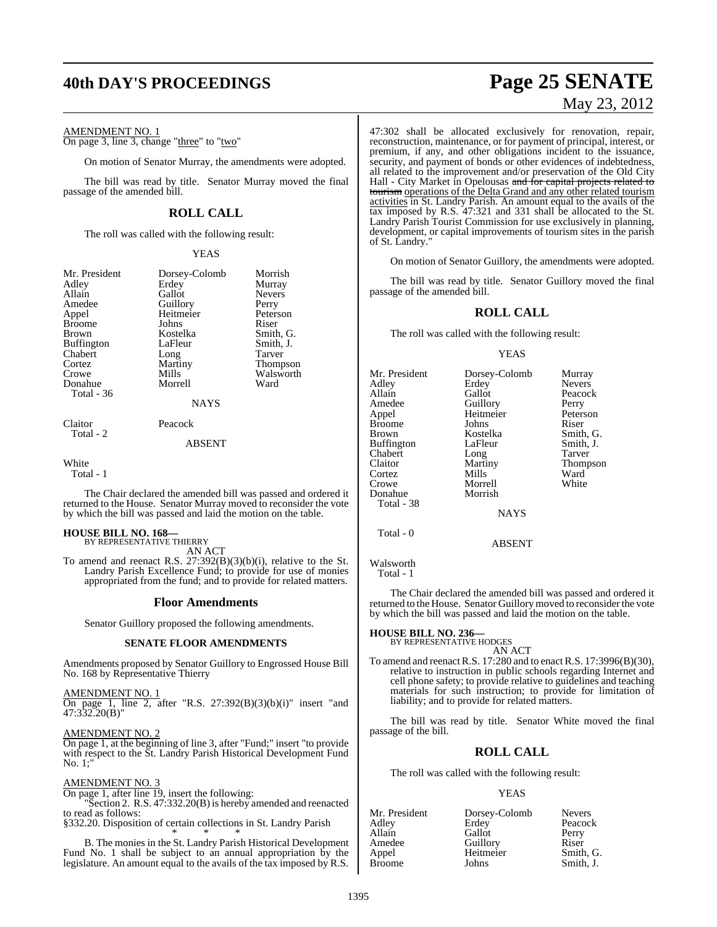### **40th DAY'S PROCEEDINGS Page 25 SENATE**

AMENDMENT NO. 1

On page 3, line 3, change "three" to "two"

On motion of Senator Murray, the amendments were adopted.

The bill was read by title. Senator Murray moved the final passage of the amended bill.

### **ROLL CALL**

The roll was called with the following result:

YEAS

| Mr. President<br>Adley<br>Allain<br>Amedee<br>Appel<br><b>Broome</b><br><b>Brown</b><br><b>Buffington</b><br>Chabert<br>Cortez<br>Crowe<br>Donahue<br>Total - 36 | Dorsey-Colomb<br>Erdey<br>Gallot<br>Guillory<br>Heitmeier<br>Johns<br>Kostelka<br>LaFleur<br>Long<br>Martiny<br>Mills<br>Morrell<br>NAYS | Morrish<br>Murray<br><b>Nevers</b><br>Perry<br>Peterson<br>Riser<br>Smith, G.<br>Smith, J.<br>Tarver<br><b>Thompson</b><br>Walsworth<br>Ward |
|------------------------------------------------------------------------------------------------------------------------------------------------------------------|------------------------------------------------------------------------------------------------------------------------------------------|----------------------------------------------------------------------------------------------------------------------------------------------|
| Claitor                                                                                                                                                          | Peacock                                                                                                                                  |                                                                                                                                              |
| Total - 2                                                                                                                                                        | ABSENT                                                                                                                                   |                                                                                                                                              |

White

Total - 1

The Chair declared the amended bill was passed and ordered it returned to the House. Senator Murray moved to reconsider the vote by which the bill was passed and laid the motion on the table.

### **HOUSE BILL NO. 168—** BY REPRESENTATIVE THIERRY

AN ACT

To amend and reenact R.S. 27:392(B)(3)(b)(i), relative to the St. Landry Parish Excellence Fund; to provide for use of monies appropriated from the fund; and to provide for related matters.

#### **Floor Amendments**

Senator Guillory proposed the following amendments.

#### **SENATE FLOOR AMENDMENTS**

Amendments proposed by Senator Guillory to Engrossed House Bill No. 168 by Representative Thierry

AMENDMENT NO. 1 On page 1, line 2, after "R.S.  $27:392(B)(3)(b)(i)$ " insert "and 47:332.20(B)"

AMENDMENT NO. 2

On page 1, at the beginning of line 3, after "Fund;" insert "to provide with respect to the St. Landry Parish Historical Development Fund No. 1;"

#### AMENDMENT NO. 3

On page 1, after line 19, insert the following: Section 2. R.S. 47:332.20(B) is hereby amended and reenacted to read as follows:

§332.20. Disposition of certain collections in St. Landry Parish

\* \* \* B. The monies in the St. Landry Parish Historical Development Fund No. 1 shall be subject to an annual appropriation by the legislature. An amount equal to the avails of the tax imposed by R.S.

# May 23, 2012

Thompson<br>Ward

47:302 shall be allocated exclusively for renovation, repair, reconstruction, maintenance, or for payment of principal, interest, or premium, if any, and other obligations incident to the issuance, security, and payment of bonds or other evidences of indebtedness, all related to the improvement and/or preservation of the Old City Hall - City Market in Opelousas <del>and for capital projects related to</del> tourism operations of the Delta Grand and any other related tourism activities in St. Landry Parish. An amount equal to the avails of the tax imposed by R.S. 47:321 and 331 shall be allocated to the St. Landry Parish Tourist Commission for use exclusively in planning, development, or capital improvements of tourism sites in the parish of St. Landry."

On motion of Senator Guillory, the amendments were adopted.

The bill was read by title. Senator Guillory moved the final passage of the amended bill.

#### **ROLL CALL**

The roll was called with the following result:

#### YEAS

| Mr. President     | Dorsey-Colomb | Murray          |
|-------------------|---------------|-----------------|
| Adley             | Erdey         | <b>Nevers</b>   |
| Allain            | Gallot        | Peacock         |
| Amedee            | Guillory      | Perry           |
| Appel             | Heitmeier     | Peterson        |
| <b>Broome</b>     | Johns         | Riser           |
| <b>Brown</b>      | Kostelka      | Smith, G.       |
| <b>Buffington</b> | LaFleur       | Smith, J.       |
| Chabert           | Long          | Tarver          |
| Claitor           | Martiny       | <b>Thompson</b> |
| Cortez            | Mills         | Ward            |
| Crowe             | Morrell       | White           |
| Donahue           | Morrish       |                 |
| Total - 38        |               |                 |
|                   | <b>NAYS</b>   |                 |
| Total - 0         |               |                 |

Walsworth Total - 1

The Chair declared the amended bill was passed and ordered it returned to the House. Senator Guillory moved to reconsider the vote by which the bill was passed and laid the motion on the table.

ABSENT

#### **HOUSE BILL NO. 236—** BY REPRESENTATIVE HODGES

AN ACT

To amend and reenact R.S. 17:280 and to enact R.S. 17:3996(B)(30), relative to instruction in public schools regarding Internet and cell phone safety; to provide relative to guidelines and teaching materials for such instruction; to provide for limitation of liability; and to provide for related matters.

The bill was read by title. Senator White moved the final passage of the bill.

#### **ROLL CALL**

The roll was called with the following result:

#### YEAS

| Mr. President | Dorsey-Colomb | <b>Nevers</b> |
|---------------|---------------|---------------|
| Adley         | Erdey         | Peacock       |
| Allain        | Gallot        | Perry         |
| Amedee        | Guillory      | Riser         |
| Appel         | Heitmeier     | Smith, G.     |
| <b>Broome</b> | Johns         | Smith, J.     |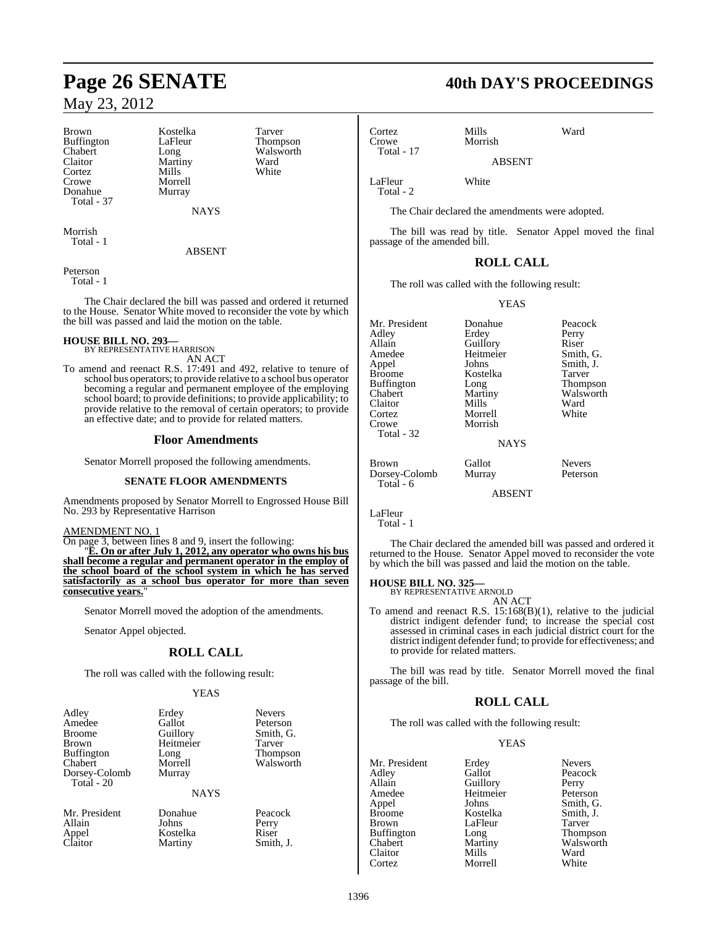Brown Kostelka Tarver<br>Buffington LaFleur Thompson Buffington LaFle<br>Chabert Long Chabert Long Walsworth<br>
Claitor Martiny Ward Cortez Crowe Morrell<br>Donahue Murray Donahue Total - 37

Martiny Ward<br>
Mills White

NAYS

Morrish Total - 1

#### ABSENT

Peterson Total - 1

The Chair declared the bill was passed and ordered it returned to the House. Senator White moved to reconsider the vote by which the bill was passed and laid the motion on the table.

#### **HOUSE BILL NO. 293—**

- BY REPRESENTATIVE HARRISON AN ACT
- To amend and reenact R.S. 17:491 and 492, relative to tenure of school bus operators; to provide relative to a school bus operator becoming a regular and permanent employee of the employing school board; to provide definitions; to provide applicability; to provide relative to the removal of certain operators; to provide an effective date; and to provide for related matters.

### **Floor Amendments**

Senator Morrell proposed the following amendments.

### **SENATE FLOOR AMENDMENTS**

Amendments proposed by Senator Morrell to Engrossed House Bill No. 293 by Representative Harrison

#### AMENDMENT NO. 1

On page 3, between lines 8 and 9, insert the following: "**E. On or after July 1, 2012, any operator who owns his bus shall become a regular and permanent operator in the employ of the school board of the school system in which he has served satisfactorily as a school bus operator for more than seven consecutive years.**"

Senator Morrell moved the adoption of the amendments.

Senator Appel objected.

### **ROLL CALL**

The roll was called with the following result:

#### YEAS

| Adley             | Erdey       | <b>Nevers</b> |
|-------------------|-------------|---------------|
| Amedee            | Gallot      | Peterson      |
| <b>Broome</b>     | Guillory    | Smith, G.     |
| <b>Brown</b>      | Heitmeier   | Tarver        |
| <b>Buffington</b> | Long        | Thompson      |
| Chabert           | Morrell     | Walsworth     |
| Dorsey-Colomb     | Murray      |               |
| Total - 20        |             |               |
|                   | <b>NAYS</b> |               |

**Martiny** 

Mr. President Donahue Peacock<br>
Allain Johns Perry Allain Johns Perry Appel Kostelka Riser

## **Page 26 SENATE 40th DAY'S PROCEEDINGS**

Cortez Mills Ward Total - 17

Morrish

ABSENT

LaFleur White Total - 2

The Chair declared the amendments were adopted.

The bill was read by title. Senator Appel moved the final passage of the amended bill.

### **ROLL CALL**

The roll was called with the following result:

YEAS

| Mr. President<br>Adley<br>Allain<br>Amedee<br>Appel<br>Broome<br>Buffington<br>Chabert<br>Claitor<br>Cortez<br>Crowe<br>Total - 32 | Donahue<br>Erdey<br>Guillory<br>Heitmeier<br>Johns<br>Kostelka<br>Long<br>Martiny<br>Mills<br>Morrell<br>Morrish<br><b>NAYS</b> | Peacock<br>Perry<br>Riser<br>Smith, G.<br>Smith, J.<br>Tarver<br><b>Thompson</b><br>Walsworth<br>Ward<br>White |
|------------------------------------------------------------------------------------------------------------------------------------|---------------------------------------------------------------------------------------------------------------------------------|----------------------------------------------------------------------------------------------------------------|
| Brown                                                                                                                              | Gallot                                                                                                                          | <b>Nevers</b>                                                                                                  |
| Dorsey-Colomb<br>Total - 6                                                                                                         | Murray                                                                                                                          | Peterson                                                                                                       |

ABSENT

LaFleur

Total - 1

The Chair declared the amended bill was passed and ordered it returned to the House. Senator Appel moved to reconsider the vote by which the bill was passed and laid the motion on the table.

#### **HOUSE BILL NO. 325—**

BY REPRESENTATIVE ARNOLD AN ACT

To amend and reenact R.S. 15:168(B)(1), relative to the judicial district indigent defender fund; to increase the special cost assessed in criminal cases in each judicial district court for the district indigent defender fund; to provide for effectiveness; and to provide for related matters.

The bill was read by title. Senator Morrell moved the final passage of the bill.

### **ROLL CALL**

The roll was called with the following result:

Kostelka

#### YEAS

Mr. President Erdey Nevers<br>Adley Gallot Peacoc Adley Gallot Peacock<br>
Allain Guillory Perry Allain Guillory<br>Amedee Heitmei Amedee Heitmeier Peterson<br>
Appel Johns Smith, G Appel Johns Smith, G. Brown LaFleur Tarver<br>Buffington Long Thompson Buffington Long<br>Chabert Martiny Claitor Mills Ward Cortez Morrell White

Martiny Walsworth<br>
Mills Ward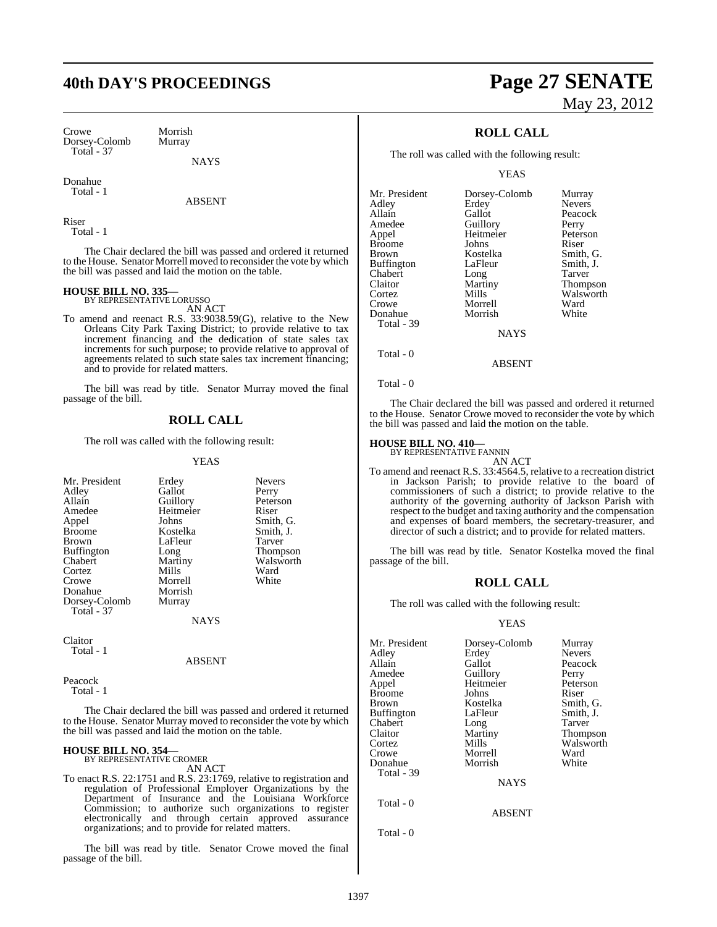## **40th DAY'S PROCEEDINGS Page 27 SENATE**

Crowe Morrish<br>Dorsey-Colomb Murray Dorsey-Colomb Total - 37

NAYS

Donahue Total - 1

ABSENT

Riser Total - 1

The Chair declared the bill was passed and ordered it returned to the House. Senator Morrell moved to reconsider the vote by which the bill was passed and laid the motion on the table.

### **HOUSE BILL NO. 335—** BY REPRESENTATIVE LORUSSO

AN ACT

To amend and reenact R.S. 33:9038.59(G), relative to the New Orleans City Park Taxing District; to provide relative to tax increment financing and the dedication of state sales tax increments for such purpose; to provide relative to approval of agreements related to such state sales tax increment financing; and to provide for related matters.

The bill was read by title. Senator Murray moved the final passage of the bill.

### **ROLL CALL**

The roll was called with the following result:

#### YEAS

| Mr. President     | Erdey       | <b>Nevers</b>   |
|-------------------|-------------|-----------------|
| Adley             | Gallot      | Perry           |
| Allain            | Guillory    | Peterson        |
| Amedee            | Heitmeier   | Riser           |
| Appel             | Johns       | Smith, G.       |
| <b>Broome</b>     | Kostelka    | Smith, J.       |
| <b>Brown</b>      | LaFleur     | Tarver          |
| <b>Buffington</b> | Long        | <b>Thompson</b> |
| Chabert           | Martiny     | Walsworth       |
| Cortez            | Mills       | Ward            |
| Crowe             | Morrell     | White           |
| Donahue           | Morrish     |                 |
| Dorsey-Colomb     | Murray      |                 |
| <b>Total - 37</b> |             |                 |
|                   | <b>NAYS</b> |                 |

Claitor Total - 1

ABSENT

Peacock Total - 1

The Chair declared the bill was passed and ordered it returned to the House. Senator Murray moved to reconsider the vote by which the bill was passed and laid the motion on the table.

#### **HOUSE BILL NO. 354—**

BY REPRESENTATIVE CROMER AN ACT

To enact R.S. 22:1751 and R.S. 23:1769, relative to registration and regulation of Professional Employer Organizations by the Department of Insurance and the Louisiana Workforce Commission; to authorize such organizations to register electronically and through certain approved assurance organizations; and to provide for related matters.

The bill was read by title. Senator Crowe moved the final passage of the bill.

# May 23, 2012

### **ROLL CALL**

The roll was called with the following result:

YEAS

| Mr. President | Dorsey-Colomb | Murray        |
|---------------|---------------|---------------|
| Adlev         | Erdey         | <b>Nevers</b> |
| Allain        | Gallot        | Peacock       |
| Amedee        | Guillory      | Perry         |
| Appel         | Heitmeier     | Peterson      |
| <b>Broome</b> | Johns         | Riser         |
| Brown         | Kostelka      | Smith, G.     |
| Buffington    | LaFleur       | Smith, J.     |
| Chabert       | Long          | Tarver        |
| Claitor       | Martiny       | Thompson      |
| Cortez        | Mills         | Walsworth     |
| Crowe         | Morrell       | Ward          |
| Donahue       | Morrish       | White         |
| Total - 39    |               |               |
|               | <b>NAYS</b>   |               |
|               |               |               |
|               |               |               |

Total - 0

Total - 0

The Chair declared the bill was passed and ordered it returned to the House. Senator Crowe moved to reconsider the vote by which the bill was passed and laid the motion on the table.

ABSENT

#### **HOUSE BILL NO. 410—**

BY REPRESENTATIVE FANNIN AN ACT

To amend and reenact R.S. 33:4564.5, relative to a recreation district in Jackson Parish; to provide relative to the board of commissioners of such a district; to provide relative to the authority of the governing authority of Jackson Parish with respect to the budget and taxing authority and the compensation and expenses of board members, the secretary-treasurer, and director of such a district; and to provide for related matters.

The bill was read by title. Senator Kostelka moved the final passage of the bill.

#### **ROLL CALL**

The roll was called with the following result:

#### **YEAS**

ABSENT

| Mr. President | Dorsey-Colomb | Murray          |
|---------------|---------------|-----------------|
| Adley         | Erdey         | <b>Nevers</b>   |
| Allain        | Gallot        | Peacock         |
| Amedee        | Guillory      | Perry           |
| Appel         | Heitmeier     | Peterson        |
| Broome        | Johns         | Riser           |
| Brown         | Kostelka      | Smith, G.       |
| Buffington    | LaFleur       | Smith, J.       |
| Chabert       | Long          | Tarver          |
| Claitor       | Martiny       | <b>Thompson</b> |
| Cortez        | Mills         | Walsworth       |
| Crowe         | Morrell       | Ward            |
| Donahue       | Morrish       | White           |
| Total - 39    |               |                 |
|               | <b>NAYS</b>   |                 |
|               |               |                 |
|               |               |                 |

Total - 0

Total - 0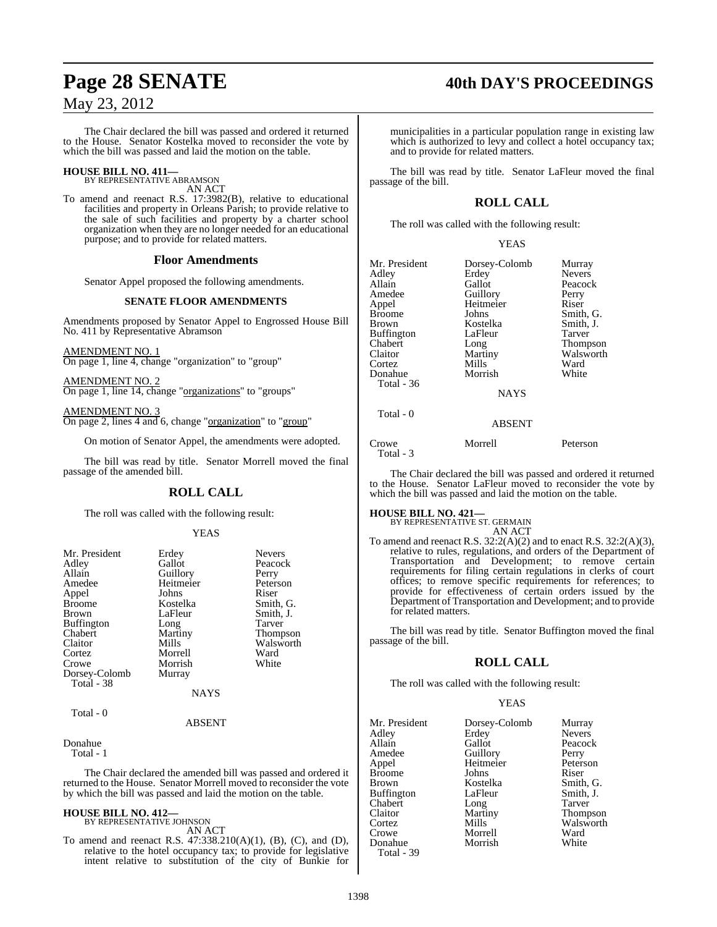The Chair declared the bill was passed and ordered it returned to the House. Senator Kostelka moved to reconsider the vote by which the bill was passed and laid the motion on the table.

### **HOUSE BILL NO. 411—** BY REPRESENTATIVE ABRAMSON

AN ACT

To amend and reenact R.S. 17:3982(B), relative to educational facilities and property in Orleans Parish; to provide relative to the sale of such facilities and property by a charter school organization when they are no longer needed for an educational purpose; and to provide for related matters.

#### **Floor Amendments**

Senator Appel proposed the following amendments.

#### **SENATE FLOOR AMENDMENTS**

Amendments proposed by Senator Appel to Engrossed House Bill No. 411 by Representative Abramson

AMENDMENT NO. 1 On page 1, line 4, change "organization" to "group"

AMENDMENT NO. 2 On page 1, line 14, change "organizations" to "groups"

AMENDMENT NO. 3 On page 2, lines 4 and 6, change "organization" to "group"

On motion of Senator Appel, the amendments were adopted.

The bill was read by title. Senator Morrell moved the final passage of the amended bill.

### **ROLL CALL**

The roll was called with the following result:

#### YEAS

| Mr. President<br>Adley<br>Allain<br>Amedee<br>Appel<br><b>Broome</b><br><b>Brown</b><br>Buffington<br>Chabert<br>Claitor<br>Cortez<br>Crowe | Erdey<br>Gallot<br>Guillory<br>Heitmeier<br>Johns<br>Kostelka<br>LaFleur<br>Long<br>Martiny<br>Mills<br>Morrell<br>Morrish | <b>Nevers</b><br>Peacock<br>Perry<br>Peterson<br>Riser<br>Smith, G.<br>Smith, J.<br>Tarver<br><b>Thompson</b><br>Walsworth<br>Ward<br>White |
|---------------------------------------------------------------------------------------------------------------------------------------------|----------------------------------------------------------------------------------------------------------------------------|---------------------------------------------------------------------------------------------------------------------------------------------|
| Dorsey-Colomb<br>Total - 38                                                                                                                 | Murray<br>NAYS                                                                                                             |                                                                                                                                             |
| Total - 0                                                                                                                                   |                                                                                                                            |                                                                                                                                             |

### ABSENT

Donahue

Total - 1

The Chair declared the amended bill was passed and ordered it returned to the House. Senator Morrell moved to reconsider the vote by which the bill was passed and laid the motion on the table.

#### **HOUSE BILL NO. 412—**

BY REPRESENTATIVE JOHNSON AN ACT

To amend and reenact R.S. 47:338.210(A)(1), (B), (C), and (D), relative to the hotel occupancy tax; to provide for legislative intent relative to substitution of the city of Bunkie for

## **Page 28 SENATE 40th DAY'S PROCEEDINGS**

municipalities in a particular population range in existing law which is authorized to levy and collect a hotel occupancy tax; and to provide for related matters.

The bill was read by title. Senator LaFleur moved the final passage of the bill.

### **ROLL CALL**

The roll was called with the following result:

#### YEAS

| Mr. President<br>Adley<br>Allain<br>Amedee<br>Appel<br>Broome<br>Brown<br>Buffington | Dorsey-Colomb<br>Erdey<br>Gallot<br>Guillory<br>Heitmeier<br>Johns<br>Kostelka<br>LaFleur | Murray<br><b>Nevers</b><br>Peacock<br>Perry<br>Riser<br>Smith, G.<br>Smith, J.<br>Tarver |
|--------------------------------------------------------------------------------------|-------------------------------------------------------------------------------------------|------------------------------------------------------------------------------------------|
| Chabert                                                                              | Long                                                                                      | <b>Thompson</b>                                                                          |
| Claitor                                                                              | Martiny                                                                                   | Walsworth                                                                                |
| Cortez                                                                               | Mills                                                                                     | Ward                                                                                     |
| Donahue                                                                              | Morrish                                                                                   | White                                                                                    |
| Total - 36                                                                           |                                                                                           |                                                                                          |
|                                                                                      | <b>NAYS</b>                                                                               |                                                                                          |
| Total - 0                                                                            | <b>ABSENT</b>                                                                             |                                                                                          |

Crowe Morrell Peterson Total - 3

The Chair declared the bill was passed and ordered it returned to the House. Senator LaFleur moved to reconsider the vote by which the bill was passed and laid the motion on the table.

#### **HOUSE BILL NO. 421—**

BY REPRESENTATIVE ST. GERMAIN AN ACT

To amend and reenact R.S. 32:2(A)(2) and to enact R.S. 32:2(A)(3), relative to rules, regulations, and orders of the Department of Transportation and Development; to remove certain requirements for filing certain regulations in clerks of court offices; to remove specific requirements for references; to provide for effectiveness of certain orders issued by the Department of Transportation and Development; and to provide for related matters.

The bill was read by title. Senator Buffington moved the final passage of the bill.

#### **ROLL CALL**

The roll was called with the following result:

#### YEAS

| Mr. President | Dorsey-Colomb | Murray        |
|---------------|---------------|---------------|
| Adley         | Erdey         | <b>Nevers</b> |
| Allain        | Gallot        | Peacock       |
| Amedee        | Guillory      | Perry         |
| Appel         | Heitmeier     | Peterson      |
| Broome        | Johns         | Riser         |
| Brown         | Kostelka      | Smith, G.     |
| Buffington    | LaFleur       | Smith, J.     |
| Chabert       | Long          | Tarver        |
| Claitor       | Martiny       | Thompson      |
| Cortez        | Mills         | Walsworth     |
| Crowe         | Morrell       | Ward          |
| Donahue       | Morrish       | White         |
| $Total - 39$  |               |               |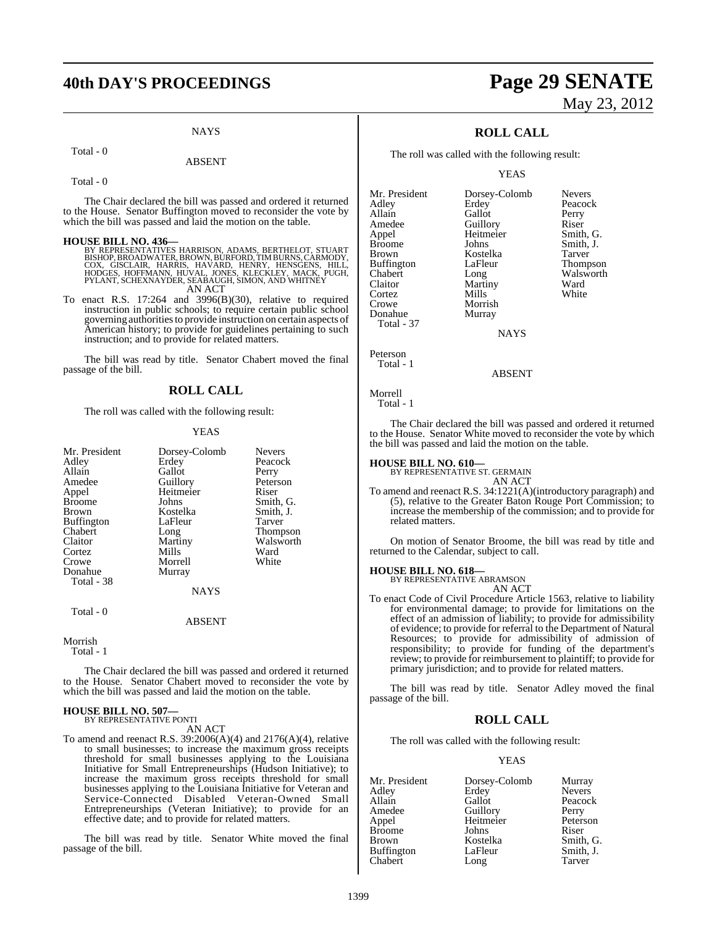### **40th DAY'S PROCEEDINGS Page 29 SENATE**

#### **NAYS**

#### Total - 0

#### ABSENT

Total - 0

The Chair declared the bill was passed and ordered it returned to the House. Senator Buffington moved to reconsider the vote by which the bill was passed and laid the motion on the table.

#### **HOUSE BILL NO. 436—**

BY REPRESENTATIVES HARRISON, ADAMS, BERTHELOT, STUART<br>BISHOP,BROADWATER,BROWN,BURFORD,TIMBURNS,CARMODY,<br>COX, GISCLAIR, HARRIS, HAVARD, HENRY, HENSGENS, HILL,<br>HODGES, HOFFMANN, HUVAL, JONES, KLECKLEY, MACK, PUGH,<br>PYLANT,SCH

AN ACT

To enact R.S. 17:264 and 3996(B)(30), relative to required instruction in public schools; to require certain public school governing authoritiesto provide instruction on certain aspects of American history; to provide for guidelines pertaining to such instruction; and to provide for related matters.

The bill was read by title. Senator Chabert moved the final passage of the bill.

#### **ROLL CALL**

The roll was called with the following result:

#### **YEAS**

| Mr. President | Dorsey-Colomb | <b>Nevers</b>   |
|---------------|---------------|-----------------|
| Adley         | Erdey         | Peacock         |
| Allain        | Gallot        | Perry           |
| Amedee        | Guillory      | Peterson        |
| Appel         | Heitmeier     | Riser           |
| <b>Broome</b> | Johns         | Smith, G.       |
| Brown         | Kostelka      | Smith, J.       |
| Buffington    | LaFleur       | Tarver          |
| Chabert       | Long          | <b>Thompson</b> |
| Claitor       | Martiny       | Walsworth       |
| Cortez        | Mills         | Ward            |
| Crowe         | Morrell       | White           |
| Donahue       | Murray        |                 |
| Total - 38    |               |                 |
|               | <b>NAYS</b>   |                 |
| Total - 0     |               |                 |
|               | <b>ABSENT</b> |                 |
|               |               |                 |

Morrish Total - 1

The Chair declared the bill was passed and ordered it returned to the House. Senator Chabert moved to reconsider the vote by which the bill was passed and laid the motion on the table.

#### **HOUSE BILL NO. 507—** BY REPRESENTATIVE PONTI

AN ACT

To amend and reenact R.S. 39:2006(A)(4) and 2176(A)(4), relative to small businesses; to increase the maximum gross receipts threshold for small businesses applying to the Louisiana Initiative for Small Entrepreneurships (Hudson Initiative); to increase the maximum gross receipts threshold for small businesses applying to the Louisiana Initiative for Veteran and Service-Connected Disabled Veteran-Owned Small Entrepreneurships (Veteran Initiative); to provide for an effective date; and to provide for related matters.

The bill was read by title. Senator White moved the final passage of the bill.

# May 23, 2012

### **ROLL CALL**

The roll was called with the following result:

YEAS

| Mr. President     | Dorsey-Colomb | <b>Nevers</b> |
|-------------------|---------------|---------------|
| Adley             | Erdey         | Peacock       |
| Allain            | Gallot        | Perry         |
| Amedee            | Guillory      | Riser         |
| Appel             | Heitmeier     | Smith, G.     |
| <b>Broome</b>     | Johns         | Smith, J.     |
| <b>Brown</b>      | Kostelka      | Tarver        |
| <b>Buffington</b> | LaFleur       | Thompson      |
| Chabert           | Long          | Walsworth     |
| Claitor           | Martiny       | Ward          |
| Cortez            | Mills         | White         |
| Crowe             | Morrish       |               |
| Donahue           | Murray        |               |
| Total - 37        |               |               |
|                   |               |               |

NAYS

Peterson Total - 1

ABSENT

### Morrell

Total - 1

The Chair declared the bill was passed and ordered it returned to the House. Senator White moved to reconsider the vote by which the bill was passed and laid the motion on the table.

### **HOUSE BILL NO. 610—** BY REPRESENTATIVE ST. GERMAIN

AN ACT

To amend and reenact R.S. 34:1221(A)(introductory paragraph) and (5), relative to the Greater Baton Rouge Port Commission; to increase the membership of the commission; and to provide for related matters.

On motion of Senator Broome, the bill was read by title and returned to the Calendar, subject to call.

#### **HOUSE BILL NO. 618—**

BY REPRESENTATIVE ABRAMSON AN ACT

To enact Code of Civil Procedure Article 1563, relative to liability for environmental damage; to provide for limitations on the effect of an admission of liability; to provide for admissibility of evidence; to provide for referral to the Department of Natural Resources; to provide for admissibility of admission of responsibility; to provide for funding of the department's review; to provide for reimbursement to plaintiff; to provide for primary jurisdiction; and to provide for related matters.

The bill was read by title. Senator Adley moved the final passage of the bill.

#### **ROLL CALL**

The roll was called with the following result:

#### YEAS

| Mr. President     | Dorsey-Colomb | Murray        |
|-------------------|---------------|---------------|
| Adley             | Erdey         | <b>Nevers</b> |
| Allain            | Gallot        | Peacock       |
| Amedee            | Guillory      | Perry         |
| Appel             | Heitmeier     | Peterson      |
| <b>Broome</b>     | Johns         | Riser         |
| Brown             | Kostelka      | Smith, G.     |
| <b>Buffington</b> | LaFleur       | Smith, J.     |
| Chabert           | Long          | Tarver        |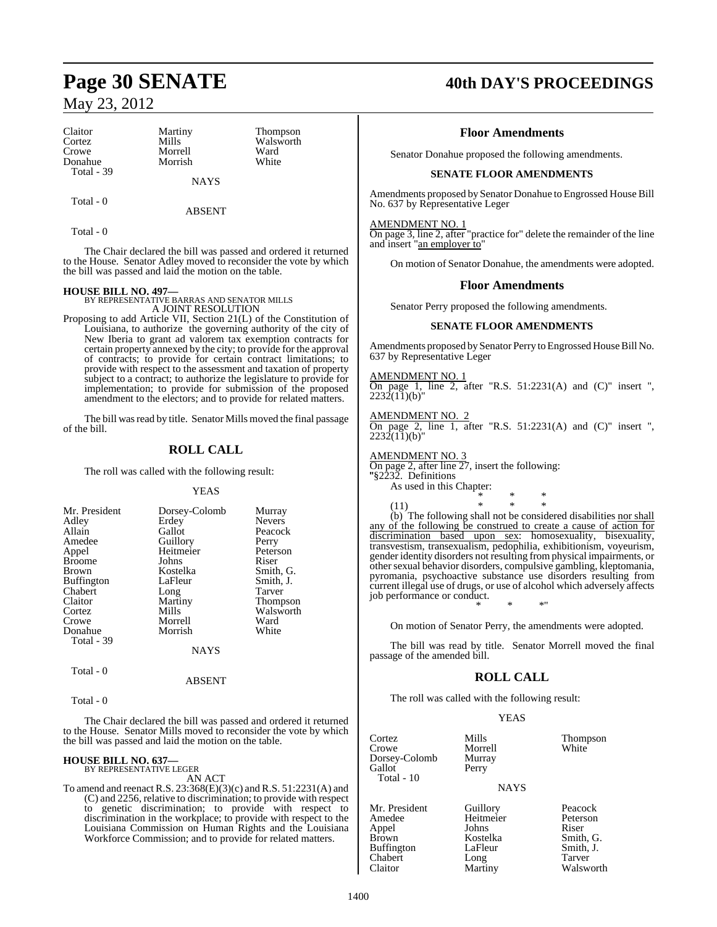| Claitor           | Martiny     | <b>Thompson</b> |
|-------------------|-------------|-----------------|
| Cortez            | Mills       | Walsworth       |
| Crowe             | Morrell     | Ward            |
| Donahue           | Morrish     | White           |
| <b>Total - 39</b> |             |                 |
|                   | <b>NAYS</b> |                 |
|                   |             |                 |

Total - 0

ABSENT

Total - 0

The Chair declared the bill was passed and ordered it returned to the House. Senator Adley moved to reconsider the vote by which the bill was passed and laid the motion on the table.

**HOUSE BILL NO. 497—** BY REPRESENTATIVE BARRAS AND SENATOR MILLS A JOINT RESOLUTION

Proposing to add Article VII, Section 21(L) of the Constitution of Louisiana, to authorize the governing authority of the city of New Iberia to grant ad valorem tax exemption contracts for certain property annexed by the city; to provide for the approval of contracts; to provide for certain contract limitations; to provide with respect to the assessment and taxation of property subject to a contract; to authorize the legislature to provide for implementation; to provide for submission of the proposed amendment to the electors; and to provide for related matters.

The bill was read by title. Senator Mills moved the final passage of the bill.

### **ROLL CALL**

The roll was called with the following result:

#### YEAS

| Mr. President     | Dorsey-Colomb | Murray          |
|-------------------|---------------|-----------------|
| Adley             | Erdey         | <b>Nevers</b>   |
| Allain            | Gallot        | Peacock         |
| Amedee            | Guillory      | Perry           |
| Appel             | Heitmeier     | Peterson        |
| <b>Broome</b>     | Johns         | Riser           |
| <b>Brown</b>      | Kostelka      | Smith, G.       |
| <b>Buffington</b> | LaFleur       | Smith, J.       |
| Chabert           | Long          | Tarver          |
| Claitor           | Martiny       | <b>Thompson</b> |
| Cortez            | Mills         | Walsworth       |
| Crowe             | Morrell       | Ward            |
| Donahue           | Morrish       | White           |
| Total - 39        |               |                 |
|                   | NAYS          |                 |

Total - 0

#### ABSENT

Total - 0

The Chair declared the bill was passed and ordered it returned to the House. Senator Mills moved to reconsider the vote by which the bill was passed and laid the motion on the table.

### **HOUSE BILL NO. 637—** BY REPRESENTATIVE LEGER

AN ACT

To amend and reenact R.S. 23:368(E)(3)(c) and R.S. 51:2231(A) and (C) and 2256, relative to discrimination; to provide with respect to genetic discrimination; to provide with respect to discrimination in the workplace; to provide with respect to the Louisiana Commission on Human Rights and the Louisiana Workforce Commission; and to provide for related matters.

### **Page 30 SENATE 40th DAY'S PROCEEDINGS**

### **Floor Amendments**

Senator Donahue proposed the following amendments.

#### **SENATE FLOOR AMENDMENTS**

Amendments proposed by Senator Donahue to Engrossed House Bill No. 637 by Representative Leger

#### AMENDMENT NO. 1

On page 3, line 2, after "practice for" delete the remainder of the line and insert "an employer to"

On motion of Senator Donahue, the amendments were adopted.

#### **Floor Amendments**

Senator Perry proposed the following amendments.

#### **SENATE FLOOR AMENDMENTS**

Amendments proposed by Senator Perry to Engrossed House Bill No. 637 by Representative Leger

#### AMENDMENT NO. 1

On page 1, line 2, after "R.S.  $51:2231(A)$  and  $(C)$ " insert ",  $2232(11)(b)$ "

#### AMENDMENT NO. 2

On page 2, line 1, after "R.S.  $51:2231(A)$  and  $(C)$ " insert ",  $2232(11)(b)$ "

#### AMENDMENT NO. 3

On page 2, after line 27, insert the following: "§2232. Definitions " As used in this Chapter: \* \* \*

(11) \* \* \* (b) The following shall not be considered disabilities nor shall any of the following be construed to create a cause of action for discrimination based upon sex: homosexuality, bisexuality, transvestism, transexualism, pedophilia, exhibitionism, voyeurism, gender identity disorders not resulting fromphysical impairments, or other sexual behavior disorders, compulsive gambling, kleptomania, pyromania, psychoactive substance use disorders resulting from current illegal use of drugs, or use of alcohol which adversely affects job performance or conduct. \* \* \*"

On motion of Senator Perry, the amendments were adopted.

The bill was read by title. Senator Morrell moved the final passage of the amended bill.

### **ROLL CALL**

The roll was called with the following result:

Morrell<br>Murray

**YEAS** 

Cortez Mills Thompson Dorsey-Colomb Murra<br>Gallot Perry Gallot Total - 10

Mr. President Guillory Peacock<br>Amedee Heitmeier Peterson Appel Johns<br>Brown Kostelka Brown Kostelka Smith, G.<br>Buffington LaFleur Smith, J. Buffington LaFleur Smith,<br>
Chabert Long Tarver Chabert Long<br>Claitor Martiny

#### NAYS

Heitmeier Peters<br>
Johns Riser Walsworth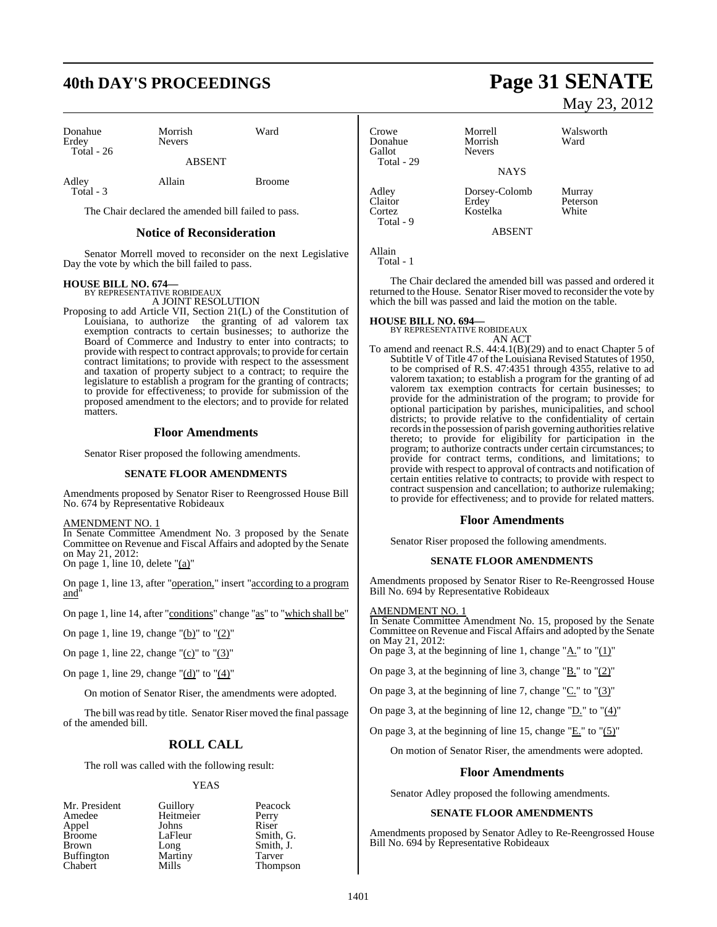# **40th DAY'S PROCEEDINGS Page 31 SENATE**

| Donahue<br>Erdey<br>Total $-26$ | Morrish<br><b>Nevers</b> | Ward          |
|---------------------------------|--------------------------|---------------|
|                                 | <b>ABSENT</b>            |               |
| Adley<br>Total - 3              | Allain                   | <b>Broome</b> |

The Chair declared the amended bill failed to pass.

#### **Notice of Reconsideration**

Senator Morrell moved to reconsider on the next Legislative Day the vote by which the bill failed to pass.

### **HOUSE BILL NO. 674—** BY REPRESENTATIVE ROBIDEAUX

A JOINT RESOLUTION

Proposing to add Article VII, Section 21(L) of the Constitution of Louisiana, to authorize the granting of ad valorem tax exemption contracts to certain businesses; to authorize the Board of Commerce and Industry to enter into contracts; to provide with respect to contract approvals; to provide for certain contract limitations; to provide with respect to the assessment and taxation of property subject to a contract; to require the legislature to establish a program for the granting of contracts; to provide for effectiveness; to provide for submission of the proposed amendment to the electors; and to provide for related matters.

#### **Floor Amendments**

Senator Riser proposed the following amendments.

#### **SENATE FLOOR AMENDMENTS**

Amendments proposed by Senator Riser to Reengrossed House Bill No. 674 by Representative Robideaux

#### AMENDMENT NO. 1

In Senate Committee Amendment No. 3 proposed by the Senate Committee on Revenue and Fiscal Affairs and adopted by the Senate on May 21, 2012: On page 1, line 10, delete "(a)"

On page 1, line 13, after "operation," insert "according to a program and"

On page 1, line 14, after "conditions" change "as" to "which shall be"

On page 1, line 19, change " $(b)$ " to " $(2)$ "

On page 1, line 22, change " $(c)$ " to " $(3)$ "

On page 1, line 29, change " $(d)$ " to " $(4)$ "

On motion of Senator Riser, the amendments were adopted.

The bill was read by title. Senator Riser moved the final passage of the amended bill.

### **ROLL CALL**

The roll was called with the following result:

#### YEAS

| Mr. President | Guillory  | Peacock       |
|---------------|-----------|---------------|
| Amedee        | Heitmeier | Perry         |
| Appel         | Johns     | Riser         |
| Broome        | LaFleur   | Smith, C      |
| Brown         | Long      | Smith, J      |
| Buffington    | Martiny   | Tarver        |
| Chabert       | Mills     | <b>Thomps</b> |

Broome Lagrence Smith, G. Smith, J. ny Tarver Thompson

# May 23, 2012

Peterson<br>White

Crowe Morrell Walsworth<br>
Donahue Morrish Ward Donahue<br>Gallot Nevers Total - 29 **NAYS** Adley Dorsey-Colomb Murray Cortez Kostelka Total - 9 ABSENT

Allain Total - 1

The Chair declared the amended bill was passed and ordered it returned to the House. Senator Riser moved to reconsider the vote by which the bill was passed and laid the motion on the table.

#### **HOUSE BILL NO. 694—**

BY REPRESENTATIVE ROBIDEAUX AN ACT

To amend and reenact R.S. 44:4.1(B)(29) and to enact Chapter 5 of Subtitle V of Title 47 of the Louisiana Revised Statutes of 1950, to be comprised of R.S. 47:4351 through 4355, relative to ad valorem taxation; to establish a program for the granting of ad valorem tax exemption contracts for certain businesses; to provide for the administration of the program; to provide for optional participation by parishes, municipalities, and school districts; to provide relative to the confidentiality of certain records in the possession of parish governing authorities relative thereto; to provide for eligibility for participation in the program; to authorize contracts under certain circumstances; to provide for contract terms, conditions, and limitations; to provide with respect to approval of contracts and notification of certain entities relative to contracts; to provide with respect to contract suspension and cancellation; to authorize rulemaking; to provide for effectiveness; and to provide for related matters.

#### **Floor Amendments**

Senator Riser proposed the following amendments.

#### **SENATE FLOOR AMENDMENTS**

Amendments proposed by Senator Riser to Re-Reengrossed House Bill No. 694 by Representative Robideaux

#### AMENDMENT NO. 1

In Senate Committee Amendment No. 15, proposed by the Senate Committee on Revenue and Fiscal Affairs and adopted by the Senate on May 21, 2012:

On page 3, at the beginning of line 1, change " $\underline{A}$ ." to " $(1)$ "

On page 3, at the beginning of line 3, change " $\underline{B}$ ." to " $(2)$ "

On page 3, at the beginning of line 7, change " $C$ ." to " $(3)$ "

On page 3, at the beginning of line 12, change "D." to "(4)"

On page 3, at the beginning of line 15, change " $E$ ." to " $(5)$ "

On motion of Senator Riser, the amendments were adopted.

#### **Floor Amendments**

Senator Adley proposed the following amendments.

#### **SENATE FLOOR AMENDMENTS**

Amendments proposed by Senator Adley to Re-Reengrossed House Bill No. 694 by Representative Robideaux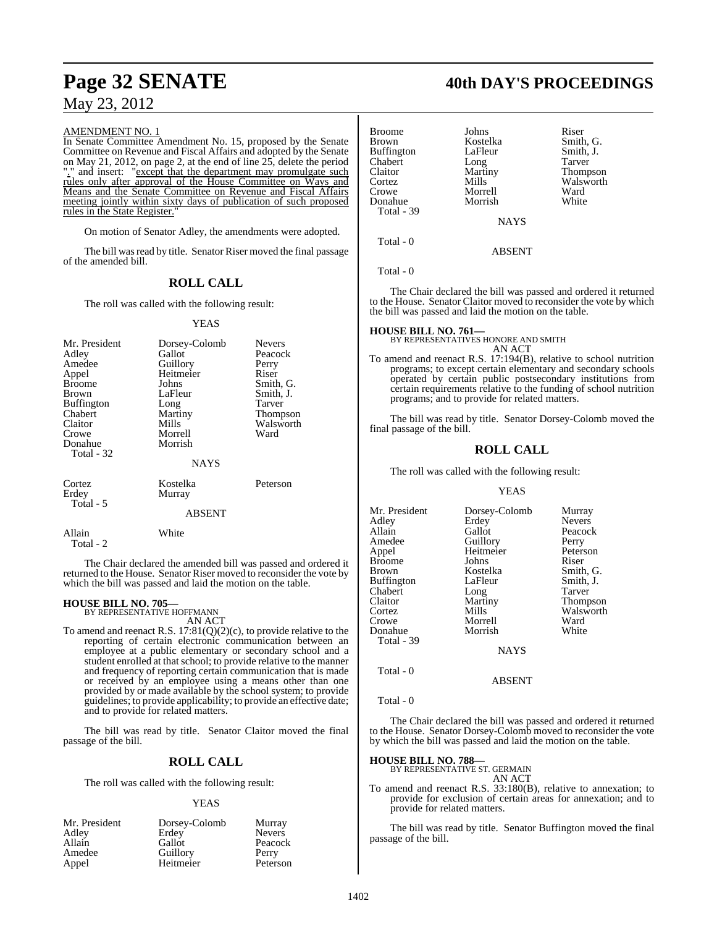#### AMENDMENT NO. 1

In Senate Committee Amendment No. 15, proposed by the Senate Committee on Revenue and Fiscal Affairs and adopted by the Senate on May 21, 2012, on page 2, at the end of line 25, delete the period "." and insert: "except that the department may promulgate such rules only after approval of the House Committee on Ways and Means and the Senate Committee on Revenue and Fiscal Affairs meeting jointly within sixty days of publication of such proposed rules in the State Register.

On motion of Senator Adley, the amendments were adopted.

The bill was read by title. Senator Riser moved the final passage of the amended bill.

### **ROLL CALL**

The roll was called with the following result:

#### YEAS

| Mr. President<br>Adley<br>Amedee<br>Appel                   | Dorsey-Colomb<br>Gallot<br>Guillory<br>Heitmeier | <b>Nevers</b><br>Peacock<br>Perry<br>Riser |
|-------------------------------------------------------------|--------------------------------------------------|--------------------------------------------|
| <b>Broome</b><br>Brown                                      | Johns<br>LaFleur                                 | Smith, G.<br>Smith, J.                     |
| <b>Buffington</b><br>Chabert<br>Claitor<br>Crowe<br>Donahue | Long<br>Martiny<br>Mills<br>Morrell<br>Morrish   | Tarver<br>Thompson<br>Walsworth<br>Ward    |
| Total - 32                                                  | <b>NAYS</b>                                      |                                            |
| Cortez<br>Erdey<br>Total - 5                                | Kostelka<br>Murray                               | Peterson                                   |
|                                                             | <b>ABSENT</b>                                    |                                            |
| Allain<br>Total - 2                                         | White                                            |                                            |

The Chair declared the amended bill was passed and ordered it returned to the House. Senator Riser moved to reconsider the vote by which the bill was passed and laid the motion on the table.

### **HOUSE BILL NO. 705—** BY REPRESENTATIVE HOFFMANN

AN ACT

To amend and reenact R.S.  $17:81(Q)(2)(c)$ , to provide relative to the reporting of certain electronic communication between an employee at a public elementary or secondary school and a student enrolled at that school; to provide relative to the manner and frequency of reporting certain communication that is made or received by an employee using a means other than one provided by or made available by the school system; to provide guidelines; to provide applicability; to provide an effective date; and to provide for related matters.

The bill was read by title. Senator Claitor moved the final passage of the bill.

### **ROLL CALL**

The roll was called with the following result:

#### YEAS

| Mr. President | Dorsey-Colomb | Murray        |
|---------------|---------------|---------------|
| Adley         | Erdey         | <b>Nevers</b> |
| Allain        | Gallot        | Peacock       |
| Amedee        | Guillory      | Perry         |
| Appel         | Heitmeier     | Peterson      |

### **Page 32 SENATE 40th DAY'S PROCEEDINGS**

| Broome     | Johns       | Riser           |
|------------|-------------|-----------------|
|            |             |                 |
| Brown      | Kostelka    | Smith, G.       |
| Buffington | LaFleur     | Smith, J.       |
| Chabert    | Long        | Tarver          |
| Claitor    | Martiny     | <b>Thompson</b> |
| Cortez     | Mills       | Walsworth       |
| Crowe      | Morrell     | Ward            |
| Donahue    | Morrish     | White           |
| Total - 39 |             |                 |
|            | <b>NAYS</b> |                 |
| Total - 0  |             |                 |
|            |             |                 |

Total - 0

The Chair declared the bill was passed and ordered it returned to the House. Senator Claitor moved to reconsider the vote by which the bill was passed and laid the motion on the table.

ABSENT

### **HOUSE BILL NO. 761—** BY REPRESENTATIVES HONORE AND SMITH

AN ACT

To amend and reenact R.S. 17:194(B), relative to school nutrition programs; to except certain elementary and secondary schools operated by certain public postsecondary institutions from certain requirements relative to the funding of school nutrition programs; and to provide for related matters.

The bill was read by title. Senator Dorsey-Colomb moved the final passage of the bill.

#### **ROLL CALL**

The roll was called with the following result:

#### YEAS

| Mr. President | Dorsey-Colomb | Murray        |
|---------------|---------------|---------------|
| Adley         | Erdey         | <b>Nevers</b> |
| Allain        | Gallot        | Peacock       |
| Amedee        | Guillory      | Perry         |
| Appel         | Heitmeier     | Peterson      |
| Broome        | Johns         | Riser         |
| Brown         | Kostelka      | Smith, G.     |
| Buffington    | LaFleur       | Smith, J.     |
| Chabert       | Long          | Tarver        |
| Claitor       | Martiny       | Thompson      |
| Cortez        | Mills         | Walsworth     |
| Crowe         | Morrell       | Ward          |
| Donahue       | Morrish       | White         |
| Total - 39    |               |               |

NAYS

ABSENT

Total - 0

#### Total - 0

The Chair declared the bill was passed and ordered it returned to the House. Senator Dorsey-Colomb moved to reconsider the vote by which the bill was passed and laid the motion on the table.

**HOUSE BILL NO. 788—** BY REPRESENTATIVE ST. GERMAIN AN ACT

To amend and reenact R.S. 33:180(B), relative to annexation; to provide for exclusion of certain areas for annexation; and to provide for related matters.

The bill was read by title. Senator Buffington moved the final passage of the bill.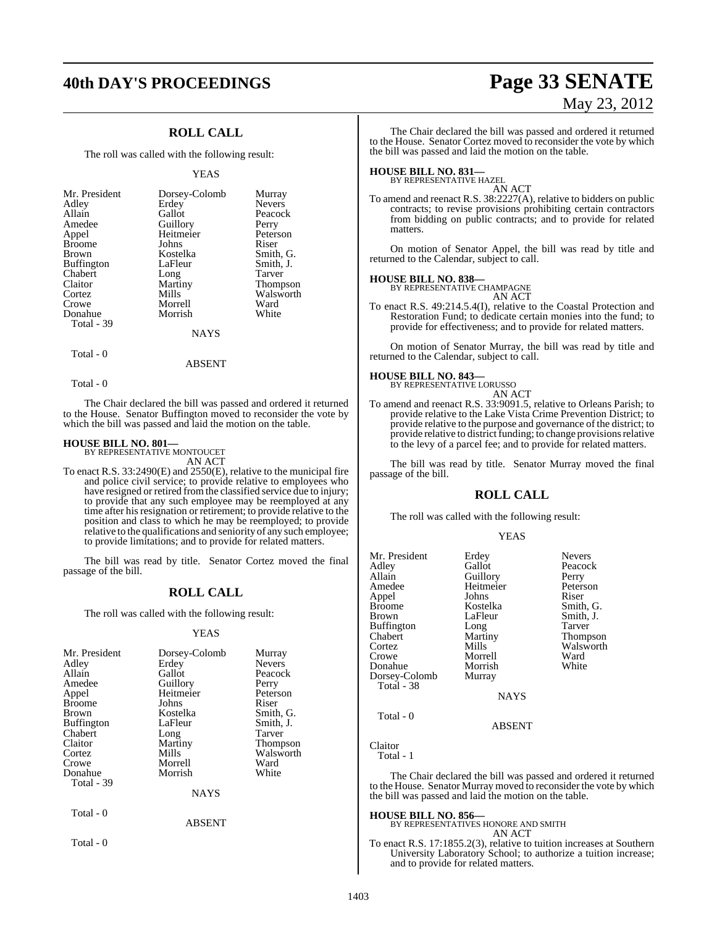# **40th DAY'S PROCEEDINGS Page 33 SENATE**

### **ROLL CALL**

The roll was called with the following result:

#### YEAS

| Mr. President     | Dorsey-Colomb | Murray          |
|-------------------|---------------|-----------------|
| Adley             | Erdey         | <b>Nevers</b>   |
| Allain            | Gallot        | Peacock         |
| Amedee            | Guillory      | Perry           |
| Appel             | Heitmeier     | Peterson        |
| <b>Broome</b>     | Johns         | Riser           |
| <b>Brown</b>      | Kostelka      | Smith, G.       |
| <b>Buffington</b> | LaFleur       | Smith, J.       |
| Chabert           | Long          | Tarver          |
| Claitor           | Martiny       | <b>Thompson</b> |
| Cortez            | Mills         | Walsworth       |
| Crowe             | Morrell       | Ward            |
| Donahue           | Morrish       | White           |
| Total - 39        |               |                 |
|                   | <b>NAYS</b>   |                 |

Total - 0

Total - 0

The Chair declared the bill was passed and ordered it returned to the House. Senator Buffington moved to reconsider the vote by which the bill was passed and laid the motion on the table.

ABSENT

#### **HOUSE BILL NO. 801—**

BY REPRESENTATIVE MONTOUCET AN ACT

To enact R.S. 33:2490(E) and 2550(E), relative to the municipal fire and police civil service; to provide relative to employees who have resigned or retired from the classified service due to injury; to provide that any such employee may be reemployed at any time after his resignation or retirement; to provide relative to the position and class to which he may be reemployed; to provide relative to the qualifications and seniority of any such employee; to provide limitations; and to provide for related matters.

The bill was read by title. Senator Cortez moved the final passage of the bill.

### **ROLL CALL**

The roll was called with the following result:

#### YEAS

| Mr. President     | Dorsey-Colomb | Murray        |
|-------------------|---------------|---------------|
| Adley             | Erdey         | <b>Nevers</b> |
| Allain            | Gallot        | Peacock       |
| Amedee            | Guillory      | Perry         |
| Appel             | Heitmeier     | Peterson      |
| <b>Broome</b>     | Johns         | Riser         |
| <b>Brown</b>      | Kostelka      | Smith, G.     |
| <b>Buffington</b> | LaFleur       | Smith, J.     |
| Chabert           | Long          | Tarver        |
| Claitor           | Martiny       | Thompson      |
| Cortez            | Mills         | Walsworth     |
| Crowe             | Morrell       | Ward          |
| Donahue           | Morrish       | White         |
| Total - 39        |               |               |
|                   | <b>NAYS</b>   |               |
| Total - 0         |               |               |
|                   | <b>ABSENT</b> |               |

Total - 0

# May 23, 2012

The Chair declared the bill was passed and ordered it returned to the House. Senator Cortez moved to reconsider the vote by which the bill was passed and laid the motion on the table.

## **HOUSE BILL NO. 831—** BY REPRESENTATIVE HAZEL

AN ACT

To amend and reenact R.S. 38:2227(A), relative to bidders on public contracts; to revise provisions prohibiting certain contractors from bidding on public contracts; and to provide for related matters.

On motion of Senator Appel, the bill was read by title and returned to the Calendar, subject to call.

#### **HOUSE BILL NO. 838—**

BY REPRESENTATIVE CHAMPAGNE AN ACT

To enact R.S. 49:214.5.4(I), relative to the Coastal Protection and Restoration Fund; to dedicate certain monies into the fund; to provide for effectiveness; and to provide for related matters.

On motion of Senator Murray, the bill was read by title and returned to the Calendar, subject to call.

#### **HOUSE BILL NO. 843—**



To amend and reenact R.S. 33:9091.5, relative to Orleans Parish; to provide relative to the Lake Vista Crime Prevention District; to provide relative to the purpose and governance of the district; to provide relative to district funding; to change provisions relative to the levy of a parcel fee; and to provide for related matters.

The bill was read by title. Senator Murray moved the final passage of the bill.

#### **ROLL CALL**

The roll was called with the following result:

#### **YEAS**

| Mr. President     | Erdey         | <b>Nevers</b>   |
|-------------------|---------------|-----------------|
| Adley             | Gallot        | Peacock         |
| Allain            | Guillory      | Perry           |
| Amedee            | Heitmeier     | Peterson        |
| Appel             | Johns         | Riser           |
| <b>Broome</b>     | Kostelka      | Smith, G.       |
| <b>Brown</b>      | LaFleur       | Smith, J.       |
| <b>Buffington</b> | Long          | Tarver          |
| Chabert           | Martiny       | <b>Thompson</b> |
| Cortez            | Mills         | Walsworth       |
| Crowe             | Morrell       | Ward            |
| Donahue           | Morrish       | White           |
| Dorsey-Colomb     | Murray        |                 |
| Total - 38        |               |                 |
|                   | <b>NAYS</b>   |                 |
| Total - 0         |               |                 |
|                   | <b>ARSENT</b> |                 |

ABSENT

Claitor Total - 1

The Chair declared the bill was passed and ordered it returned to the House. Senator Murray moved to reconsider the vote by which the bill was passed and laid the motion on the table.

#### **HOUSE BILL NO. 856—**

BY REPRESENTATIVES HONORE AND SMITH AN ACT

To enact R.S. 17:1855.2(3), relative to tuition increases at Southern University Laboratory School; to authorize a tuition increase; and to provide for related matters.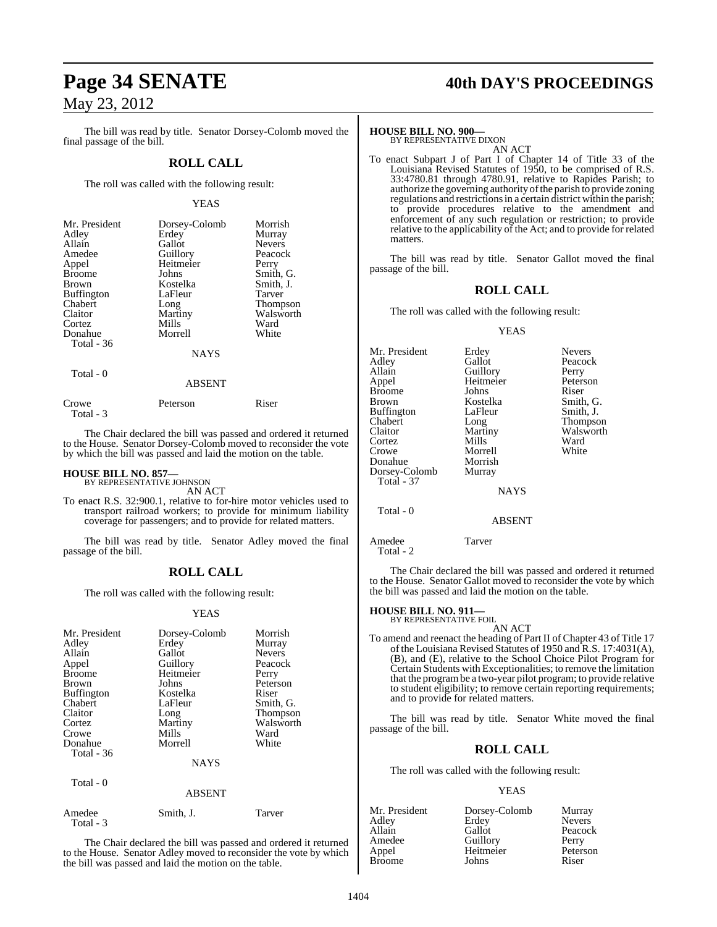The bill was read by title. Senator Dorsey-Colomb moved the final passage of the bill.

### **ROLL CALL**

The roll was called with the following result:

#### YEAS

| Mr. President<br>Adley<br>Allain<br>Amedee<br>Appel<br><b>Broome</b><br><b>Brown</b><br><b>Buffington</b><br>Chabert<br>Claitor<br>Cortez<br>Donahue<br>Total - 36 | Dorsey-Colomb<br>Erdey<br>Gallot<br>Guillory<br>Heitmeier<br>Johns<br>Kostelka<br>LaFleur<br>Long<br>Martiny<br>Mills<br>Morrell | Morrish<br>Murray<br><b>Nevers</b><br>Peacock<br>Perry<br>Smith, G.<br>Smith, J.<br>Tarver<br>Thompson<br>Walsworth<br>Ward<br>White |
|--------------------------------------------------------------------------------------------------------------------------------------------------------------------|----------------------------------------------------------------------------------------------------------------------------------|--------------------------------------------------------------------------------------------------------------------------------------|
|                                                                                                                                                                    | <b>NAYS</b>                                                                                                                      |                                                                                                                                      |
| Total - 0                                                                                                                                                          |                                                                                                                                  |                                                                                                                                      |

ABSENT

| Crowe     | Peterson | Riser |
|-----------|----------|-------|
| Total - 3 |          |       |

The Chair declared the bill was passed and ordered it returned to the House. Senator Dorsey-Colomb moved to reconsider the vote by which the bill was passed and laid the motion on the table.

### **HOUSE BILL NO. 857—** BY REPRESENTATIVE JOHNSON

AN ACT

To enact R.S. 32:900.1, relative to for-hire motor vehicles used to transport railroad workers; to provide for minimum liability coverage for passengers; and to provide for related matters.

The bill was read by title. Senator Adley moved the final passage of the bill.

### **ROLL CALL**

The roll was called with the following result:

#### YEAS

| Mr. President<br>Adley<br>Allain<br>Appel<br><b>Broome</b><br><b>Brown</b><br><b>Buffington</b><br>Chabert<br>Claitor<br>Cortez<br>Crowe<br>Donahue<br><b>Total</b> - 36 | Dorsey-Colomb<br>Erdey<br>Gallot<br>Guillory<br>Heitmeier<br>Johns<br>Kostelka<br>LaFleur<br>Long<br>Martiny<br>Mills<br>Morrell<br><b>NAYS</b> | Morrish<br>Murray<br><b>Nevers</b><br>Peacock<br>Perry<br>Peterson<br>Riser<br>Smith, G.<br><b>Thompson</b><br>Walsworth<br>Ward<br>White |
|--------------------------------------------------------------------------------------------------------------------------------------------------------------------------|-------------------------------------------------------------------------------------------------------------------------------------------------|-------------------------------------------------------------------------------------------------------------------------------------------|
| Total - 0                                                                                                                                                                |                                                                                                                                                 |                                                                                                                                           |
|                                                                                                                                                                          | <b>ABSENT</b>                                                                                                                                   |                                                                                                                                           |

| Amedee    | Smith, J. | Tarver |
|-----------|-----------|--------|
| Total - 3 |           |        |

The Chair declared the bill was passed and ordered it returned to the House. Senator Adley moved to reconsider the vote by which the bill was passed and laid the motion on the table.

### **Page 34 SENATE 40th DAY'S PROCEEDINGS**

#### **HOUSE BILL NO. 900—**

BY REPRESENTATIVE DIXON AN ACT

To enact Subpart J of Part I of Chapter 14 of Title 33 of the Louisiana Revised Statutes of 1950, to be comprised of R.S. 33:4780.81 through 4780.91, relative to Rapides Parish; to authorize the governing authority ofthe parish to provide zoning regulations and restrictions in a certain district within the parish; to provide procedures relative to the amendment and enforcement of any such regulation or restriction; to provide relative to the applicability of the Act; and to provide for related matters.

The bill was read by title. Senator Gallot moved the final passage of the bill.

#### **ROLL CALL**

The roll was called with the following result:

#### YEAS

| Mr. President     | Erdey       | <b>Nevers</b> |
|-------------------|-------------|---------------|
| Adley             | Gallot      | Peacock       |
| Allain            | Guillory    | Perry         |
| Appel             | Heitmeier   | Peterson      |
| <b>Broome</b>     | Johns       | Riser         |
| <b>Brown</b>      | Kostelka    | Smith, G.     |
| <b>Buffington</b> | LaFleur     | Smith, J.     |
| Chabert           | Long        | Thompson      |
| Claitor           | Martiny     | Walsworth     |
| Cortez            | Mills       | Ward          |
| Crowe             | Morrell     | White         |
| Donahue           | Morrish     |               |
| Dorsey-Colomb     | Murray      |               |
| <b>Total - 37</b> |             |               |
|                   | <b>NAYS</b> |               |
| Total - 0         |             |               |
|                   | ABSENT      |               |

Amedee Tarver Total - 2

The Chair declared the bill was passed and ordered it returned to the House. Senator Gallot moved to reconsider the vote by which the bill was passed and laid the motion on the table.

### **HOUSE BILL NO. 911—** BY REPRESENTATIVE FOIL

AN ACT To amend and reenact the heading of Part II of Chapter 43 of Title 17 of the Louisiana Revised Statutes of 1950 and R.S. 17:4031(A), (B), and (E), relative to the School Choice Pilot Program for Certain Students with Exceptionalities; to remove the limitation that the programbe a two-year pilot program; to provide relative to student eligibility; to remove certain reporting requirements; and to provide for related matters.

The bill was read by title. Senator White moved the final passage of the bill.

### **ROLL CALL**

The roll was called with the following result:

#### YEAS

| Dorsey-Colomb | Murray        |
|---------------|---------------|
| Erdey         | <b>Nevers</b> |
| Gallot        | Peacock       |
| Guillory      | Perry         |
| Heitmeier     | Peterson      |
| Johns         | Riser         |
|               |               |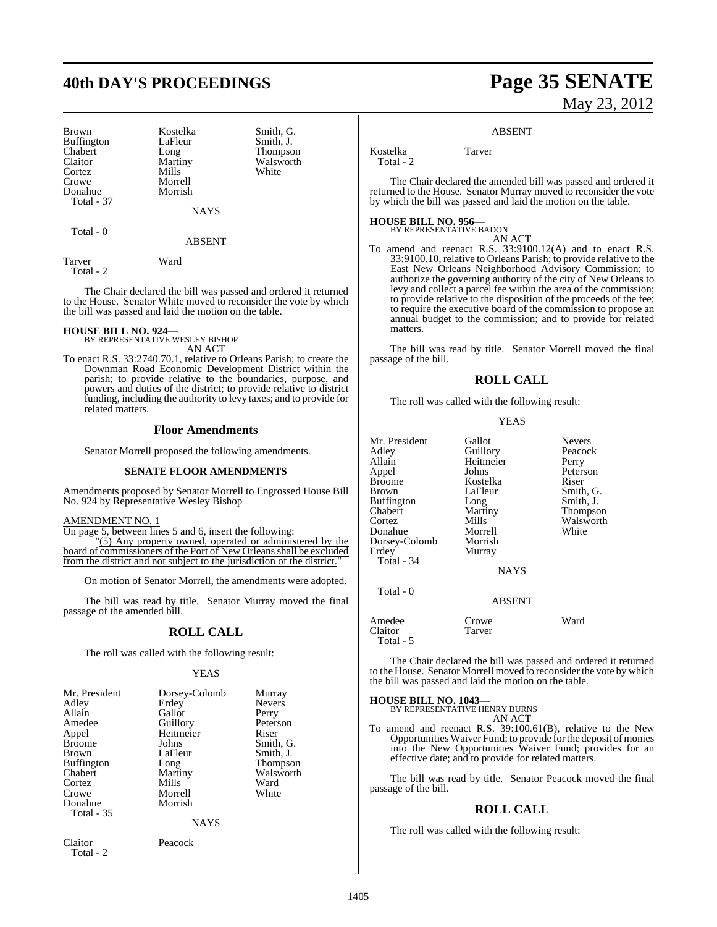## **40th DAY'S PROCEEDINGS Page 35 SENATE**

Brown Kostelka Smith, G.<br>Buffington LaFleur Smith, J. Buffington LaFle<br>
Chabert Long Chabert Long Thompson<br>Claitor Martiny Walsworth Cortez Crowe Morrell<br>
Donahue Morrish Donahue Total - 37

Martiny Walsworth<br>
Mills White

NAYS

ABSENT

Tarver Ward Total - 2

Total - 0

The Chair declared the bill was passed and ordered it returned to the House. Senator White moved to reconsider the vote by which the bill was passed and laid the motion on the table.

# **HOUSE BILL NO. 924—** BY REPRESENTATIVE WESLEY BISHOP

AN ACT

To enact R.S. 33:2740.70.1, relative to Orleans Parish; to create the Downman Road Economic Development District within the parish; to provide relative to the boundaries, purpose, and powers and duties of the district; to provide relative to district funding, including the authority to levy taxes; and to provide for related matters.

#### **Floor Amendments**

Senator Morrell proposed the following amendments.

#### **SENATE FLOOR AMENDMENTS**

Amendments proposed by Senator Morrell to Engrossed House Bill No. 924 by Representative Wesley Bishop

#### AMENDMENT NO. 1

On page 5, between lines 5 and 6, insert the following:

 "(5) Any property owned, operated or administered by the board of commissioners of the Port of New Orleans shall be excluded from the district and not subject to the jurisdiction of the district.

On motion of Senator Morrell, the amendments were adopted.

The bill was read by title. Senator Murray moved the final passage of the amended bill.

#### **ROLL CALL**

The roll was called with the following result:

#### YEAS

| Mr. President     | Dorsey-Colomb | Murray        |
|-------------------|---------------|---------------|
| Adley             | Erdey         | <b>Nevers</b> |
| Allain            | Gallot        | Perry         |
| Amedee            | Guillory      | Peterson      |
| Appel             | Heitmeier     | Riser         |
| <b>Broome</b>     | Johns         | Smith, G.     |
| <b>Brown</b>      | LaFleur       | Smith, J.     |
| <b>Buffington</b> | Long          | Thompson      |
| Chabert           | Martiny       | Walsworth     |
| Cortez            | Mills         | Ward          |
| Crowe             | Morrell       | White         |
| Donahue           | Morrish       |               |
| Total - 35        |               |               |
|                   | <b>NAYS</b>   |               |

Claitor Peacock Total - 2

#### **ROLL CALL**

The roll was called with the following result:

**YEAS** 

| Mr. President     | Gallot      | <b>Nevers</b> |
|-------------------|-------------|---------------|
| Adley             | Guillory    | Peacock       |
| Allain            | Heitmeier   | Perry         |
| Appel             | Johns       | Peterson      |
| <b>Broome</b>     | Kostelka    | Riser         |
| Brown             | LaFleur     | Smith, G.     |
| <b>Buffington</b> | Long        | Smith, J.     |
| Chabert           | Martiny     | Thompson      |
| Cortez            | Mills       | Walsworth     |
| Donahue           | Morrell     | White         |
| Dorsey-Colomb     | Morrish     |               |
| Erdey             | Murray      |               |
| Total - 34        |             |               |
|                   | <b>NAYS</b> |               |
| Total - 0         |             |               |
|                   | ABSENT      |               |
| Amedee            | Crowe       | Ward          |
| Claitor           | Tarver      |               |

The Chair declared the bill was passed and ordered it returned to the House. Senator Morrell moved to reconsider the vote by which the bill was passed and laid the motion on the table.

**HOUSE BILL NO. 1043—**

BY REPRESENTATIVE HENRY BURNS AN ACT

To amend and reenact R.S. 39:100.61(B), relative to the New Opportunities Waiver Fund; to provide for the deposit of monies into the New Opportunities Waiver Fund; provides for an effective date; and to provide for related matters.

The bill was read by title. Senator Peacock moved the final passage of the bill.

#### **ROLL CALL**

The roll was called with the following result:

The Chair declared the amended bill was passed and ordered it returned to the House. Senator Murray moved to reconsider the vote

Kostelka Tarver

Total - 2

**HOUSE BILL NO. 956—** BY REPRESENTATIVE BADON AN ACT

by which the bill was passed and laid the motion on the table.

To amend and reenact R.S. 33:9100.12(A) and to enact R.S. 33:9100.10, relative to Orleans Parish; to provide relative to the East New Orleans Neighborhood Advisory Commission; to authorize the governing authority of the city of New Orleans to levy and collect a parcel fee within the area of the commission; to provide relative to the disposition of the proceeds of the fee; to require the executive board of the commission to propose an annual budget to the commission; and to provide for related matters.

ABSENT

The bill was read by title. Senator Morrell moved the final passage of the bill.

Claitor Total - 5

1405

# May 23, 2012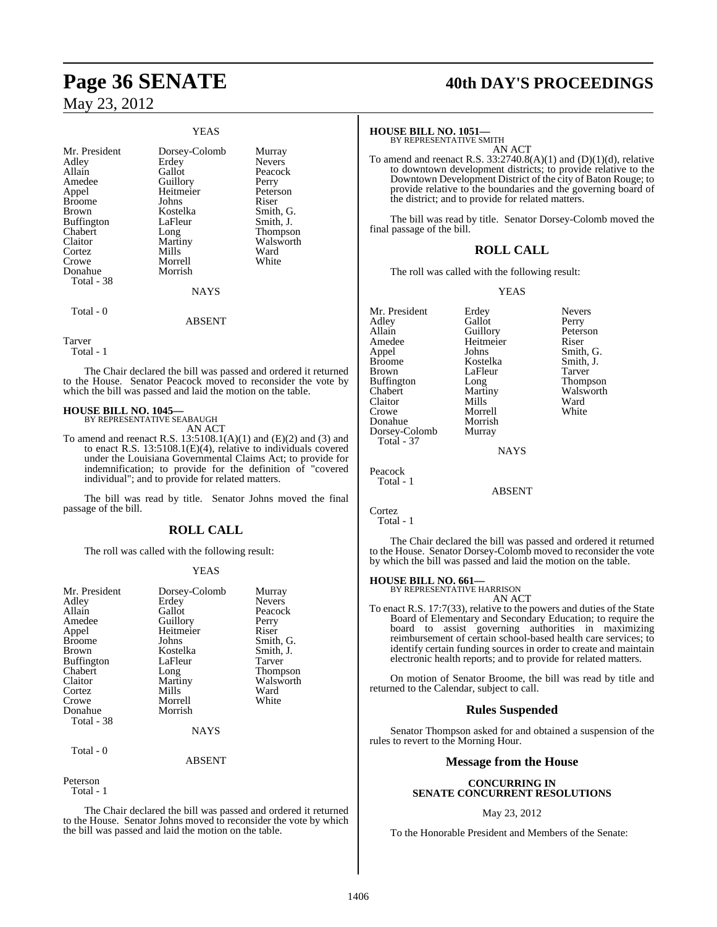|                                                                                                                                                        | <b>YEAS</b>                                                                                                                                 |                                                                                                                                      |
|--------------------------------------------------------------------------------------------------------------------------------------------------------|---------------------------------------------------------------------------------------------------------------------------------------------|--------------------------------------------------------------------------------------------------------------------------------------|
| Mr. President<br>Adley<br>Allain<br>Amedee<br>Appel<br>Broome<br>Brown<br>Buffington<br>Chabert<br>Claitor<br>Cortez<br>Crowe<br>Donahue<br>Total - 38 | Dorsey-Colomb<br>Erdey<br>Gallot<br>Guillory<br>Heitmeier<br>Johns<br>Kostelka<br>LaFleur<br>Long<br>Martiny<br>Mills<br>Morrell<br>Morrish | Murray<br><b>Nevers</b><br>Peacock<br>Perry<br>Peterson<br>Riser<br>Smith, G.<br>Smith, J.<br>Thompson<br>Walsworth<br>Ward<br>White |
|                                                                                                                                                        | <b>NAYS</b>                                                                                                                                 |                                                                                                                                      |
| Total - 0                                                                                                                                              | <b>ABSENT</b>                                                                                                                               |                                                                                                                                      |

Tarver

Total - 1

The Chair declared the bill was passed and ordered it returned to the House. Senator Peacock moved to reconsider the vote by which the bill was passed and laid the motion on the table.

#### **HOUSE BILL NO. 1045—** BY REPRESENTATIVE SEABAUGH

AN ACT

To amend and reenact R.S.  $13:5108.1(A)(1)$  and  $(E)(2)$  and  $(3)$  and to enact R.S. 13:5108.1(E)(4), relative to individuals covered under the Louisiana Governmental Claims Act; to provide for indemnification; to provide for the definition of "covered individual"; and to provide for related matters.

The bill was read by title. Senator Johns moved the final passage of the bill.

### **ROLL CALL**

The roll was called with the following result:

#### YEAS

| Mr. President     | Dorsey-Colomb | Murray          |
|-------------------|---------------|-----------------|
| Adley             | Erdey         | <b>Nevers</b>   |
| Allain            | Gallot        | Peacock         |
| Amedee            | Guillory      | Perry           |
| Appel             | Heitmeier     | Riser           |
| <b>Broome</b>     | Johns         | Smith, G.       |
| <b>Brown</b>      | Kostelka      | Smith, J.       |
| <b>Buffington</b> | LaFleur       | Tarver          |
| Chabert           | Long          | <b>Thompson</b> |
| Claitor           | Martiny       | Walsworth       |
| Cortez            | Mills         | Ward            |
| Crowe             | Morrell       | White           |
| Donahue           | Morrish       |                 |
| Total - 38        |               |                 |
|                   | NAYS          |                 |

#### ABSENT

Peterson

Total - 1

Total - 0

The Chair declared the bill was passed and ordered it returned to the House. Senator Johns moved to reconsider the vote by which the bill was passed and laid the motion on the table.

# **Page 36 SENATE 40th DAY'S PROCEEDINGS**

#### **HOUSE BILL NO. 1051—**

BY REPRESENTATIVE SMITH AN ACT

To amend and reenact R.S.  $33:2740.8(A)(1)$  and  $(D)(1)(d)$ , relative to downtown development districts; to provide relative to the Downtown Development District of the city of Baton Rouge; to provide relative to the boundaries and the governing board of the district; and to provide for related matters.

The bill was read by title. Senator Dorsey-Colomb moved the final passage of the bill.

### **ROLL CALL**

The roll was called with the following result:

Morrish

#### YEAS

Mr. President Erdey Nevers<br>Adley Gallot Perry Adley Gallot<br>Allain Guillory Amedee Heitmeier Riser<br>
Appel Johns Smith Appel Johns Smith, G.<br>Broome Kostelka Smith, J. Brown LaFleur Tarver<br>
Buffington Long Thompson Buffington Long<br>Chabert Martiny Claitor Mills Ward<br>Crowe Morrell White Crowe Morrell<br>
Donahue Morrish Dorsey-Colomb Murray Total - 37

Kostelka Smith,<br>LaFleur Tarver Martiny Walsworth<br>
Mills Ward

Peterson

**NAYS** 

ABSENT

Peacock Total - 1

Cortez Total - 1

The Chair declared the bill was passed and ordered it returned to the House. Senator Dorsey-Colomb moved to reconsider the vote by which the bill was passed and laid the motion on the table.

#### **HOUSE BILL NO. 661—**

BY REPRESENTATIVE HARRISON AN ACT

To enact R.S. 17:7(33), relative to the powers and duties of the State Board of Elementary and Secondary Education; to require the board to assist governing authorities in maximizing reimbursement of certain school-based health care services; to identify certain funding sources in order to create and maintain electronic health reports; and to provide for related matters.

On motion of Senator Broome, the bill was read by title and returned to the Calendar, subject to call.

### **Rules Suspended**

Senator Thompson asked for and obtained a suspension of the rules to revert to the Morning Hour.

### **Message from the House**

#### **CONCURRING IN SENATE CONCURRENT RESOLUTIONS**

#### May 23, 2012

To the Honorable President and Members of the Senate: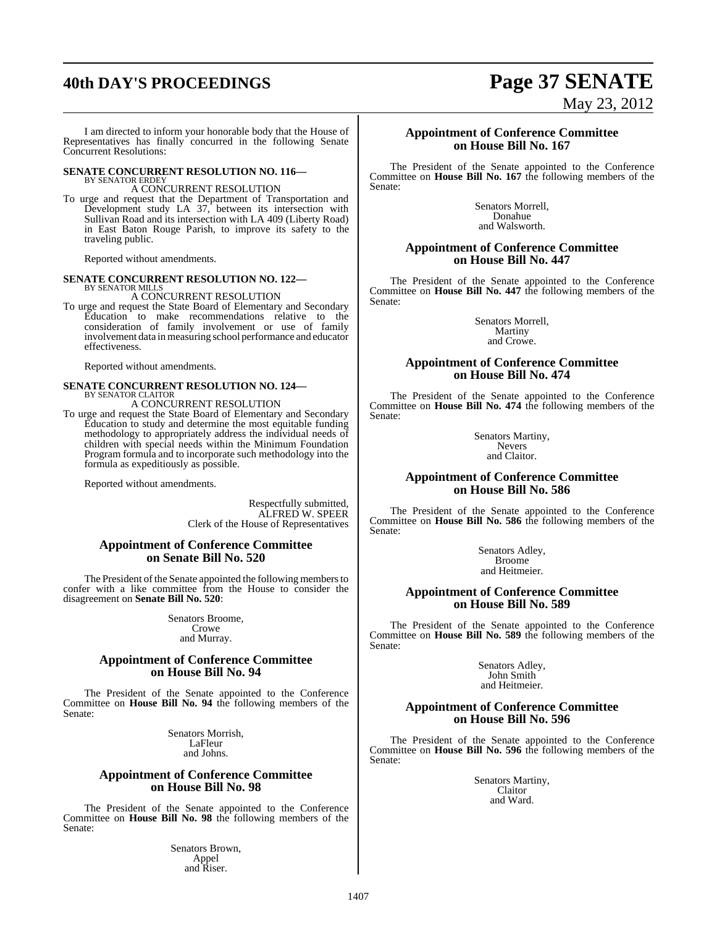# **40th DAY'S PROCEEDINGS Page 37 SENATE**

I am directed to inform your honorable body that the House of Representatives has finally concurred in the following Senate Concurrent Resolutions:

#### **SENATE CONCURRENT RESOLUTION NO. 116—** BY SENATOR ERDEY

A CONCURRENT RESOLUTION

To urge and request that the Department of Transportation and Development study LA 37, between its intersection with Sullivan Road and its intersection with LA 409 (Liberty Road) in East Baton Rouge Parish, to improve its safety to the traveling public.

Reported without amendments.

### **SENATE CONCURRENT RESOLUTION NO. 122—** BY SENATOR MILLS A CONCURRENT RESOLUTION

To urge and request the State Board of Elementary and Secondary Education to make recommendations relative to the consideration of family involvement or use of family involvement data in measuring school performance and educator effectiveness.

Reported without amendments.

# **SENATE CONCURRENT RESOLUTION NO. 124—** BY SENATOR CLAITOR

A CONCURRENT RESOLUTION

To urge and request the State Board of Elementary and Secondary Education to study and determine the most equitable funding methodology to appropriately address the individual needs of children with special needs within the Minimum Foundation Program formula and to incorporate such methodology into the formula as expeditiously as possible.

Reported without amendments.

Respectfully submitted, ALFRED W. SPEER Clerk of the House of Representatives

#### **Appointment of Conference Committee on Senate Bill No. 520**

The President of the Senate appointed the following members to confer with a like committee from the House to consider the disagreement on **Senate Bill No. 520**:

> Senators Broome, Crowe and Murray.

#### **Appointment of Conference Committee on House Bill No. 94**

The President of the Senate appointed to the Conference Committee on **House Bill No. 94** the following members of the Senate:

> Senators Morrish, LaFleur and Johns.

#### **Appointment of Conference Committee on House Bill No. 98**

The President of the Senate appointed to the Conference Committee on **House Bill No. 98** the following members of the Senate:

> Senators Brown, Appel and Riser.

# May 23, 2012

#### **Appointment of Conference Committee on House Bill No. 167**

The President of the Senate appointed to the Conference Committee on **House Bill No. 167** the following members of the Senate:

> Senators Morrell, Donahue and Walsworth.

#### **Appointment of Conference Committee on House Bill No. 447**

The President of the Senate appointed to the Conference Committee on **House Bill No. 447** the following members of the Senate:

> Senators Morrell, Martiny and Crowe.

#### **Appointment of Conference Committee on House Bill No. 474**

The President of the Senate appointed to the Conference Committee on **House Bill No. 474** the following members of the Senate:

> Senators Martiny, Nevers and Claitor.

#### **Appointment of Conference Committee on House Bill No. 586**

The President of the Senate appointed to the Conference Committee on **House Bill No. 586** the following members of the Senate:

> Senators Adley, Broome and Heitmeier.

#### **Appointment of Conference Committee on House Bill No. 589**

The President of the Senate appointed to the Conference Committee on **House Bill No. 589** the following members of the Senate:

> Senators Adley, John Smith and Heitmeier.

#### **Appointment of Conference Committee on House Bill No. 596**

The President of the Senate appointed to the Conference Committee on **House Bill No. 596** the following members of the Senate:

> Senators Martiny, Claitor and Ward.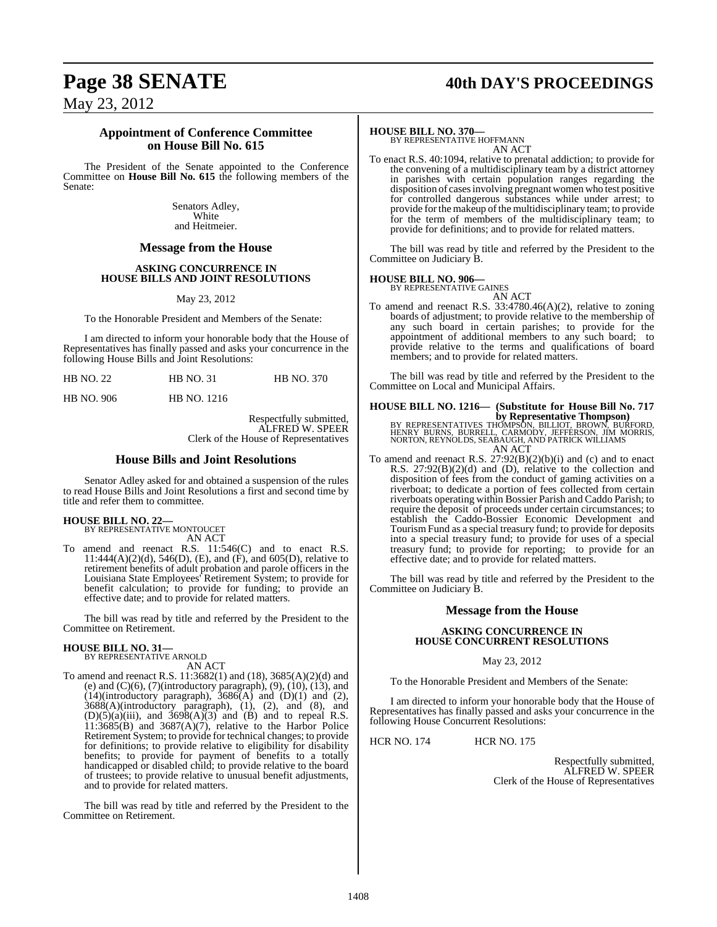# **Page 38 SENATE 40th DAY'S PROCEEDINGS**

May 23, 2012

#### **Appointment of Conference Committee on House Bill No. 615**

The President of the Senate appointed to the Conference Committee on **House Bill No. 615** the following members of the Senate:

> Senators Adley, White and Heitmeier.

#### **Message from the House**

#### **ASKING CONCURRENCE IN HOUSE BILLS AND JOINT RESOLUTIONS**

May 23, 2012

To the Honorable President and Members of the Senate:

I am directed to inform your honorable body that the House of Representatives has finally passed and asks your concurrence in the following House Bills and Joint Resolutions:

| <b>HB NO. 22</b> | <b>HB NO. 31</b> | <b>HB NO. 370</b> |
|------------------|------------------|-------------------|
|                  |                  |                   |

HB NO. 906 HB NO. 1216

Respectfully submitted, ALFRED W. SPEER Clerk of the House of Representatives

#### **House Bills and Joint Resolutions**

Senator Adley asked for and obtained a suspension of the rules to read House Bills and Joint Resolutions a first and second time by title and refer them to committee.

**HOUSE BILL NO. 22—** BY REPRESENTATIVE MONTOUCET

AN ACT

To amend and reenact R.S. 11:546(C) and to enact R.S.  $11:444(A)(2)(d)$ , 546(D), (E), and (F), and 605(D), relative to retirement benefits of adult probation and parole officers in the Louisiana State Employees' Retirement System; to provide for benefit calculation; to provide for funding; to provide an effective date; and to provide for related matters.

The bill was read by title and referred by the President to the Committee on Retirement.

# **HOUSE BILL NO. 31—** BY REPRESENTATIVE ARNOLD

AN ACT

To amend and reenact R.S. 11:3682(1) and (18), 3685(A)(2)(d) and (e) and (C)(6), (7)(introductory paragraph), (9), (10), (13), and  $(14)$ (introductory paragraph),  $3686(A)$  and  $(D)(1)$  and  $(2)$ ,  $3688(A)$ (introductory paragraph),  $(1)$ ,  $(2)$ , and  $(8)$ , and  $(D)(5)(a)(iii)$ , and  $3698(A)(3)$  and (B) and to repeal R.S.  $11:3685(B)$  and  $3687(A)(7)$ , relative to the Harbor Police Retirement System; to provide for technical changes; to provide for definitions; to provide relative to eligibility for disability benefits; to provide for payment of benefits to a totally handicapped or disabled child; to provide relative to the board of trustees; to provide relative to unusual benefit adjustments, and to provide for related matters.

The bill was read by title and referred by the President to the Committee on Retirement.

#### **HOUSE BILL NO. 370—**

BY REPRESENTATIVE HOFFMANN AN ACT

To enact R.S. 40:1094, relative to prenatal addiction; to provide for the convening of a multidisciplinary team by a district attorney in parishes with certain population ranges regarding the disposition of cases involving pregnant women who test positive for controlled dangerous substances while under arrest; to provide for the makeup of the multidisciplinary team; to provide for the term of members of the multidisciplinary team; to provide for definitions; and to provide for related matters.

The bill was read by title and referred by the President to the Committee on Judiciary B.

#### **HOUSE BILL NO. 906—**

BY REPRESENTATIVE GAINES AN ACT

To amend and reenact R.S. 33:4780.46(A)(2), relative to zoning boards of adjustment; to provide relative to the membership of any such board in certain parishes; to provide for the appointment of additional members to any such board; to provide relative to the terms and qualifications of board members; and to provide for related matters.

The bill was read by title and referred by the President to the Committee on Local and Municipal Affairs.

# **HOUSE BILL NO. 1216— (Substitute for House Bill No. 717**

**by Representative Thompson)**<br>BY REPRESENTATIVES THOMPSON, BILLIOT, BROWN, BURFORD,<br>HENRY BURNS, BURRELL, CARMODY, JEFFERSON, JIM MORRIS,<br>NORTON, REYNOLDS, SEABAUGH, AND PATRICK WILLIAMS<br>AN ACT

To amend and reenact R.S. 27:92(B)(2)(b)(i) and (c) and to enact R.S. 27:92(B)(2)(d) and (D), relative to the collection and disposition of fees from the conduct of gaming activities on a riverboat; to dedicate a portion of fees collected from certain riverboats operating within Bossier Parish and Caddo Parish; to require the deposit of proceeds under certain circumstances; to establish the Caddo-Bossier Economic Development and Tourism Fund as a special treasury fund; to provide for deposits into a special treasury fund; to provide for uses of a special treasury fund; to provide for reporting; to provide for an effective date; and to provide for related matters.

The bill was read by title and referred by the President to the Committee on Judiciary B.

### **Message from the House**

#### **ASKING CONCURRENCE IN HOUSE CONCURRENT RESOLUTIONS**

May 23, 2012

To the Honorable President and Members of the Senate:

I am directed to inform your honorable body that the House of Representatives has finally passed and asks your concurrence in the following House Concurrent Resolutions:

HCR NO. 174 HCR NO. 175

Respectfully submitted, ALFRED W. SPEER Clerk of the House of Representatives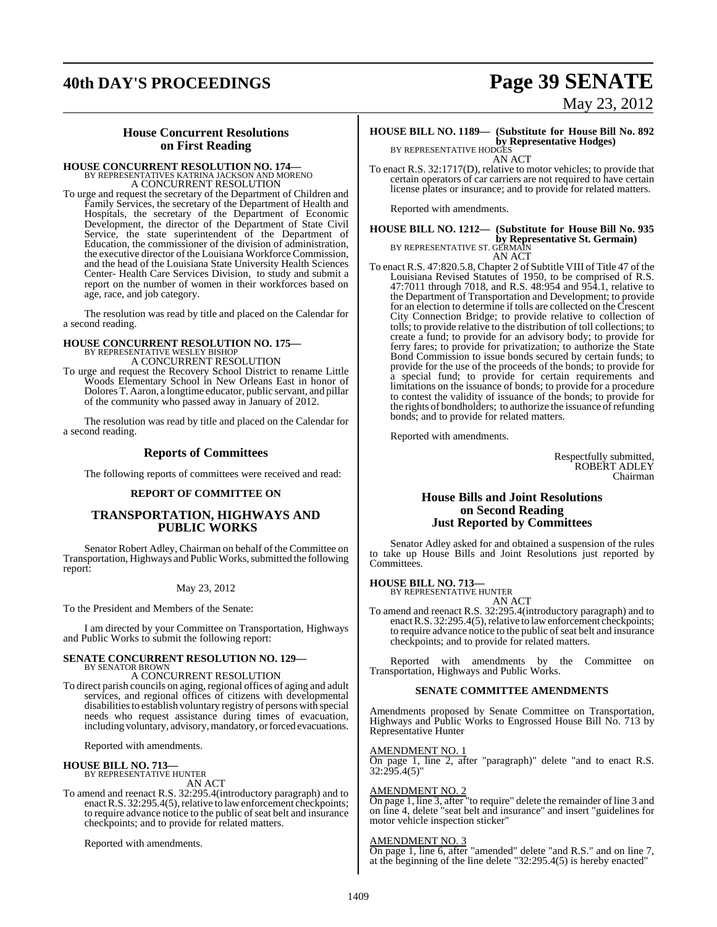# **40th DAY'S PROCEEDINGS Page 39 SENATE**

# May 23, 2012

### **House Concurrent Resolutions on First Reading**

### **HOUSE CONCURRENT RESOLUTION NO. 174—** BY REPRESENTATIVES KATRINA JACKSON AND MORENO A CONCURRENT RESOLUTION

To urge and request the secretary of the Department of Children and Family Services, the secretary of the Department of Health and Hospitals, the secretary of the Department of Economic Development, the director of the Department of State Civil Service, the state superintendent of the Department of Education, the commissioner of the division of administration, the executive director of the Louisiana Workforce Commission, and the head of the Louisiana State University Health Sciences Center- Health Care Services Division, to study and submit a report on the number of women in their workforces based on age, race, and job category.

The resolution was read by title and placed on the Calendar for a second reading.

### **HOUSE CONCURRENT RESOLUTION NO. 175—** BY REPRESENTATIVE WESLEY BISHOP A CONCURRENT RESOLUTION

To urge and request the Recovery School District to rename Little Woods Elementary School in New Orleans East in honor of Dolores T. Aaron, a longtime educator, public servant, and pillar of the community who passed away in January of 2012.

The resolution was read by title and placed on the Calendar for a second reading.

### **Reports of Committees**

The following reports of committees were received and read:

#### **REPORT OF COMMITTEE ON**

### **TRANSPORTATION, HIGHWAYS AND PUBLIC WORKS**

Senator Robert Adley, Chairman on behalf of the Committee on Transportation, Highways and Public Works, submitted the following report:

#### May 23, 2012

To the President and Members of the Senate:

I am directed by your Committee on Transportation, Highways and Public Works to submit the following report:

#### **SENATE CONCURRENT RESOLUTION NO. 129—** BY SENATOR BROWN

A CONCURRENT RESOLUTION

To direct parish councils on aging, regional offices of aging and adult services, and regional offices of citizens with developmental disabilities to establish voluntary registry of persons with special needs who request assistance during times of evacuation, including voluntary, advisory, mandatory, or forced evacuations.

Reported with amendments.

#### **HOUSE BILL NO. 713—**

BY REPRESENTATIVE HUNTER AN ACT

To amend and reenact R.S. 32:295.4(introductory paragraph) and to enact R.S. 32:295.4(5), relative to law enforcement checkpoints; to require advance notice to the public of seat belt and insurance checkpoints; and to provide for related matters.

Reported with amendments.

**HOUSE BILL NO. 1189— (Substitute for House Bill No. 892 by Representative Hodges)** BY REPRESENTATIVE HODGES

AN ACT

To enact R.S. 32:1717(D), relative to motor vehicles; to provide that certain operators of car carriers are not required to have certain license plates or insurance; and to provide for related matters.

Reported with amendments.

### **HOUSE BILL NO. 1212— (Substitute for House Bill No. 935 by Representative St. Germain**)<br>BY REPRESENTATIVE ST. GERMAIN AN ACT

To enact R.S. 47:820.5.8, Chapter 2 of Subtitle VIII of Title 47 of the Louisiana Revised Statutes of 1950, to be comprised of R.S. 47:7011 through 7018, and R.S. 48:954 and 954.1, relative to the Department of Transportation and Development; to provide for an election to determine if tolls are collected on the Crescent City Connection Bridge; to provide relative to collection of tolls; to provide relative to the distribution of toll collections; to create a fund; to provide for an advisory body; to provide for ferry fares; to provide for privatization; to authorize the State Bond Commission to issue bonds secured by certain funds; to provide for the use of the proceeds of the bonds; to provide for a special fund; to provide for certain requirements and limitations on the issuance of bonds; to provide for a procedure to contest the validity of issuance of the bonds; to provide for the rights of bondholders; to authorize the issuance of refunding bonds; and to provide for related matters.

Reported with amendments.

Respectfully submitted, ROBERT ADLEY Chairman

#### **House Bills and Joint Resolutions on Second Reading Just Reported by Committees**

Senator Adley asked for and obtained a suspension of the rules to take up House Bills and Joint Resolutions just reported by Committees.

### **HOUSE BILL NO. 713—**

BY REPRESENTATIVE HUNTER AN ACT

To amend and reenact R.S. 32:295.4(introductory paragraph) and to enact R.S. 32:295.4(5), relative to law enforcement checkpoints; to require advance notice to the public of seat belt and insurance checkpoints; and to provide for related matters.

Reported with amendments by the Committee on Transportation, Highways and Public Works.

#### **SENATE COMMITTEE AMENDMENTS**

Amendments proposed by Senate Committee on Transportation, Highways and Public Works to Engrossed House Bill No. 713 by Representative Hunter

#### AMENDMENT NO. 1

On page 1, line 2, after "paragraph)" delete "and to enact R.S. 32:295.4(5)"

#### AMENDMENT NO. 2

On page 1, line 3, after "to require" delete the remainder of line 3 and on line 4, delete "seat belt and insurance" and insert "guidelines for motor vehicle inspection sticker"

#### AMENDMENT NO. 3

On page 1, line 6, after "amended" delete "and R.S." and on line 7, at the beginning of the line delete "32:295.4(5) is hereby enacted"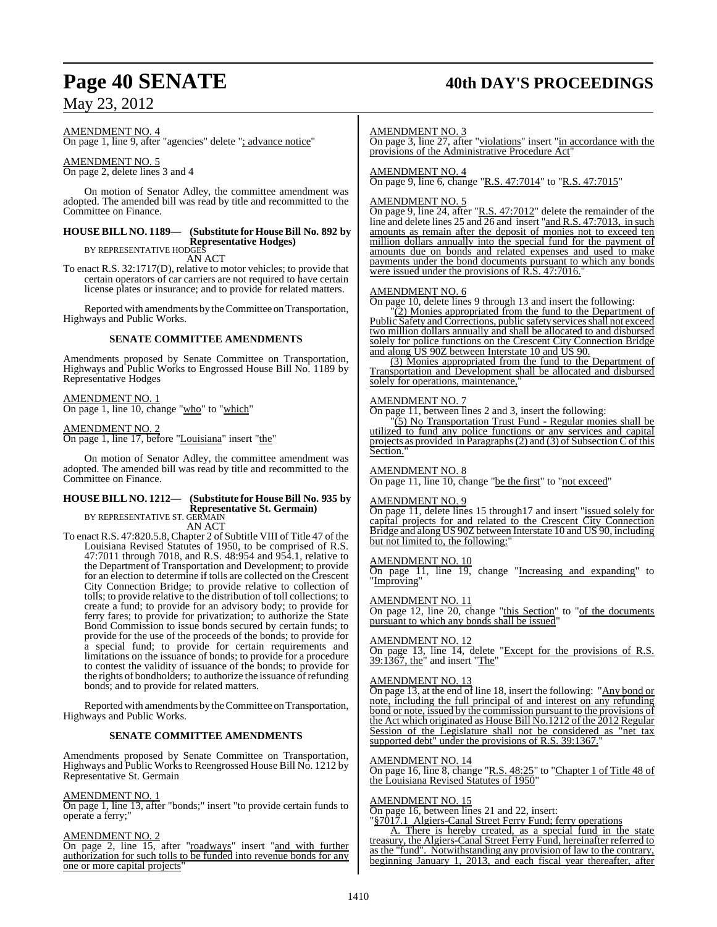### Page 40 **SENATE** 40th DAY'S PROCEEDINGS

### May 23, 2012

AMENDMENT NO. 4

On page 1, line 9, after "agencies" delete "; advance notice"

AMENDMENT NO. 5 On page 2, delete lines 3 and 4

On motion of Senator Adley, the committee amendment was adopted. The amended bill was read by title and recommitted to the Committee on Finance.

### **HOUSE BILL NO. 1189— (Substitute for HouseBill No. 892 by Representative Hodges)** BY REPRESENTATIVE HODGES

AN ACT

To enact R.S. 32:1717(D), relative to motor vehicles; to provide that certain operators of car carriers are not required to have certain license plates or insurance; and to provide for related matters.

Reported with amendments by theCommittee on Transportation, Highways and Public Works.

#### **SENATE COMMITTEE AMENDMENTS**

Amendments proposed by Senate Committee on Transportation, Highways and Public Works to Engrossed House Bill No. 1189 by Representative Hodges

AMENDMENT NO. 1

On page 1, line 10, change "who" to "which"

AMENDMENT NO. 2 On page 1, line 17, before "Louisiana" insert "the"

On motion of Senator Adley, the committee amendment was adopted. The amended bill was read by title and recommitted to the Committee on Finance.

### **HOUSE BILL NO. 1212— (Substitute for HouseBill No. 935 by Representative St. Germain)** BY REPRESENTATIVE ST. GERMAIN

AN ACT To enact R.S. 47:820.5.8, Chapter 2 of Subtitle VIII of Title 47 of the Louisiana Revised Statutes of 1950, to be comprised of R.S. 47:7011 through 7018, and R.S. 48:954 and 954.1, relative to the Department of Transportation and Development; to provide for an election to determine if tolls are collected on the Crescent City Connection Bridge; to provide relative to collection of tolls; to provide relative to the distribution of toll collections; to create a fund; to provide for an advisory body; to provide for ferry fares; to provide for privatization; to authorize the State Bond Commission to issue bonds secured by certain funds; to provide for the use of the proceeds of the bonds; to provide for a special fund; to provide for certain requirements and limitations on the issuance of bonds; to provide for a procedure to contest the validity of issuance of the bonds; to provide for the rights of bondholders; to authorize the issuance of refunding bonds; and to provide for related matters.

Reported with amendments by theCommittee on Transportation, Highways and Public Works.

#### **SENATE COMMITTEE AMENDMENTS**

Amendments proposed by Senate Committee on Transportation, Highways and Public Works to Reengrossed House Bill No. 1212 by Representative St. Germain

#### AMENDMENT NO. 1

On page 1, line 13, after "bonds;" insert "to provide certain funds to operate a ferry;"

#### AMENDMENT NO. 2

On page 2, line 15, after "roadways" insert "and with further authorization for such tolls to be funded into revenue bonds for any one or more capital projects"

#### AMENDMENT NO. 3

On page 3, line 27, after "violations" insert "in accordance with the provisions of the Administrative Procedure Act"

#### AMENDMENT NO. 4

On page 9, line 6, change "R.S. 47:7014" to "R.S. 47:7015"

#### AMENDMENT NO. 5

On page 9, line 24, after "R.S. 47:7012" delete the remainder of the line and delete lines 25 and 26 and insert "and R.S. 47:7013, in such amounts as remain after the deposit of monies not to exceed ten million dollars annually into the special fund for the payment of amounts due on bonds and related expenses and used to make payments under the bond documents pursuant to which any bonds were issued under the provisions of R.S. 47:7016.

#### AMENDMENT NO. 6

On page 10, delete lines 9 through 13 and insert the following:

"(2) Monies appropriated from the fund to the Department of Public Safety and Corrections, public safety services shall not exceed two million dollars annually and shall be allocated to and disbursed solely for police functions on the Crescent City Connection Bridge and along US 90Z between Interstate 10 and US 90.

(3) Monies appropriated from the fund to the Department of Transportation and Development shall be allocated and disbursed solely for operations, maintenance,

#### AMENDMENT NO. 7

On page 11, between lines 2 and 3, insert the following:

"(5) No Transportation Trust Fund - Regular monies shall be utilized to fund any police functions or any services and capital projects as provided in Paragraphs (2) and (3) of Subsection C of this Section.

#### AMENDMENT NO. 8

On page 11, line 10, change "be the first" to "not exceed"

#### AMENDMENT NO. 9

On page 11, delete lines 15 through17 and insert "issued solely for capital projects for and related to the Crescent City Connection Bridge and along US 90Z between Interstate 10 and US 90, including but not limited to, the following:

#### AMENDMENT NO. 10

On page 11, line 19, change "Increasing and expanding" to "Improving"

#### AMENDMENT NO. 11

On page 12, line 20, change "this Section" to "of the documents pursuant to which any bonds shall be issued'

#### AMENDMENT NO. 12

On page 13, line 14, delete "Except for the provisions of R.S. 39:1367, the" and insert "The"

#### AMENDMENT NO. 13

On page 13, at the end of line 18, insert the following: "Any bond or note, including the full principal of and interest on any refunding bond or note, issued by the commission pursuant to the provisions of the Act which originated as House Bill No.1212 of the 2012 Regular Session of the Legislature shall not be considered as "net tax supported debt" under the provisions of R.S. 39:1367."

#### AMENDMENT NO. 14

On page 16, line 8, change "R.S. 48:25" to "Chapter 1 of Title 48 of the Louisiana Revised Statutes of 1950"

#### AMENDMENT NO. 15

On page 16, between lines 21 and 22, insert:

"§7017.1 Algiers-Canal Street Ferry Fund; ferry operations

A. There is hereby created, as a special fund in the state treasury, the Algiers-Canal Street Ferry Fund, hereinafter referred to as the "fund". Notwithstanding any provision of law to the contrary, beginning January 1, 2013, and each fiscal year thereafter, after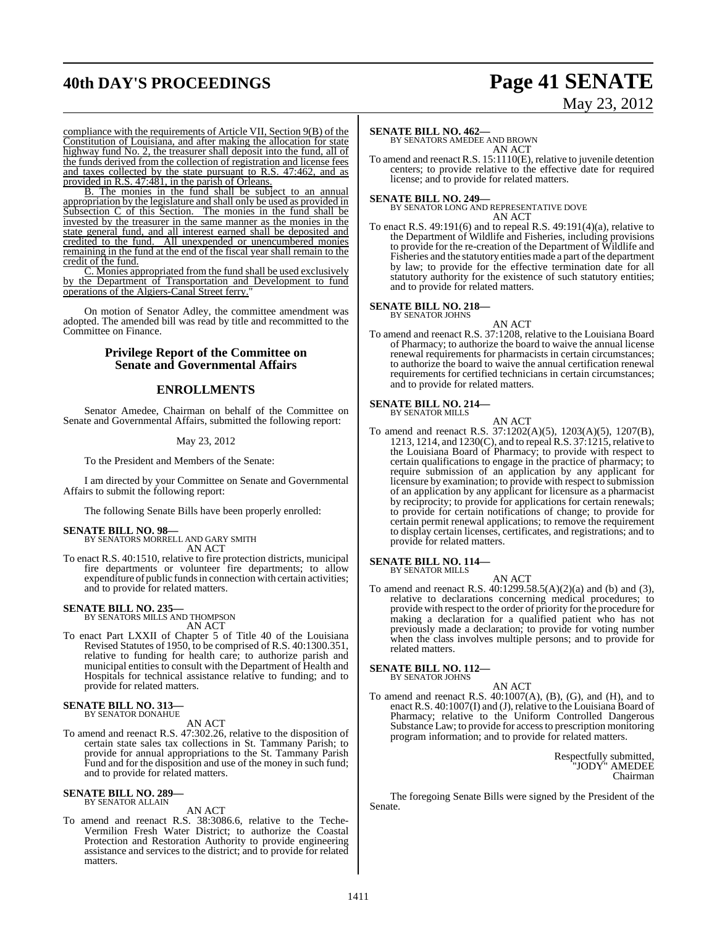# **40th DAY'S PROCEEDINGS Page 41 SENATE**

# May 23, 2012

compliance with the requirements of Article VII, Section 9(B) of the Constitution of Louisiana, and after making the allocation for state highway fund No. 2, the treasurer shall deposit into the fund, all of the funds derived from the collection of registration and license fees and taxes collected by the state pursuant to R.S. 47:462, and as provided in R.S. 47:481, in the parish of Orleans.

B. The monies in the fund shall be subject to an annual appropriation by the legislature and shall only be used as provided in Subsection C of this Section. The monies in the fund shall be invested by the treasurer in the same manner as the monies in the state general fund, and all interest earned shall be deposited and credited to the fund. All unexpended or unencumbered monies remaining in the fund at the end of the fiscal year shall remain to the credit of the fund.

C. Monies appropriated from the fund shall be used exclusively by the Department of Transportation and Development to fund operations of the Algiers-Canal Street ferry.

On motion of Senator Adley, the committee amendment was adopted. The amended bill was read by title and recommitted to the Committee on Finance.

#### **Privilege Report of the Committee on Senate and Governmental Affairs**

### **ENROLLMENTS**

Senator Amedee, Chairman on behalf of the Committee on Senate and Governmental Affairs, submitted the following report:

#### May 23, 2012

To the President and Members of the Senate:

I am directed by your Committee on Senate and Governmental Affairs to submit the following report:

The following Senate Bills have been properly enrolled:

**SENATE BILL NO. 98—** BY SENATORS MORRELL AND GARY SMITH AN ACT

To enact R.S. 40:1510, relative to fire protection districts, municipal fire departments or volunteer fire departments; to allow expenditure of public funds in connection with certain activities; and to provide for related matters.

### **SENATE BILL NO. 235—** BY SENATORS MILLS AND THOMPSON

AN ACT

To enact Part LXXII of Chapter 5 of Title 40 of the Louisiana Revised Statutes of 1950, to be comprised of R.S. 40:1300.351, relative to funding for health care; to authorize parish and municipal entities to consult with the Department of Health and Hospitals for technical assistance relative to funding; and to provide for related matters.

### **SENATE BILL NO. 313—** BY SENATOR DONAHUE

AN ACT

To amend and reenact R.S. 47:302.26, relative to the disposition of certain state sales tax collections in St. Tammany Parish; to provide for annual appropriations to the St. Tammany Parish Fund and for the disposition and use of the money in such fund; and to provide for related matters.

**SENATE BILL NO. 289—** BY SENATOR ALLAIN

#### AN ACT

To amend and reenact R.S. 38:3086.6, relative to the Teche-Vermilion Fresh Water District; to authorize the Coastal Protection and Restoration Authority to provide engineering assistance and services to the district; and to provide for related matters.

#### **SENATE BILL NO. 462—**

BY SENATORS AMEDEE AND BROWN AN ACT

To amend and reenact R.S. 15:1110(E), relative to juvenile detention centers; to provide relative to the effective date for required license; and to provide for related matters.

**SENATE BILL NO. 249—** BY SENATOR LONG AND REPRESENTATIVE DOVE AN ACT

To enact R.S. 49:191(6) and to repeal R.S. 49:191(4)(a), relative to the Department of Wildlife and Fisheries, including provisions to provide for the re-creation of the Department of Wildlife and Fisheries and the statutory entities made a part of the department by law; to provide for the effective termination date for all statutory authority for the existence of such statutory entities; and to provide for related matters.

## **SENATE BILL NO. 218—** BY SENATOR JOHNS

AN ACT To amend and reenact R.S. 37:1208, relative to the Louisiana Board of Pharmacy; to authorize the board to waive the annual license renewal requirements for pharmacists in certain circumstances; to authorize the board to waive the annual certification renewal requirements for certified technicians in certain circumstances; and to provide for related matters.

#### **SENATE BILL NO. 214—** BY SENATOR MILLS

AN ACT

To amend and reenact R.S. 37:1202(A)(5), 1203(A)(5), 1207(B), 1213, 1214, and 1230(C), and to repeal R.S. 37:1215, relative to the Louisiana Board of Pharmacy; to provide with respect to certain qualifications to engage in the practice of pharmacy; to require submission of an application by any applicant for licensure by examination; to provide with respect to submission of an application by any applicant for licensure as a pharmacist by reciprocity; to provide for applications for certain renewals; to provide for certain notifications of change; to provide for certain permit renewal applications; to remove the requirement to display certain licenses, certificates, and registrations; and to provide for related matters.

#### **SENATE BILL NO. 114—** BY SENATOR MILLS

AN ACT

To amend and reenact R.S. 40:1299.58.5(A)(2)(a) and (b) and (3), relative to declarations concerning medical procedures; to provide with respect to the order of priority for the procedure for making a declaration for a qualified patient who has not previously made a declaration; to provide for voting number when the class involves multiple persons; and to provide for related matters.

### **SENATE BILL NO. 112—** BY SENATOR JOHNS

AN ACT

To amend and reenact R.S. 40:1007(A), (B), (G), and (H), and to enact R.S. 40:1007(I) and (J), relative to the Louisiana Board of Pharmacy; relative to the Uniform Controlled Dangerous Substance Law; to provide for accessto prescription monitoring program information; and to provide for related matters.

> Respectfully submitted, "JODY" AMEDEE Chairman

The foregoing Senate Bills were signed by the President of the Senate.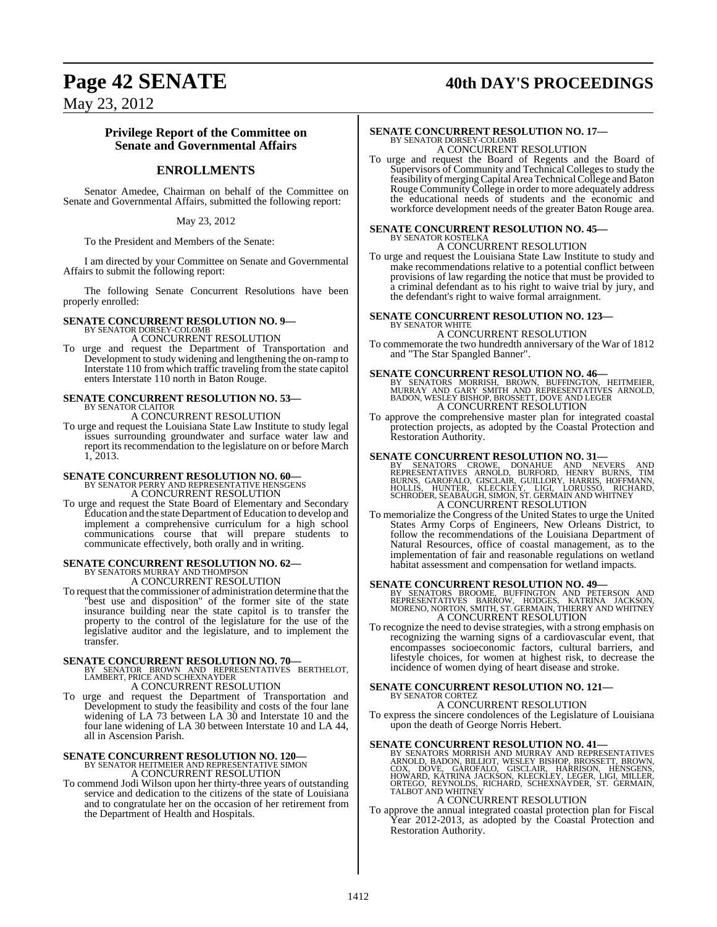## **Page 42 SENATE 40th DAY'S PROCEEDINGS**

May 23, 2012

#### **Privilege Report of the Committee on Senate and Governmental Affairs**

### **ENROLLMENTS**

Senator Amedee, Chairman on behalf of the Committee on Senate and Governmental Affairs, submitted the following report:

#### May 23, 2012

To the President and Members of the Senate:

I am directed by your Committee on Senate and Governmental Affairs to submit the following report:

The following Senate Concurrent Resolutions have been properly enrolled:

#### **SENATE CONCURRENT RESOLUTION NO. 9—** BY SENATOR DORSEY-COLOMB

A CONCURRENT RESOLUTION

To urge and request the Department of Transportation and Development to study widening and lengthening the on-ramp to Interstate 110 from which traffic traveling from the state capitol enters Interstate 110 north in Baton Rouge.

#### **SENATE CONCURRENT RESOLUTION NO. 53—** BY SENATOR CLAITOR

A CONCURRENT RESOLUTION

To urge and request the Louisiana State Law Institute to study legal issues surrounding groundwater and surface water law and report its recommendation to the legislature on or before March 1, 2013.

# **SENATE CONCURRENT RESOLUTION NO. 60—**<br>BY SENATOR PERRY AND REPRESENTATIVE HENSGENS A CONCURRENT RESOLUTION

To urge and request the State Board of Elementary and Secondary Education and the state Department of Education to develop and implement a comprehensive curriculum for a high school communications course that will prepare students to communicate effectively, both orally and in writing.

### **SENATE CONCURRENT RESOLUTION NO. 62—** BY SENATORS MURRAY AND THOMPSON A CONCURRENT RESOLUTION

To request that the commissioner of administration determine that the "best use and disposition" of the former site of the state insurance building near the state capitol is to transfer the property to the control of the legislature for the use of the legislative auditor and the legislature, and to implement the transfer.

**SENATE CONCURRENT RESOLUTION NO. 70—**<br>BY SENATOR BROWN AND REPRESENTATIVES BERTHELOT,<br>LAMBERT, PRICE AND SCHEXNAYDER A CONCURRENT RESOLUTION

To urge and request the Department of Transportation and Development to study the feasibility and costs of the four lane widening of LA 73 between LA 30 and Interstate 10 and the four lane widening of LA 30 between Interstate 10 and LA 44, all in Ascension Parish.

# **SENATE CONCURRENT RESOLUTION NO. 120—**<br>BY SENATOR HEITMEIER AND REPRESENTATIVE SIMON A CONCURRENT RESOLUTION

To commend Jodi Wilson upon her thirty-three years of outstanding service and dedication to the citizens of the state of Louisiana and to congratulate her on the occasion of her retirement from the Department of Health and Hospitals.

# **SENATE CONCURRENT RESOLUTION NO. 17—**<br>BY SENATOR DORSEY-COLOMB<br>A CONCURRENT RESOLUTION

To urge and request the Board of Regents and the Board of Supervisors of Community and Technical Colleges to study the feasibility of merging Capital Area Technical College and Baton Rouge CommunityCollege in order to more adequately address the educational needs of students and the economic and workforce development needs of the greater Baton Rouge area.

# **SENATE CONCURRENT RESOLUTION NO. 45—** BY SENATOR KOSTELKA

A CONCURRENT RESOLUTION

To urge and request the Louisiana State Law Institute to study and make recommendations relative to a potential conflict between provisions of law regarding the notice that must be provided to a criminal defendant as to his right to waive trial by jury, and the defendant's right to waive formal arraignment.

### **SENATE CONCURRENT RESOLUTION NO. 123—** BY SENATOR WHITE

A CONCURRENT RESOLUTION

To commemorate the two hundredth anniversary of the War of 1812 and "The Star Spangled Banner".

**SENATE CONCURRENT RESOLUTION NO. 46—**<br>BY SENATORS MORRISH, BROWN, BUFFINGTON, HEITMEIER,<br>MURRAY AND GARY SMITH AND REPRESENTATIVES ARNOLD,<br>BADON, WESLEY BISHOP, BROSSETT, DOVE AND LEGER A CONCURRENT RESOLUTION

To approve the comprehensive master plan for integrated coastal protection projects, as adopted by the Coastal Protection and Restoration Authority.

#### **SENATE CONCURRENT RESOLUTION NO. 31—**

BY SENATORS CROWE, DONAHUE AND NEVERS AND<br>REPRESENTATIVES ARNOLD, BURFORD, HENRY BURNS, TIM<br>BURNS, GAROFALO, GISCLAIR, GUILLORY, HARRIS, HOFFMANN,<br>HOLLIS, HUNTER, KLECKLEY, LIGI, LORUSSO, RICHARD,<br>SCHRODER,SEABAUGH,SIMON,S A CONCURRENT RESOLUTION

To memorialize the Congress of the United States to urge the United States Army Corps of Engineers, New Orleans District, to follow the recommendations of the Louisiana Department of Natural Resources, office of coastal management, as to the implementation of fair and reasonable regulations on wetland habitat assessment and compensation for wetland impacts.

**SENATE CONCURRENT RESOLUTION NO. 49—**<br>BY SENATORS BROOME, BUFFINGTON AND PETERSON AND<br>REPRESENTATIVES BARROW, HODGES, KATRINA JACKSON,<br>MORENO, NORTON, SMITH, ST. GERMAIN, THIERRY AND WHITNEY A CONCURRENT RESOLUTION

To recognize the need to devise strategies, with a strong emphasis on recognizing the warning signs of a cardiovascular event, that encompasses socioeconomic factors, cultural barriers, and lifestyle choices, for women at highest risk, to decrease the incidence of women dying of heart disease and stroke.

### **SENATE CONCURRENT RESOLUTION NO. 121—** BY SENATOR CORTEZ

A CONCURRENT RESOLUTION

To express the sincere condolences of the Legislature of Louisiana upon the death of George Norris Hebert.

#### **SENATE CONCURRENT RESOLUTION NO. 41—**

BY SENATORS MORRISH AND MURRAY AND REPRESENTATIVES<br>ARNOLD, BADON, BILLIOT, WESLEY BISHOP, BROSSETT, BROWN,<br>COX, DOVE, GAROFALO, GISCLAIR, HARRISON, HENSGENS,<br>HOWARD, KATRINA JACKSON, KLECKLEY, LEGER, LIGI, MILLER,<br>ORTEGO,

### A CONCURRENT RESOLUTION

To approve the annual integrated coastal protection plan for Fiscal Year 2012-2013, as adopted by the Coastal Protection and Restoration Authority.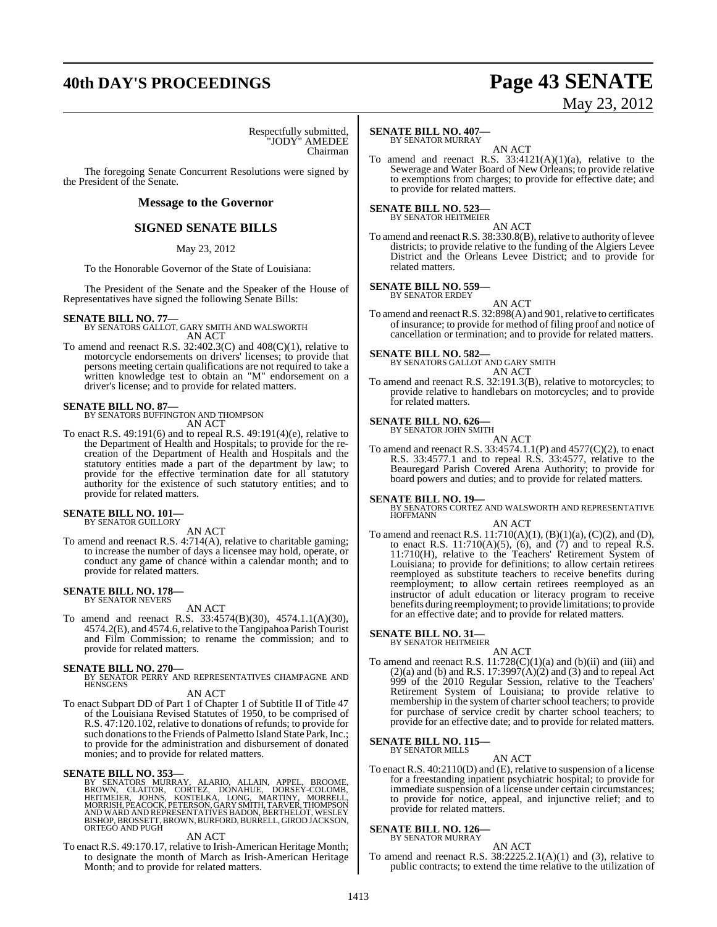# **40th DAY'S PROCEEDINGS Page 43 SENATE**

# May 23, 2012

Respectfully submitted, "JODY" AMEDEE Chairman

The foregoing Senate Concurrent Resolutions were signed by the President of the Senate.

#### **Message to the Governor**

#### **SIGNED SENATE BILLS**

#### May 23, 2012

To the Honorable Governor of the State of Louisiana:

The President of the Senate and the Speaker of the House of Representatives have signed the following Senate Bills:

#### **SENATE BILL NO. 77—**

BY SENATORS GALLOT, GARY SMITH AND WALSWORTH AN ACT

To amend and reenact R.S.  $32:402.3(C)$  and  $408(C)(1)$ , relative to motorcycle endorsements on drivers' licenses; to provide that persons meeting certain qualifications are not required to take a written knowledge test to obtain an "M" endorsement on a driver's license; and to provide for related matters.

**SENATE BILL NO. 87—** BY SENATORS BUFFINGTON AND THOMPSON AN ACT

To enact R.S. 49:191(6) and to repeal R.S. 49:191(4)(e), relative to the Department of Health and Hospitals; to provide for the recreation of the Department of Health and Hospitals and the statutory entities made a part of the department by law; to provide for the effective termination date for all statutory authority for the existence of such statutory entities; and to provide for related matters.

### **SENATE BILL NO. 101—** BY SENATOR GUILLORY

AN ACT

To amend and reenact R.S. 4:714(A), relative to charitable gaming; to increase the number of days a licensee may hold, operate, or conduct any game of chance within a calendar month; and to provide for related matters.

### **SENATE BILL NO. 178—** BY SENATOR NEVERS

AN ACT

To amend and reenact R.S. 33:4574(B)(30), 4574.1.1(A)(30), 4574.2(E), and 4574.6,relative to theTangipahoa Parish Tourist and Film Commission; to rename the commission; and to provide for related matters.

**SENATE BILL NO. 270—**<br>BY SENATOR PERRY AND REPRESENTATIVES CHAMPAGNE AND HENSGENS

#### AN ACT

To enact Subpart DD of Part 1 of Chapter 1 of Subtitle II of Title 47 of the Louisiana Revised Statutes of 1950, to be comprised of R.S. 47:120.102, relative to donations of refunds; to provide for such donations to the Friends of Palmetto Island State Park, Inc.; to provide for the administration and disbursement of donated monies; and to provide for related matters.

SENATE BILL NO. 353<br>BY SENATORS MURRAY, ALARIO, ALLAIN, APPEL, BROOME,<br>BROWN, CLAITOR, CORTEZ, DONAHUE, DORSEY-COLOMB,<br>HEITMEIER, JOHNS, KOSTELKA, LONG, MARTINY, MORRELL,<br>MORRISH, PEACOCK,PETERSON,GARY SMITH,TARVER,THOMPSO BISHOP, BROSSETT, BROWN, BURFORD, BURRELL, GIROD JACKSON,<br>ORTEGO AND PUGH

#### AN ACT

To enact R.S. 49:170.17, relative to Irish-American Heritage Month; to designate the month of March as Irish-American Heritage Month; and to provide for related matters.

#### **SENATE BILL NO. 407—** BY SENATOR MURRAY

AN ACT To amend and reenact R.S.  $33:4121(A)(1)(a)$ , relative to the Sewerage and Water Board of New Orleans; to provide relative to exemptions from charges; to provide for effective date; and to provide for related matters.

### **SENATE BILL NO. 523—** BY SENATOR HEITMEIER

AN ACT To amend and reenact R.S.  $38:330.8(B)$ , relative to authority of levee districts; to provide relative to the funding of the Algiers Levee District and the Orleans Levee District; and to provide for related matters.

#### **SENATE BILL NO. 559—** BY SENATOR ERDEY

AN ACT

To amend and reenact R.S. 32:898(A) and 901, relative to certificates of insurance; to provide for method of filing proof and notice of cancellation or termination; and to provide for related matters.

**SENATE BILL NO. 582—** BY SENATORS GALLOT AND GARY SMITH AN ACT

To amend and reenact R.S. 32:191.3(B), relative to motorcycles; to provide relative to handlebars on motorcycles; and to provide for related matters.

### **SENATE BILL NO. 626—** BY SENATOR JOHN SMITH

AN ACT To amend and reenact R.S. 33:4574.1.1(P) and 4577(C)(2), to enact R.S. 33:4577.1 and to repeal R.S. 33:4577, relative to the Beauregard Parish Covered Arena Authority; to provide for board powers and duties; and to provide for related matters.

**SENATE BILL NO. 19—**<br>BY SENATORS CORTEZ AND WALSWORTH AND REPRESENTATIVE<br>HOFFMANN

#### AN ACT

To amend and reenact R.S. 11:710(A)(1), (B)(1)(a), (C)(2), and (D), to enact R.S.  $11:710(A)(5)$ ,  $(6)$ , and  $(7)$  and to repeal R.S. 11:710(H), relative to the Teachers' Retirement System of Louisiana; to provide for definitions; to allow certain retirees reemployed as substitute teachers to receive benefits during reemployment; to allow certain retirees reemployed as an instructor of adult education or literacy program to receive benefits during reemployment; to provide limitations; to provide for an effective date; and to provide for related matters.

### **SENATE BILL NO. 31—** BY SENATOR HEITMEIER

AN ACT To amend and reenact R.S.  $11:728(C)(1)(a)$  and  $(b)(ii)$  and  $(iii)$  and  $(2)(a)$  and (b) and R.S. 17:3997 $(A)(2)$  and  $(3)$  and to repeal Act 999 of the 2010 Regular Session, relative to the Teachers' Retirement System of Louisiana; to provide relative to membership in the system of charter school teachers; to provide for purchase of service credit by charter school teachers; to provide for an effective date; and to provide for related matters.

#### **SENATE BILL NO. 115—** BY SENATOR MILLS

#### AN ACT

To enact R.S. 40:2110(D) and (E), relative to suspension of a license for a freestanding inpatient psychiatric hospital; to provide for immediate suspension of a license under certain circumstances; to provide for notice, appeal, and injunctive relief; and to provide for related matters.

#### **SENATE BILL NO. 126—**

BY SENATOR MURRAY

AN ACT To amend and reenact R.S.  $38:2225.2.1(A)(1)$  and (3), relative to public contracts; to extend the time relative to the utilization of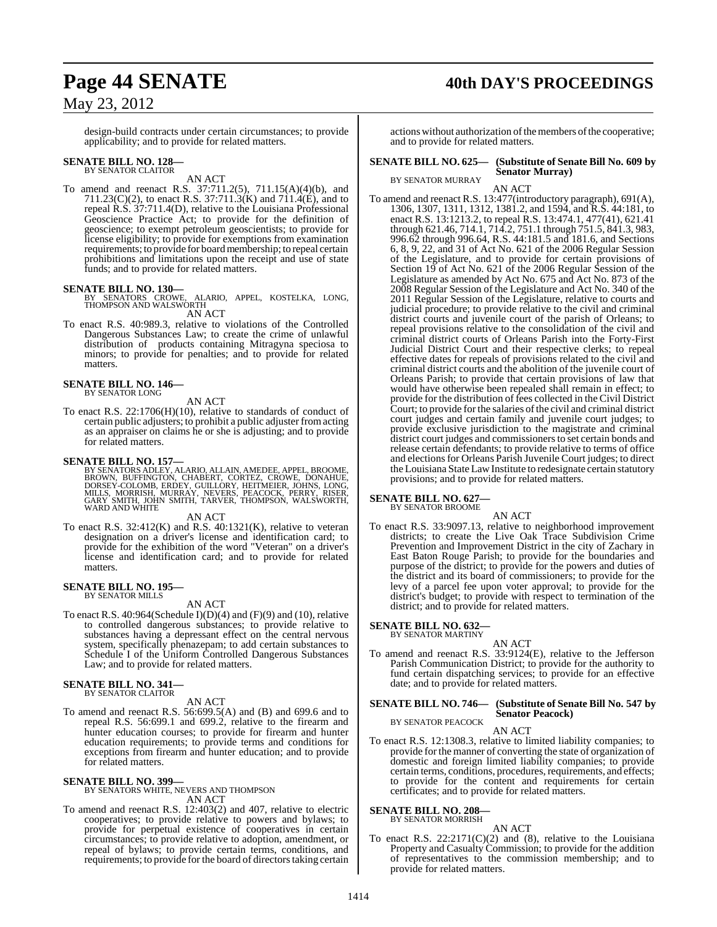## **Page 44 SENATE 40th DAY'S PROCEEDINGS**

### May 23, 2012

design-build contracts under certain circumstances; to provide applicability; and to provide for related matters.

#### **SENATE BILL NO. 128—** BY SENATOR CLAITOR

AN ACT

To amend and reenact R.S. 37:711.2(5), 711.15(A)(4)(b), and 711.23(C)(2), to enact R.S. 37:711.3(K) and 711.4(E), and to repeal R.S. 37:711.4(D), relative to the Louisiana Professional Geoscience Practice Act; to provide for the definition of geoscience; to exempt petroleum geoscientists; to provide for license eligibility; to provide for exemptions from examination requirements; to provide for board membership; to repeal certain prohibitions and limitations upon the receipt and use of state funds; and to provide for related matters.

#### **SENATE BILL NO. 130—**

ALARIO, APPEL, KOSTELKA, LONG, THOMPSON AND WALSWORTH AN ACT

To enact R.S. 40:989.3, relative to violations of the Controlled

Dangerous Substances Law; to create the crime of unlawful distribution of products containing Mitragyna speciosa to minors; to provide for penalties; and to provide for related matters.

### **SENATE BILL NO. 146—** BY SENATOR LONG

AN ACT

To enact R.S. 22:1706(H)(10), relative to standards of conduct of certain public adjusters; to prohibit a public adjuster fromacting as an appraiser on claims he or she is adjusting; and to provide for related matters.

**SENATE BILL NO. 157—**<br>BY SENATORS ADLEY, ALARIO, ALLAIN, AMEDEE, APPEL, BROOME,<br>BROWN, BUFFINGTON, CHABERT, CORTEZ, CROWE, DONAHUE,<br>DORSEY-COLOMB, ERDEY, GUILLORY, HEITMEIER, JOHNS, LONG,<br>MILLS, MORRISH, MURRAY, NEVERS, P WARD AND WHITE

#### AN ACT

To enact R.S.  $32:412(K)$  and R.S.  $40:1321(K)$ , relative to veteran designation on a driver's license and identification card; to provide for the exhibition of the word "Veteran" on a driver's license and identification card; and to provide for related matters.

#### **SENATE BILL NO. 195—** BY SENATOR MILLS

#### AN ACT

To enact R.S.  $40:964$ (Schedule I)(D)(4) and (F)(9) and (10), relative to controlled dangerous substances; to provide relative to substances having a depressant effect on the central nervous system, specifically phenazepam; to add certain substances to Schedule I of the Uniform Controlled Dangerous Substances Law; and to provide for related matters.

### **SENATE BILL NO. 341—** BY SENATOR CLAITOR

#### AN ACT

To amend and reenact R.S. 56:699.5(A) and (B) and 699.6 and to repeal R.S. 56:699.1 and 699.2, relative to the firearm and hunter education courses; to provide for firearm and hunter education requirements; to provide terms and conditions for exceptions from firearm and hunter education; and to provide for related matters.

#### **SENATE BILL NO. 399—**

BY SENATORS WHITE, NEVERS AND THOMPSON AN ACT

To amend and reenact R.S. 12:403(2) and 407, relative to electric cooperatives; to provide relative to powers and bylaws; to provide for perpetual existence of cooperatives in certain circumstances; to provide relative to adoption, amendment, or repeal of bylaws; to provide certain terms, conditions, and requirements; to provide for the board of directorstaking certain

actions without authorization of the members of the cooperative; and to provide for related matters.

#### **SENATE BILL NO. 625— (Substitute of Senate Bill No. 609 by Senator Murray)**

BY SENATOR MURRAY AN ACT

To amend and reenact R.S. 13:477(introductory paragraph), 691(A), 1306, 1307, 1311, 1312, 1381.2, and 1594, and R.S. 44:181, to enact R.S. 13:1213.2, to repeal R.S. 13:474.1, 477(41), 621.41 through 621.46, 714.1, 714.2, 751.1 through 751.5, 841.3, 983, 996.62 through 996.64, R.S. 44:181.5 and 181.6, and Sections 6, 8, 9, 22, and 31 of Act No. 621 of the 2006 Regular Session of the Legislature, and to provide for certain provisions of Section 19 of Act No. 621 of the 2006 Regular Session of the Legislature as amended by Act No. 675 and Act No. 873 of the 2008 Regular Session of the Legislature and Act No. 340 of the 2011 Regular Session of the Legislature, relative to courts and judicial procedure; to provide relative to the civil and criminal district courts and juvenile court of the parish of Orleans; to repeal provisions relative to the consolidation of the civil and criminal district courts of Orleans Parish into the Forty-First Judicial District Court and their respective clerks; to repeal effective dates for repeals of provisions related to the civil and criminal district courts and the abolition of the juvenile court of Orleans Parish; to provide that certain provisions of law that would have otherwise been repealed shall remain in effect; to provide for the distribution of fees collected in the Civil District Court; to provide for the salaries of the civil and criminal district court judges and certain family and juvenile court judges; to provide exclusive jurisdiction to the magistrate and criminal district court judges and commissioners to set certain bonds and release certain defendants; to provide relative to terms of office and elections for Orleans Parish Juvenile Court judges; to direct the Louisiana State LawInstitute to redesignate certain statutory provisions; and to provide for related matters.

#### **SENATE BILL NO. 627—** BY SENATOR BROOME

AN ACT

To enact R.S. 33:9097.13, relative to neighborhood improvement districts; to create the Live Oak Trace Subdivision Crime Prevention and Improvement District in the city of Zachary in East Baton Rouge Parish; to provide for the boundaries and purpose of the district; to provide for the powers and duties of the district and its board of commissioners; to provide for the levy of a parcel fee upon voter approval; to provide for the district's budget; to provide with respect to termination of the district; and to provide for related matters.

#### **SENATE BILL NO. 632—**

BY SENATOR MARTINY

To amend and reenact R.S. 33:9124(E), relative to the Jefferson Parish Communication District; to provide for the authority to fund certain dispatching services; to provide for an effective date; and to provide for related matters.

#### **SENATE BILL NO. 746— (Substitute of Senate Bill No. 547 by Senator Peacock)**

BY SENATOR PEACOCK AN ACT

To enact R.S. 12:1308.3, relative to limited liability companies; to provide for the manner of converting the state of organization of domestic and foreign limited liability companies; to provide certain terms, conditions, procedures, requirements, and effects; to provide for the content and requirements for certain certificates; and to provide for related matters.

### **SENATE BILL NO. 208—** BY SENATOR MORRISH

AN ACT

To enact R.S.  $22:2171(C)(2)$  and (8), relative to the Louisiana Property and Casualty Commission; to provide for the addition of representatives to the commission membership; and to provide for related matters.

AN ACT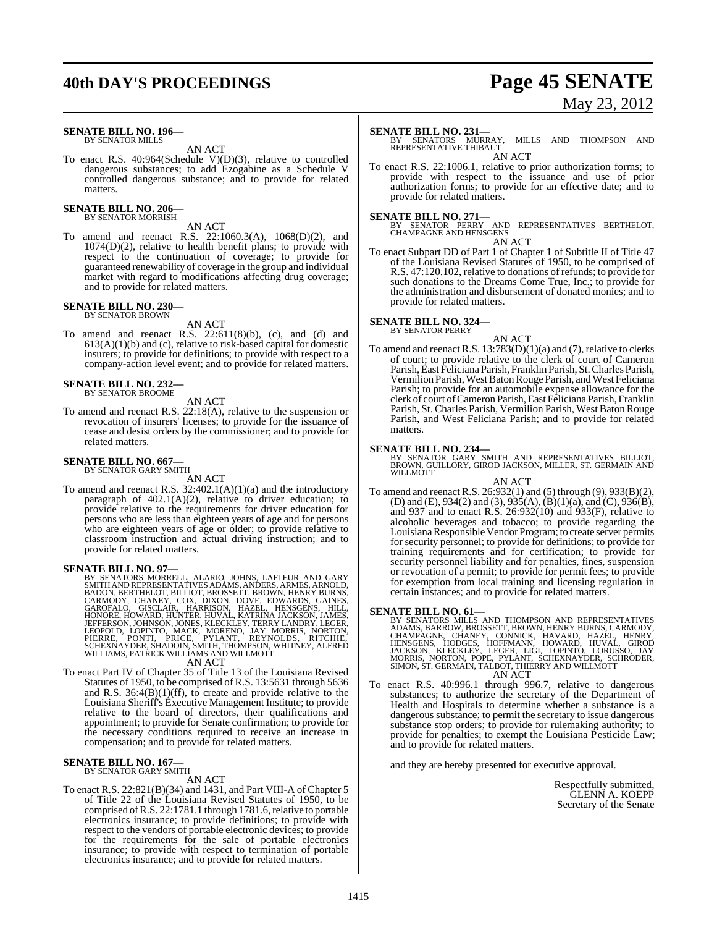## **40th DAY'S PROCEEDINGS Page 45 SENATE**

#### **SENATE BILL NO. 196—** BY SENATOR MILLS

AN ACT

To enact R.S. 40:964(Schedule V)(D)(3), relative to controlled dangerous substances; to add Ezogabine as a Schedule V controlled dangerous substance; and to provide for related matters.

#### **SENATE BILL NO. 206—** BY SENATOR MORRISH

AN ACT

To amend and reenact R.S. 22:1060.3(A), 1068(D)(2), and 1074(D)(2), relative to health benefit plans; to provide with respect to the continuation of coverage; to provide for guaranteed renewability of coverage in the group and individual market with regard to modifications affecting drug coverage; and to provide for related matters.

### **SENATE BILL NO. 230—** BY SENATOR BROWN

AN ACT

To amend and reenact R.S.  $22:611(8)(b)$ , (c), and (d) and 613(A)(1)(b) and (c), relative to risk-based capital for domestic insurers; to provide for definitions; to provide with respect to a company-action level event; and to provide for related matters.

## **SENATE BILL NO. 232—** BY SENATOR BROOME

AN ACT

To amend and reenact R.S. 22:18(A), relative to the suspension or revocation of insurers' licenses; to provide for the issuance of cease and desist orders by the commissioner; and to provide for related matters.

### **SENATE BILL NO. 667—** BY SENATOR GARY SMITH

AN ACT

To amend and reenact R.S. 32:402.1(A)(1)(a) and the introductory paragraph of  $402.1(A)(2)$ , relative to driver education; to provide relative to the requirements for driver education for persons who are less than eighteen years of age and for persons who are eighteen years of age or older; to provide relative to classroom instruction and actual driving instruction; and to provide for related matters.

**SENATE BILL NO. 97—**<br>BY SENATORS MORRELL, ALARIO, JOHNS, LAFLEUR AND GARY<br>BY SENATORS MORRELL, ALARIO, JOHNS, ANDERS, ARMES, ARNOLD,<br>BADON, BERTHELOT, BILLIOT, BROSSETT, BROWN, HENRY BURNS,<br>CARMODY, CHANEY, COX, DIXON, DO

AN ACT

To enact Part IV of Chapter 35 of Title 13 of the Louisiana Revised Statutes of 1950, to be comprised of R.S. 13:5631 through 5636 and R.S. 36:4(B)(1)(ff), to create and provide relative to the Louisiana Sheriff's Executive Management Institute; to provide relative to the board of directors, their qualifications and appointment; to provide for Senate confirmation; to provide for the necessary conditions required to receive an increase in compensation; and to provide for related matters.

#### **SENATE BILL NO. 167—** BY SENATOR GARY SMITH

AN ACT

To enact R.S. 22:821(B)(34) and 1431, and Part VIII-A of Chapter 5 of Title 22 of the Louisiana Revised Statutes of 1950, to be comprised of R.S. 22:1781.1 through 1781.6, relative to portable electronics insurance; to provide definitions; to provide with respect to the vendors of portable electronic devices; to provide for the requirements for the sale of portable electronics insurance; to provide with respect to termination of portable electronics insurance; and to provide for related matters.

To enact R.S. 22:1006.1, relative to prior authorization forms; to provide with respect to the issuance and use of prior authorization forms; to provide for an effective date; and to provide for related matters.

**SENATE BILL NO. 271—**<br>BY SENATOR PERRY AND REPRESENTATIVES BERTHELOT,<br>CHAMPAGNE AND HENSGENS AN ACT

To enact Subpart DD of Part 1 of Chapter 1 of Subtitle II of Title 47 of the Louisiana Revised Statutes of 1950, to be comprised of R.S. 47:120.102, relative to donations of refunds; to provide for such donations to the Dreams Come True, Inc.; to provide for the administration and disbursement of donated monies; and to provide for related matters.

#### **SENATE BILL NO. 324—** BY SENATOR PERRY

AN ACT To amend and reenact R.S. 13:783(D)(1)(a) and (7), relative to clerks of court; to provide relative to the clerk of court of Cameron Parish, East Feliciana Parish, Franklin Parish, St. Charles Parish, Vermilion Parish, West Baton Rouge Parish, and West Feliciana Parish; to provide for an automobile expense allowance for the clerk of court ofCameron Parish,East Feliciana Parish, Franklin Parish, St. Charles Parish, Vermilion Parish, West Baton Rouge Parish, and West Feliciana Parish; and to provide for related matters.

**SENATE BILL NO. 234—**<br>BY SENATOR GARY SMITH AND REPRESENTATIVES BILLIOT,<br>BROWN, GUILLORY, GIROD JACKSON, MILLER, ST. GERMAIN AND **WILLMOTT** 

AN ACT

To amend and reenact R.S. 26:932(1) and (5) through (9), 933(B)(2), (D) and (E), 934(2) and (3), 935(A), (B)(1)(a), and (C), 936(B), and 937 and to enact R.S. 26:932(10) and 933(F), relative to alcoholic beverages and tobacco; to provide regarding the Louisiana Responsible Vendor Program; to create server permits for security personnel; to provide for definitions; to provide for training requirements and for certification; to provide for security personnel liability and for penalties, fines, suspension or revocation of a permit; to provide for permit fees; to provide for exemption from local training and licensing regulation in certain instances; and to provide for related matters.

- **SENATE BILL NO. 61—**<br>BY SENATORS MILLS AND THOMPSON AND REPRESENTATIVES<br>ADAMS, BARROW, BROSSETT, BROWN, HENRY BURNS, CARMODY,<br>CHAMPAGNE, CHANEY, CONNICK, HAVARD, HAZEL, HENRY,<br>HENSGENS, HODGES, HOFFMANN, HOWARD, HUVAL, GI AN ACT
- To enact R.S. 40:996.1 through 996.7, relative to dangerous substances; to authorize the secretary of the Department of Health and Hospitals to determine whether a substance is a dangerous substance; to permit the secretary to issue dangerous substance stop orders; to provide for rulemaking authority; to provide for penalties; to exempt the Louisiana Pesticide Law; and to provide for related matters.

and they are hereby presented for executive approval.

Respectfully submitted, GLENN A. KOEPP Secretary of the Senate

# May 23, 2012

**SENATE BILL NO. 231—**<br>BY SENATORS MURRAY, MILLS AND THOMPSON AND<br>REPRESENTATIVE THIBAUT AN ACT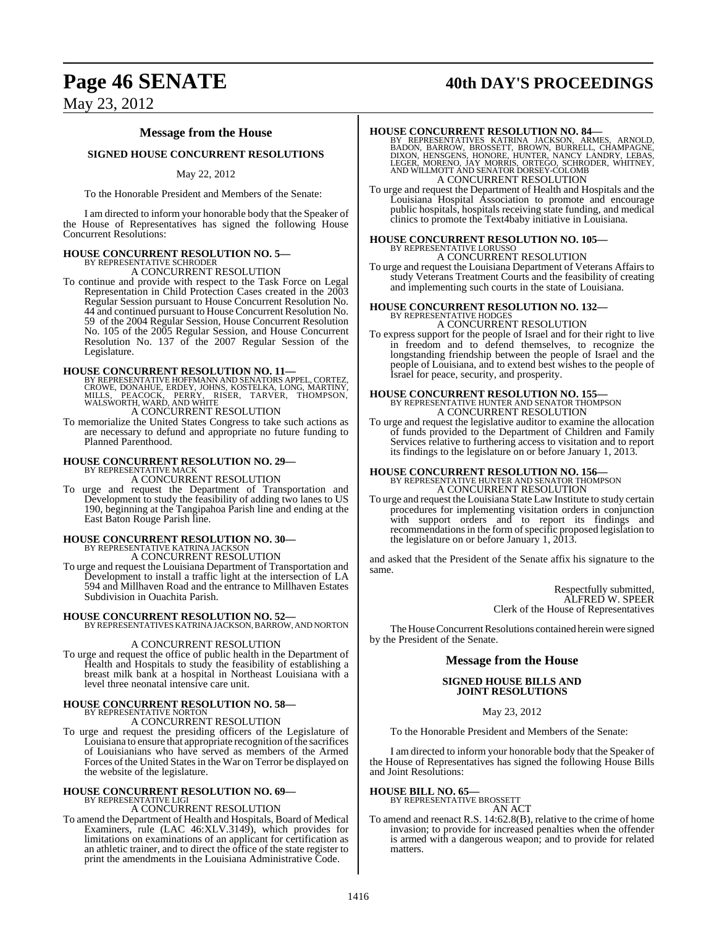# **Page 46 SENATE 40th DAY'S PROCEEDINGS**

### May 23, 2012

### **Message from the House**

#### **SIGNED HOUSE CONCURRENT RESOLUTIONS**

#### May 22, 2012

To the Honorable President and Members of the Senate:

I am directed to inform your honorable body that the Speaker of the House of Representatives has signed the following House Concurrent Resolutions:

## **HOUSE CONCURRENT RESOLUTION NO. 5—** BY REPRESENTATIVE SCHRODER

A CONCURRENT RESOLUTION

To continue and provide with respect to the Task Force on Legal Representation in Child Protection Cases created in the 2003 Regular Session pursuant to House Concurrent Resolution No. 44 and continued pursuant to House Concurrent Resolution No. 59 of the 2004 Regular Session, House Concurrent Resolution No. 105 of the 2005 Regular Session, and House Concurrent Resolution No. 137 of the 2007 Regular Session of the Legislature.

**HOUSE CONCURRENT RESOLUTION NO. 11—**<br>BY REPRESENTATIVE HOFFMANN AND SENATORS APPEL, CORTEZ, CROWE, DONAHUE, ERDEY, JOHNS, KOSTELKA, LONG, MARTINY,<br>MILLS, PEACOCK, PERRY, RISER, TARVER, THOMPSON,<br>WALSWORTH, WARD, AND WHITE

To memorialize the United States Congress to take such actions as are necessary to defund and appropriate no future funding to Planned Parenthood.

# **HOUSE CONCURRENT RESOLUTION NO. 29—** BY REPRESENTATIVE MACK A CONCURRENT RESOLUTION

To urge and request the Department of Transportation and Development to study the feasibility of adding two lanes to US 190, beginning at the Tangipahoa Parish line and ending at the East Baton Rouge Parish line.

# **HOUSE CONCURRENT RESOLUTION NO. 30—** BY REPRESENTATIVE KATRINA JACKSON A CONCURRENT RESOLUTION

To urge and request the Louisiana Department of Transportation and Development to install a traffic light at the intersection of LA 594 and Millhaven Road and the entrance to Millhaven Estates Subdivision in Ouachita Parish.

**HOUSE CONCURRENT RESOLUTION NO. 52—** BY REPRESENTATIVES KATRINA JACKSON, BARROW, AND NORTON

#### A CONCURRENT RESOLUTION

To urge and request the office of public health in the Department of Health and Hospitals to study the feasibility of establishing a breast milk bank at a hospital in Northeast Louisiana with a level three neonatal intensive care unit.

#### **HOUSE CONCURRENT RESOLUTION NO. 58—** BY REPRESENTATIVE NORTON

A CONCURRENT RESOLUTION

To urge and request the presiding officers of the Legislature of Louisiana to ensure that appropriate recognition of the sacrifices of Louisianians who have served as members of the Armed Forces of the United States in the War on Terror be displayed on the website of the legislature.

## **HOUSE CONCURRENT RESOLUTION NO. 69—** BY REPRESENTATIVE LIGI

#### A CONCURRENT RESOLUTION

To amend the Department of Health and Hospitals, Board of Medical Examiners, rule (LAC 46:XLV.3149), which provides for limitations on examinations of an applicant for certification as an athletic trainer, and to direct the office of the state register to print the amendments in the Louisiana Administrative Code.

**HOUSE CONCURRENT RESOLUTION NO. 84**<br>BY REPRESENTATIVES KATRINA JACKSON, ARMES, ARNOLD,<br>BADON, BARROW, BROSSETT, BROWN, BURRELL, CHAMPAGNE,<br>DIXON, HENSGENS, HONORE, HUNTER, NANCY LANDRY, LEBAS,<br>LEGER, MORENO, JAY MORRIS, O A CONCURRENT RESOLUTION

To urge and request the Department of Health and Hospitals and the Louisiana Hospital Association to promote and encourage public hospitals, hospitals receiving state funding, and medical clinics to promote the Text4baby initiative in Louisiana.

# **HOUSE CONCURRENT RESOLUTION NO. 105—** BY REPRESENTATIVE LORUSSO

A CONCURRENT RESOLUTION To urge and request the Louisiana Department of Veterans Affairsto study Veterans Treatment Courts and the feasibility of creating and implementing such courts in the state of Louisiana.

### **HOUSE CONCURRENT RESOLUTION NO. 132—** BY REPRESENTATIVE HODGES

A CONCURRENT RESOLUTION

To express support for the people of Israel and for their right to live in freedom and to defend themselves, to recognize the longstanding friendship between the people of Israel and the people of Louisiana, and to extend best wishes to the people of Israel for peace, security, and prosperity.

# **HOUSE CONCURRENT RESOLUTION NO. 155—BY REPRESENTATIVE HUNTER AND SENATOR THOMPSON A CONCURRENT RESOLUTION**

To urge and request the legislative auditor to examine the allocation of funds provided to the Department of Children and Family Services relative to furthering access to visitation and to report its findings to the legislature on or before January 1, 2013.

# **HOUSE CONCURRENT RESOLUTION NO. 156—**<br>BY REPRESENTATIVE HUNTER AND SENATOR THOMPSON A CONCURRENT RESOLUTION

To urge and request the Louisiana State Law Institute to study certain procedures for implementing visitation orders in conjunction with support orders and to report its findings and recommendations in the form of specific proposed legislation to the legislature on or before January 1, 2013.

and asked that the President of the Senate affix his signature to the same.

> Respectfully submitted, ALFRED W. SPEER Clerk of the House of Representatives

The House Concurrent Resolutions contained herein were signed by the President of the Senate.

#### **Message from the House**

#### **SIGNED HOUSE BILLS AND JOINT RESOLUTIONS**

May 23, 2012

To the Honorable President and Members of the Senate:

I am directed to inform your honorable body that the Speaker of the House of Representatives has signed the following House Bills and Joint Resolutions:

### **HOUSE BILL NO. 65—** BY REPRESENTATIVE BROSSETT

AN ACT

To amend and reenact R.S. 14:62.8(B), relative to the crime of home invasion; to provide for increased penalties when the offender is armed with a dangerous weapon; and to provide for related matters.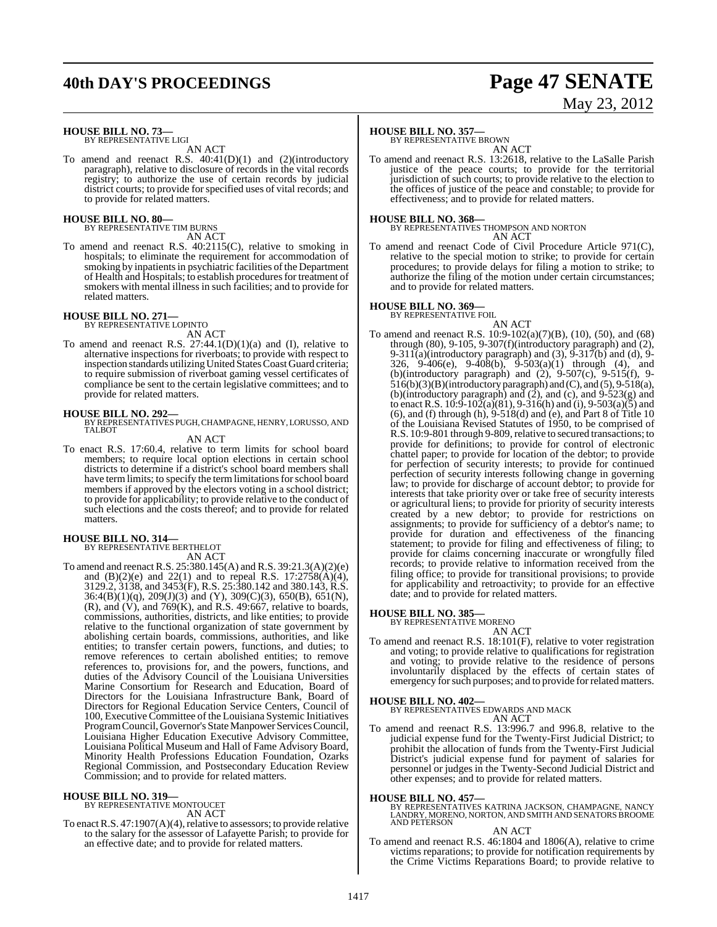## **40th DAY'S PROCEEDINGS Page 47 SENATE**

# May 23, 2012

**HOUSE BILL NO. 73—** BY REPRESENTATIVE LIGI

AN ACT

To amend and reenact R.S. 40:41(D)(1) and (2)(introductory paragraph), relative to disclosure of records in the vital records registry; to authorize the use of certain records by judicial district courts; to provide forspecified uses of vital records; and to provide for related matters.

#### **HOUSE BILL NO. 80—**

BY REPRESENTATIVE TIM BURNS AN ACT

To amend and reenact R.S. 40:2115(C), relative to smoking in hospitals; to eliminate the requirement for accommodation of smoking by inpatients in psychiatric facilities of the Department of Health and Hospitals; to establish proceduresfor treatment of smokers with mental illness in such facilities; and to provide for related matters.

### **HOUSE BILL NO. 271—** BY REPRESENTATIVE LOPINTO

AN ACT

To amend and reenact R.S. 27:44.1(D)(1)(a) and (I), relative to alternative inspections for riverboats; to provide with respect to inspection standards utilizing United States Coast Guard criteria; to require submission of riverboat gaming vessel certificates of compliance be sent to the certain legislative committees; and to provide for related matters.

**HOUSE BILL NO. 292—** BY REPRESENTATIVES PUGH,CHAMPAGNE, HENRY,LORUSSO, AND TALBOT

#### AN ACT

To enact R.S. 17:60.4, relative to term limits for school board members; to require local option elections in certain school districts to determine if a district's school board members shall have term limits; to specify the term limitations for school board members if approved by the electors voting in a school district; to provide for applicability; to provide relative to the conduct of such elections and the costs thereof; and to provide for related matters.

### **HOUSE BILL NO. 314—**

BY REPRESENTATIVE BERTHELOT AN ACT

To amend and reenact R.S. 25:380.145(A) and R.S. 39:21.3(A)(2)(e) and  $(B)(2)(e)$  and  $22(1)$  and to repeal R.S. 17:2758(A)(4), 3129.2, 3138, and 3453(F), R.S. 25:380.142 and 380.143, R.S.  $36:4(B)(1)(q)$ ,  $209(J)(3)$  and  $(Y)$ ,  $309(C)(3)$ ,  $650(B)$ ,  $651(N)$ ,  $(R)$ , and  $(V)$ , and  $769(K)$ , and R.S. 49:667, relative to boards, commissions, authorities, districts, and like entities; to provide relative to the functional organization of state government by abolishing certain boards, commissions, authorities, and like entities; to transfer certain powers, functions, and duties; to remove references to certain abolished entities; to remove references to, provisions for, and the powers, functions, and duties of the Advisory Council of the Louisiana Universities Marine Consortium for Research and Education, Board of Directors for the Louisiana Infrastructure Bank, Board of Directors for Regional Education Service Centers, Council of 100, Executive Committee of the Louisiana Systemic Initiatives ProgramCouncil, Governor's State Manpower Services Council, Louisiana Higher Education Executive Advisory Committee, Louisiana Political Museum and Hall of Fame Advisory Board, Minority Health Professions Education Foundation, Ozarks Regional Commission, and Postsecondary Education Review Commission; and to provide for related matters.

## **HOUSE BILL NO. 319—** BY REPRESENTATIVE MONTOUCET

AN ACT

To enact R.S.  $47:1907(A)(4)$ , relative to assessors; to provide relative to the salary for the assessor of Lafayette Parish; to provide for an effective date; and to provide for related matters.

#### **HOUSE BILL NO. 357—**

BY REPRESENTATIVE BROWN

AN ACT To amend and reenact R.S. 13:2618, relative to the LaSalle Parish justice of the peace courts; to provide for the territorial jurisdiction of such courts; to provide relative to the election to the offices of justice of the peace and constable; to provide for effectiveness; and to provide for related matters.

#### **HOUSE BILL NO. 368—**

BY REPRESENTATIVES THOMPSON AND NORTON AN ACT

To amend and reenact Code of Civil Procedure Article 971(C), relative to the special motion to strike; to provide for certain procedures; to provide delays for filing a motion to strike; to authorize the filing of the motion under certain circumstances; and to provide for related matters.

### **HOUSE BILL NO. 369—** BY REPRESENTATIVE FOIL

AN ACT To amend and reenact R.S. 10:9-102(a)(7)(B), (10), (50), and (68) through (80), 9-105, 9-307(f)(introductory paragraph) and (2), 9-311(a)(introductory paragraph) and  $(3)$ , 9-317(b) and  $(d)$ , 9-326, 9-406(e), 9-408(b), 9-503(a)(1) through (4), and (b)(introductory paragraph) and (2), 9-507(c), 9-515(f), 9- 516(b)(3)(B)(introductory paragraph) and (C), and (5), 9-518(a), (b)(introductory paragraph) and  $(2)$ , and  $(c)$ , and  $9-523(g)$  and to enact R.S.  $10:9-102(a)(81)$ ,  $9-316(h)$  and  $(i)$ ,  $9-503(a)(5)$  and (6), and (f) through (h),  $9-518(d)$  and (e), and Part 8 of Title 10 of the Louisiana Revised Statutes of 1950, to be comprised of R.S. 10:9-801 through 9-809, relative to secured transactions; to provide for definitions; to provide for control of electronic chattel paper; to provide for location of the debtor; to provide for perfection of security interests; to provide for continued perfection of security interests following change in governing law; to provide for discharge of account debtor; to provide for interests that take priority over or take free of security interests or agricultural liens; to provide for priority of security interests created by a new debtor; to provide for restrictions on assignments; to provide for sufficiency of a debtor's name; to provide for duration and effectiveness of the financing statement; to provide for filing and effectiveness of filing; to provide for claims concerning inaccurate or wrongfully filed records; to provide relative to information received from the filing office; to provide for transitional provisions; to provide for applicability and retroactivity; to provide for an effective date; and to provide for related matters.

#### **HOUSE BILL NO. 385—**

BY REPRESENTATIVE MORENO AN ACT

To amend and reenact R.S. 18:101(F), relative to voter registration and voting; to provide relative to qualifications for registration and voting; to provide relative to the residence of persons involuntarily displaced by the effects of certain states of emergency for such purposes; and to provide for related matters.

#### **HOUSE BILL NO. 402—**

BY REPRESENTATIVES EDWARDS AND MACK AN ACT

To amend and reenact R.S. 13:996.7 and 996.8, relative to the judicial expense fund for the Twenty-First Judicial District; to prohibit the allocation of funds from the Twenty-First Judicial District's judicial expense fund for payment of salaries for personnel or judges in the Twenty-Second Judicial District and other expenses; and to provide for related matters.

**HOUSE BILL NO. 457—** BY REPRESENTATIVES KATRINA JACKSON, CHAMPAGNE, NANCY LANDRY, MORENO, NORTON, AND SMITH AND SENATORS BROOME AND PETERSON

#### AN ACT

To amend and reenact R.S. 46:1804 and 1806(A), relative to crime victims reparations; to provide for notification requirements by the Crime Victims Reparations Board; to provide relative to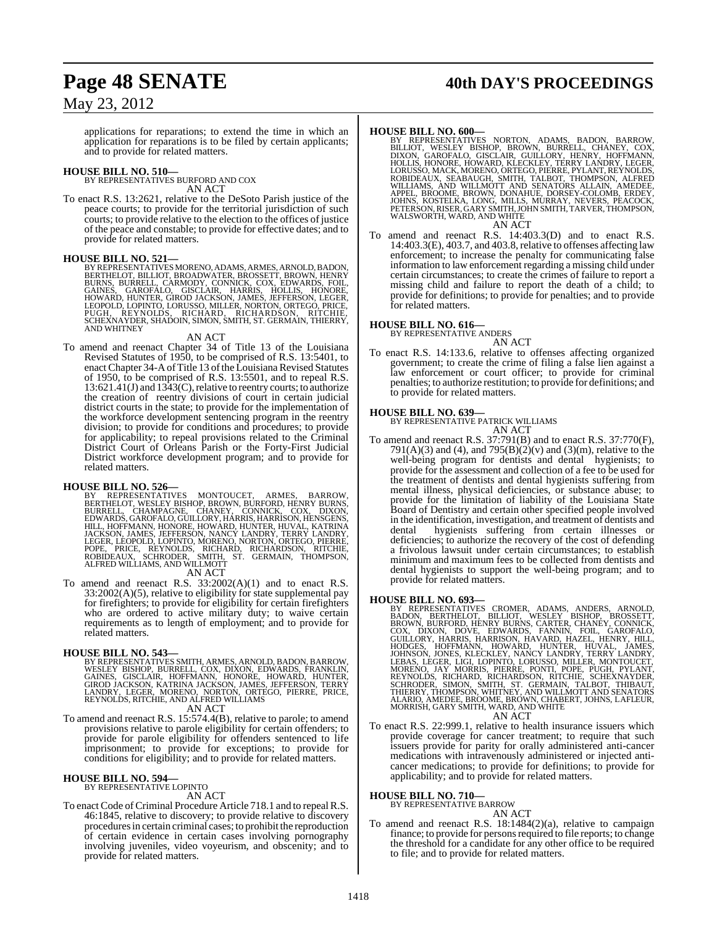## **Page 48 SENATE 40th DAY'S PROCEEDINGS**

### May 23, 2012

applications for reparations; to extend the time in which an application for reparations is to be filed by certain applicants; and to provide for related matters.

**HOUSE BILL NO. 510—** BY REPRESENTATIVES BURFORD AND COX AN ACT

To enact R.S. 13:2621, relative to the DeSoto Parish justice of the peace courts; to provide for the territorial jurisdiction of such courts; to provide relative to the election to the offices of justice of the peace and constable; to provide for effective dates; and to provide for related matters.

#### **HOUSE BILL NO. 521—**

BY REPRESENTATIVES MORENO, ADAMS, ARMES, ARNOLD, BADON, BERTHELOT, BELLIOT, BROADWATER, BROSSETT, BROWN, HENRY<br>BURNS, BURRELL, CARMODY, CONNICK, COX, EDWARDS, FOIL,<br>GAINES, GAROFALO, GISCLAIR, HARRIS, HOLLIS, HONORE,<br>HOWAR AND WHITNEY

#### AN ACT

To amend and reenact Chapter 34 of Title 13 of the Louisiana Revised Statutes of 1950, to be comprised of R.S. 13:5401, to enact Chapter 34-A of Title 13 of the Louisiana Revised Statutes of 1950, to be comprised of R.S. 13:5501, and to repeal R.S. 13:621.41(J) and 1343(C), relative to reentry courts; to authorize the creation of reentry divisions of court in certain judicial district courts in the state; to provide for the implementation of the workforce development sentencing program in the reentry division; to provide for conditions and procedures; to provide for applicability; to repeal provisions related to the Criminal District Court of Orleans Parish or the Forty-First Judicial District workforce development program; and to provide for related matters.

**HOUSE BILL NO. 526—**<br>BY REPRESENTATIVES MONTOUCET, ARMES, BARROW,<br>BERTHELOT, WESLEY BISHOP, BROWN, BURFORD, HENRY BURNS,<br>BURRELL, CHAMPAGNE, CHANEY, CONNICK, COX, DIXON,<br>EDWARDS, GAROFALO, GUILLORY, HARRIS, HARRISON, HENS

AN ACT

To amend and reenact R.S. 33:2002(A)(1) and to enact R.S. 33:2002(A)(5), relative to eligibility for state supplemental pay for firefighters; to provide for eligibility for certain firefighters who are ordered to active military duty; to waive certain requirements as to length of employment; and to provide for related matters.

#### **HOUSE BILL NO. 543—**

- BY REPRESENTATIVES SMITH, ARMES, ARNOLD, BADON, BARROW, WESLEY BISHOP, BURRELL, COX, DIXON, EDWARDS, FRANKLIN,<br>GAINES, GISCLAIR, HOFFMANN, HONORE, HOWARD, HUNTER,<br>GIROD JACKSON, KATRINA JACKSON, JAMES, JEFFERSON, TERRY<br>LANDRY, LEGER, MORENO, NORTON, ORTEGO, PIERRE, PRICE,<br>REYNO AN ACT
- To amend and reenact R.S. 15:574.4(B), relative to parole; to amend provisions relative to parole eligibility for certain offenders; to provide for parole eligibility for offenders sentenced to life imprisonment; to provide for exceptions; to provide for conditions for eligibility; and to provide for related matters.

#### **HOUSE BILL NO. 594—** BY REPRESENTATIVE LOPINTO

AN ACT

To enact Code of Criminal Procedure Article 718.1 and to repeal R.S. 46:1845, relative to discovery; to provide relative to discovery proceduresin certain criminal cases; to prohibit the reproduction of certain evidence in certain cases involving pornography involving juveniles, video voyeurism, and obscenity; and to provide for related matters.

- **HOUSE BILL NO. 600—**<br>BY REPRESENTATIVES NORTON, ADAMS, BADON, BARROW,<br>BILLIOT, WESLEY BISHOP, BROWN, BURRELL, CHANEY, COX,<br>DIXON, GAROFALO, GISCLAIR, GUILLORY, HENRY, HOFFMANN,<br>HOLLIS, HONORE, HOWARD, KLECKLEY, TERRY LAND ROBIDEAUX, SEABAUGH, SMITH, TALBOT, THOMPSON, ALFRED<br>WILLIAMS, AND WILLMOTT AND SENATORS ALLAIN, AMEDEE,<br>APPEL, BROOME, BROWN, DONAHUE, DORSEY-COLOMB, ERDEY,<br>JOHNS, KOSTELKA, LONG, MILLS, MURRAY, NEVERS, PEACOCK,<br>PETERSON, AN ACT
- To amend and reenact R.S. 14:403.3(D) and to enact R.S. 14:403.3(E), 403.7, and 403.8, relative to offenses affecting law enforcement; to increase the penalty for communicating false information to law enforcement regarding a missing child under certain circumstances; to create the crimes of failure to report a missing child and failure to report the death of a child; to provide for definitions; to provide for penalties; and to provide for related matters.

#### **HOUSE BILL NO. 616—**

BY REPRESENTATIVE ANDERS AN ACT

To enact R.S. 14:133.6, relative to offenses affecting organized government; to create the crime of filing a false lien against a law enforcement or court officer; to provide for criminal penalties; to authorize restitution; to provide for definitions; and to provide for related matters.

**HOUSE BILL NO. 639—** BY REPRESENTATIVE PATRICK WILLIAMS AN ACT

To amend and reenact R.S. 37:791(B) and to enact R.S. 37:770(F), 791(A)(3) and (4), and 795(B)(2)(v) and (3)(m), relative to the well-being program for dentists and dental hygienists; to provide for the assessment and collection of a fee to be used for the treatment of dentists and dental hygienists suffering from mental illness, physical deficiencies, or substance abuse; to provide for the limitation of liability of the Louisiana State Board of Dentistry and certain other specified people involved in the identification, investigation, and treatment of dentists and<br>dental by elements suffering from certain illnesses or hygienists suffering from certain illnesses or deficiencies; to authorize the recovery of the cost of defending a frivolous lawsuit under certain circumstances; to establish minimum and maximum fees to be collected from dentists and dental hygienists to support the well-being program; and to provide for related matters.

HOUSE BILL NO. 693—<br>
BY REPRESENTATIVES CROMER, ADAMS, ANDERS, ARNOLD,<br>
BADON, BERTHELOT, BILLIOT, WESLEY BISHOP, BROSSETT,<br>
BROWN, BURFORD, HENRY BURNS, CARTER, CHANEY, CONNICK,<br>
COX, DIXON, DOVE, EDWARDS, FANNIN, FOUL, G

AN ACT<br>To enact R.S. 22:999.1, relative to health insurance issuers which provide coverage for cancer treatment; to require that such issuers provide for parity for orally administered anti-cancer medications with intravenously administered or injected anticancer medications; to provide for definitions; to provide for applicability; and to provide for related matters.

### **HOUSE BILL NO. 710—** BY REPRESENTATIVE BARROW

AN ACT

To amend and reenact R.S. 18:1484(2)(a), relative to campaign finance; to provide for persons required to file reports; to change the threshold for a candidate for any other office to be required to file; and to provide for related matters.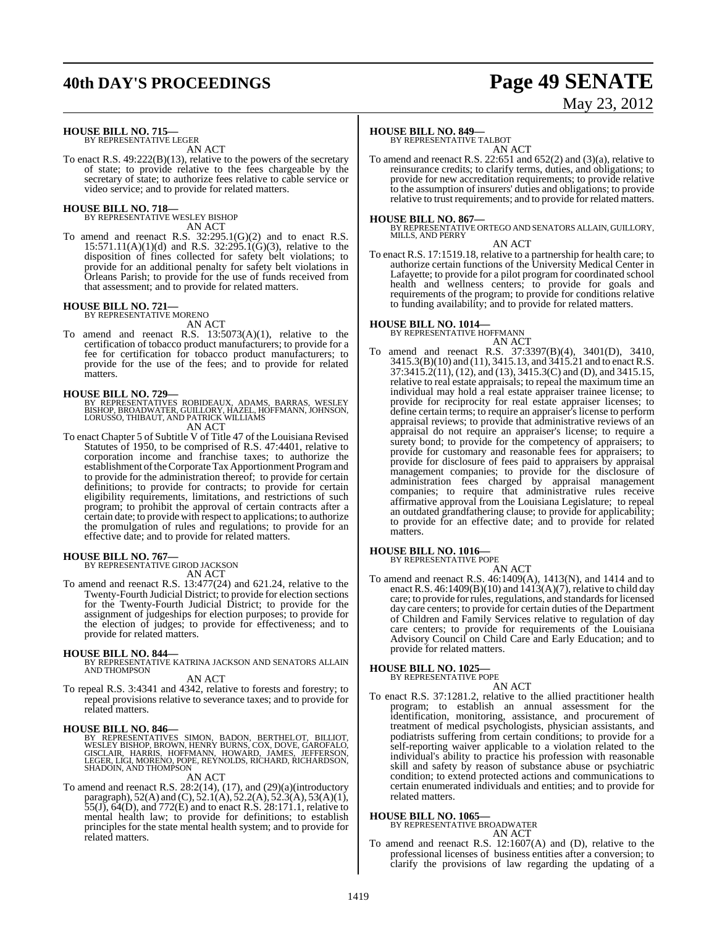## **40th DAY'S PROCEEDINGS Page 49 SENATE**

# May 23, 2012

#### **HOUSE BILL NO. 715—** BY REPRESENTATIVE LEGER

AN ACT

To enact R.S. 49:222(B)(13), relative to the powers of the secretary of state; to provide relative to the fees chargeable by the secretary of state; to authorize fees relative to cable service or video service; and to provide for related matters.

### **HOUSE BILL NO. 718—** BY REPRESENTATIVE WESLEY BISHOP

AN ACT

To amend and reenact R.S.  $32:295.1(G)(2)$  and to enact R.S.  $15:571.11(A)(1)(d)$  and R.S.  $32:295.1(G)(3)$ , relative to the disposition of fines collected for safety belt violations; to provide for an additional penalty for safety belt violations in Orleans Parish; to provide for the use of funds received from that assessment; and to provide for related matters.

### **HOUSE BILL NO. 721—** BY REPRESENTATIVE MORENO

AN ACT

To amend and reenact R.S. 13:5073(A)(1), relative to the certification of tobacco product manufacturers; to provide for a fee for certification for tobacco product manufacturers; to provide for the use of the fees; and to provide for related matters.

**HOUSE BILL NO. 729—**<br>BY REPRESENTATIVES ROBIDEAUX, ADAMS, BARRAS, WESLEY<br>BISHOP, BROADWATER, GUILLORY, HAZEL, HOFFMANN, JOHNSON,<br>LORUSSO, THIBAUT, AND PATRICK WILLIAMS

AN ACT

To enact Chapter 5 of Subtitle V of Title 47 of the Louisiana Revised Statutes of 1950, to be comprised of R.S. 47:4401, relative to corporation income and franchise taxes; to authorize the establishment of the Corporate Tax Apportionment Program and to provide for the administration thereof; to provide for certain definitions; to provide for contracts; to provide for certain eligibility requirements, limitations, and restrictions of such program; to prohibit the approval of certain contracts after a certain date; to provide with respect to applications; to authorize the promulgation of rules and regulations; to provide for an effective date; and to provide for related matters.

#### **HOUSE BILL NO. 767—**

BY REPRESENTATIVE GIROD JACKSON AN ACT

To amend and reenact R.S. 13:477(24) and 621.24, relative to the Twenty-Fourth Judicial District; to provide for election sections for the Twenty-Fourth Judicial District; to provide for the assignment of judgeships for election purposes; to provide for the election of judges; to provide for effectiveness; and to provide for related matters.

#### **HOUSE BILL NO. 844—**

BY REPRESENTATIVE KATRINA JACKSON AND SENATORS ALLAIN AND THOMPSON

#### AN ACT

To repeal R.S. 3:4341 and 4342, relative to forests and forestry; to repeal provisions relative to severance taxes; and to provide for related matters.

#### **HOUSE BILL NO. 846—**

BY REPRESENTATIVES SIMON, BADON, BERTHELOT, BILLIOT,<br>WESLEYBISHOP, BROWN,HENRYBURNS,COX,DOVE,GAROFALO,<br>GISCLAIR, HARRIS, HOFFMANN, HOWARD, JAMES, JEFFERSON,<br>LEGER,LIGI,MORENO,POPE,REYNOLDS,RICHARD,RICHARDSON,<br>SHADOIN,AND T

AN ACT

To amend and reenact R.S. 28:2(14), (17), and (29)(a)(introductory paragraph), 52(A) and (C), 52.1(A), 52.2(A), 52.3(A), 53(A)(1), 55(J), 64(D), and 772(E) and to enact R.S. 28:171.1, relative to mental health law; to provide for definitions; to establish principles for the state mental health system; and to provide for related matters.

### **HOUSE BILL NO. 849—**

BY REPRESENTATIVE TALBOT

AN ACT To amend and reenact R.S. 22:651 and 652(2) and (3)(a), relative to reinsurance credits; to clarify terms, duties, and obligations; to provide for new accreditation requirements; to provide relative to the assumption of insurers' duties and obligations; to provide relative to trust requirements; and to provide for related matters.

#### **HOUSE BILL NO. 867—**

BY REPRESENTATIVE ORTEGO AND SENATORS ALLAIN, GUILLORY, MILLS, AND PERRY

AN ACT

To enact R.S. 17:1519.18, relative to a partnership for health care; to authorize certain functions of the University Medical Center in Lafayette; to provide for a pilot program for coordinated school health and wellness centers; to provide for goals and requirements of the program; to provide for conditions relative to funding availability; and to provide for related matters.

### **HOUSE BILL NO. 1014—**

BY REPRESENTATIVE HOFFMANN AN ACT

To amend and reenact R.S. 37:3397(B)(4), 3401(D), 3410, 3415.3(B)(10) and (11), 3415.13, and 3415.21 and to enactR.S. 37:3415.2(11), (12), and (13), 3415.3(C) and (D), and 3415.15, relative to real estate appraisals; to repeal the maximum time an individual may hold a real estate appraiser trainee license; to provide for reciprocity for real estate appraiser licenses; to define certain terms; to require an appraiser's license to perform appraisal reviews; to provide that administrative reviews of an appraisal do not require an appraiser's license; to require a surety bond; to provide for the competency of appraisers; to provide for customary and reasonable fees for appraisers; to provide for disclosure of fees paid to appraisers by appraisal management companies; to provide for the disclosure of administration fees charged by appraisal management companies; to require that administrative rules receive affirmative approval from the Louisiana Legislature; to repeal an outdated grandfathering clause; to provide for applicability; to provide for an effective date; and to provide for related matters.

### **HOUSE BILL NO. 1016—** BY REPRESENTATIVE POPE

AN ACT To amend and reenact R.S. 46:1409(A), 1413(N), and 1414 and to enact R.S. 46:1409(B)(10) and 1413(A)(7), relative to child day care; to provide for rules, regulations, and standards for licensed day care centers; to provide for certain duties of the Department of Children and Family Services relative to regulation of day care centers; to provide for requirements of the Louisiana Advisory Council on Child Care and Early Education; and to provide for related matters.

### **HOUSE BILL NO. 1025—** BY REPRESENTATIVE POPE

AN ACT

To enact R.S. 37:1281.2, relative to the allied practitioner health program; to establish an annual assessment for the identification, monitoring, assistance, and procurement of treatment of medical psychologists, physician assistants, and podiatrists suffering from certain conditions; to provide for a self-reporting waiver applicable to a violation related to the individual's ability to practice his profession with reasonable skill and safety by reason of substance abuse or psychiatric condition; to extend protected actions and communications to certain enumerated individuals and entities; and to provide for related matters.

#### **HOUSE BILL NO. 1065—**

BY REPRESENTATIVE BROADWATER AN ACT

To amend and reenact R.S. 12:1607(A) and (D), relative to the professional licenses of business entities after a conversion; to clarify the provisions of law regarding the updating of a